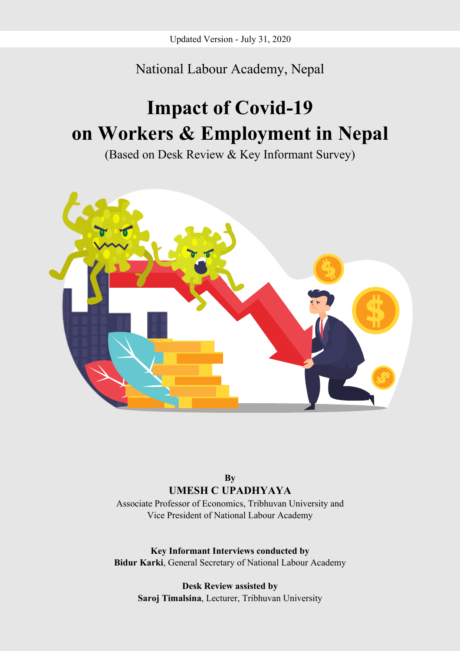## National Labour Academy, Nepal

# **Impact of Covid-19 on Workers & Employment in Nepal**

(Based on Desk Review & Key Informant Survey)



#### **By UMESH C UPADHYAYA**

Associate Professor of Economics, Tribhuvan University and Vice President of National Labour Academy

**Key Informant Interviews conducted by Bidur Karki**, General Secretary of National Labour Academy

> **Desk Review assisted by Saroj Timalsina**, Lecturer, Tribhuvan University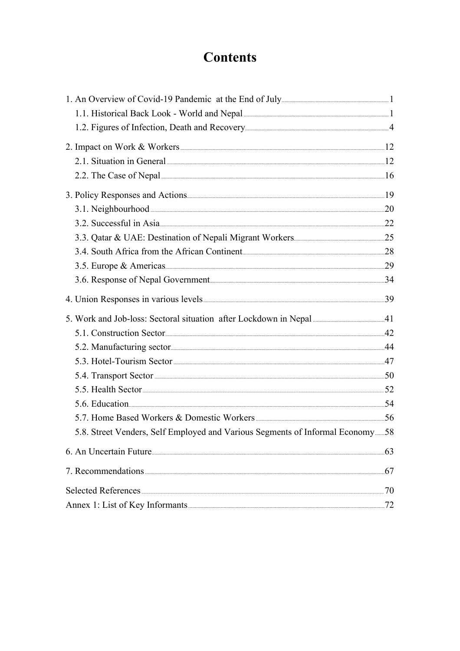## **Contents**

| 2.1. Situation in General <b>Executive Contract 2.1</b> 2                                                                                                                                                                     |  |
|-------------------------------------------------------------------------------------------------------------------------------------------------------------------------------------------------------------------------------|--|
|                                                                                                                                                                                                                               |  |
|                                                                                                                                                                                                                               |  |
|                                                                                                                                                                                                                               |  |
| 3.2. Successful in Asia 22                                                                                                                                                                                                    |  |
|                                                                                                                                                                                                                               |  |
|                                                                                                                                                                                                                               |  |
|                                                                                                                                                                                                                               |  |
|                                                                                                                                                                                                                               |  |
|                                                                                                                                                                                                                               |  |
|                                                                                                                                                                                                                               |  |
|                                                                                                                                                                                                                               |  |
|                                                                                                                                                                                                                               |  |
|                                                                                                                                                                                                                               |  |
|                                                                                                                                                                                                                               |  |
| 5.5. Health Sector 5.5. Sector 5.5. Section 3.52                                                                                                                                                                              |  |
|                                                                                                                                                                                                                               |  |
|                                                                                                                                                                                                                               |  |
| 5.8. Street Venders, Self Employed and Various Segments of Informal Economy 58                                                                                                                                                |  |
|                                                                                                                                                                                                                               |  |
| 7. Recommendations 2008 and 2008 and 2008 and 2008 and 2008 and 2008 and 2008 and 2008 and 2008 and 2008 and 2008 and 2008 and 2008 and 2008 and 2008 and 2008 and 2008 and 2008 and 2008 and 2008 and 2008 and 2008 and 2008 |  |
|                                                                                                                                                                                                                               |  |
|                                                                                                                                                                                                                               |  |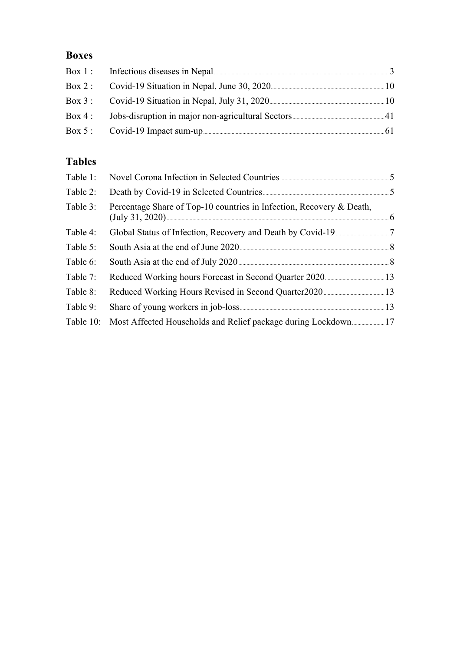#### **Boxes**

| Box 1: Infectious diseases in Nepal <u>manual communication</u> manual contract 3 |  |
|-----------------------------------------------------------------------------------|--|
|                                                                                   |  |
|                                                                                   |  |
|                                                                                   |  |
|                                                                                   |  |

### **Tables**

| Table 1:  |                                                                      |  |
|-----------|----------------------------------------------------------------------|--|
| Table 2:  |                                                                      |  |
| Table 3:  | Percentage Share of Top-10 countries in Infection, Recovery & Death, |  |
| Table 4:  |                                                                      |  |
| Table 5:  |                                                                      |  |
| Table 6:  |                                                                      |  |
| Table 7:  |                                                                      |  |
| Table 8:  |                                                                      |  |
| Table 9:  |                                                                      |  |
| Table 10: | Most Affected Households and Relief package during Lockdown  17      |  |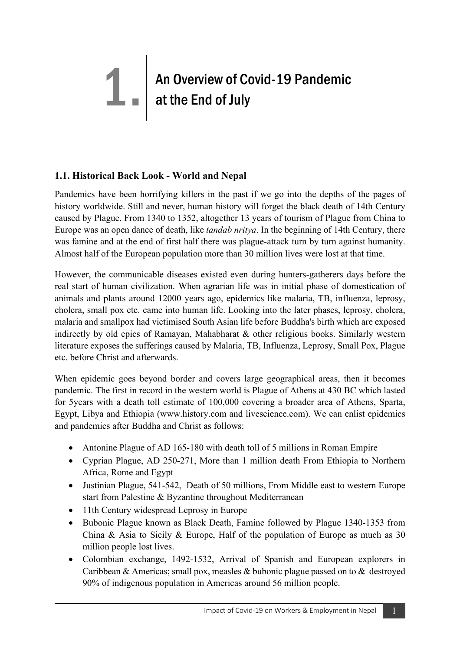# **1. An Overview of Covid-19 Pandemic<br>at the End of July** at the End of July

#### **1.1. Historical Back Look - World and Nepal**

Pandemics have been horrifying killers in the past if we go into the depths of the pages of history worldwide. Still and never, human history will forget the black death of 14th Century caused by Plague. From 1340 to 1352, altogether 13 years of tourism of Plague from China to Europe was an open dance of death, like *tandab nritya*. In the beginning of 14th Century, there was famine and at the end of first half there was plague-attack turn by turn against humanity. Almost half of the European population more than 30 million lives were lost at that time.

However, the communicable diseases existed even during hunters-gatherers days before the real start of human civilization. When agrarian life was in initial phase of domestication of animals and plants around 12000 years ago, epidemics like malaria, TB, influenza, leprosy, cholera, small pox etc. came into human life. Looking into the later phases, leprosy, cholera, malaria and smallpox had victimised South Asian life before Buddha's birth which are exposed indirectly by old epics of Ramayan, Mahabharat & other religious books. Similarly western literature exposes the sufferings caused by Malaria, TB, Influenza, Leprosy, Small Pox, Plague etc. before Christ and afterwards.

When epidemic goes beyond border and covers large geographical areas, then it becomes pandemic. The first in record in the western world is Plague of Athens at 430 BC which lasted for 5years with a death toll estimate of 100,000 covering a broader area of Athens, Sparta, Egypt, Libya and Ethiopia (www.history.com and livescience.com). We can enlist epidemics and pandemics after Buddha and Christ as follows:

- Antonine Plague of AD 165-180 with death toll of 5 millions in Roman Empire
- Cyprian Plague, AD 250-271, More than 1 million death From Ethiopia to Northern Africa, Rome and Egypt
- Justinian Plague, 541-542, Death of 50 millions, From Middle east to western Europe start from Palestine & Byzantine throughout Mediterranean
- 11th Century widespread Leprosy in Europe
- Bubonic Plague known as Black Death, Famine followed by Plague 1340-1353 from China & Asia to Sicily & Europe, Half of the population of Europe as much as 30 million people lost lives.
- Colombian exchange, 1492-1532, Arrival of Spanish and European explorers in Caribbean & Americas; small pox, measles & bubonic plague passed on to & destroyed 90% of indigenous population in Americas around 56 million people.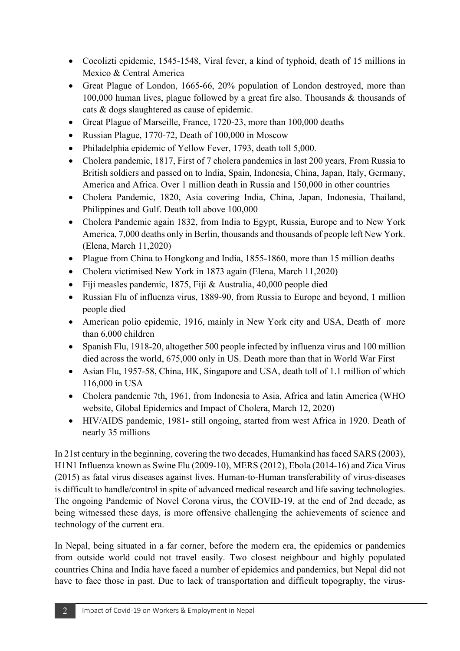- Cocolizti epidemic, 1545-1548, Viral fever, a kind of typhoid, death of 15 millions in Mexico & Central America
- Great Plague of London, 1665-66, 20% population of London destroyed, more than 100,000 human lives, plague followed by a great fire also. Thousands & thousands of cats & dogs slaughtered as cause of epidemic.
- Great Plague of Marseille, France, 1720-23, more than 100,000 deaths
- Russian Plague, 1770-72, Death of 100,000 in Moscow
- Philadelphia epidemic of Yellow Fever, 1793, death toll 5,000.
- Cholera pandemic, 1817, First of 7 cholera pandemics in last 200 years, From Russia to British soldiers and passed on to India, Spain, Indonesia, China, Japan, Italy, Germany, America and Africa. Over 1 million death in Russia and 150,000 in other countries
- Cholera Pandemic, 1820, Asia covering India, China, Japan, Indonesia, Thailand, Philippines and Gulf. Death toll above 100,000
- Cholera Pandemic again 1832, from India to Egypt, Russia, Europe and to New York America, 7,000 deaths only in Berlin, thousands and thousands of people left New York. (Elena, March 11,2020)
- Plague from China to Hongkong and India, 1855-1860, more than 15 million deaths
- Cholera victimised New York in 1873 again (Elena, March 11,2020)
- Fiji measles pandemic, 1875, Fiji & Australia, 40,000 people died
- Russian Flu of influenza virus, 1889-90, from Russia to Europe and beyond, 1 million people died
- American polio epidemic, 1916, mainly in New York city and USA, Death of more than 6,000 children
- Spanish Flu, 1918-20, altogether 500 people infected by influenza virus and 100 million died across the world, 675,000 only in US. Death more than that in World War First
- Asian Flu, 1957-58, China, HK, Singapore and USA, death toll of 1.1 million of which 116,000 in USA
- Cholera pandemic 7th, 1961, from Indonesia to Asia, Africa and latin America (WHO website, Global Epidemics and Impact of Cholera, March 12, 2020)
- HIV/AIDS pandemic, 1981- still ongoing, started from west Africa in 1920. Death of nearly 35 millions

In 21st century in the beginning, covering the two decades, Humankind has faced SARS (2003), H1N1 Influenza known as Swine Flu (2009-10), MERS (2012), Ebola (2014-16) and Zica Virus (2015) as fatal virus diseases against lives. Human-to-Human transferability of virus-diseases is difficult to handle/control in spite of advanced medical research and life saving technologies. The ongoing Pandemic of Novel Corona virus, the COVID-19, at the end of 2nd decade, as being witnessed these days, is more offensive challenging the achievements of science and technology of the current era.

In Nepal, being situated in a far corner, before the modern era, the epidemics or pandemics from outside world could not travel easily. Two closest neighbour and highly populated countries China and India have faced a number of epidemics and pandemics, but Nepal did not have to face those in past. Due to lack of transportation and difficult topography, the virus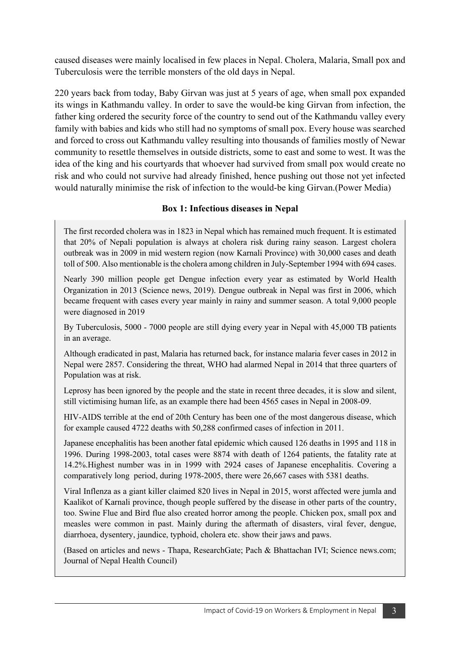caused diseases were mainly localised in few places in Nepal. Cholera, Malaria, Small pox and Tuberculosis were the terrible monsters of the old days in Nepal.

220 years back from today, Baby Girvan was just at 5 years of age, when small pox expanded its wings in Kathmandu valley. In order to save the would-be king Girvan from infection, the father king ordered the security force of the country to send out of the Kathmandu valley every family with babies and kids who still had no symptoms of small pox. Every house was searched and forced to cross out Kathmandu valley resulting into thousands of families mostly of Newar community to resettle themselves in outside districts, some to east and some to west. It was the idea of the king and his courtyards that whoever had survived from small pox would create no risk and who could not survive had already finished, hence pushing out those not yet infected would naturally minimise the risk of infection to the would-be king Girvan.(Power Media)

#### **Box 1: Infectious diseases in Nepal**

The first recorded cholera was in 1823 in Nepal which has remained much frequent. It is estimated that 20% of Nepali population is always at cholera risk during rainy season. Largest cholera outbreak was in 2009 in mid western region (now Karnali Province) with 30,000 cases and death toll of 500. Also mentionable is the cholera among children in July-September 1994 with 694 cases.

Nearly 390 million people get Dengue infection every year as estimated by World Health Organization in 2013 (Science news, 2019). Dengue outbreak in Nepal was first in 2006, which became frequent with cases every year mainly in rainy and summer season. A total 9,000 people were diagnosed in 2019

By Tuberculosis, 5000 - 7000 people are still dying every year in Nepal with 45,000 TB patients in an average.

Although eradicated in past, Malaria has returned back, for instance malaria fever cases in 2012 in Nepal were 2857. Considering the threat, WHO had alarmed Nepal in 2014 that three quarters of Population was at risk.

Leprosy has been ignored by the people and the state in recent three decades, it is slow and silent, still victimising human life, as an example there had been 4565 cases in Nepal in 2008-09.

HIV-AIDS terrible at the end of 20th Century has been one of the most dangerous disease, which for example caused 4722 deaths with 50,288 confirmed cases of infection in 2011.

Japanese encephalitis has been another fatal epidemic which caused 126 deaths in 1995 and 118 in 1996. During 1998-2003, total cases were 8874 with death of 1264 patients, the fatality rate at 14.2%.Highest number was in in 1999 with 2924 cases of Japanese encephalitis. Covering a comparatively long period, during 1978-2005, there were 26,667 cases with 5381 deaths.

Viral Inflenza as a giant killer claimed 820 lives in Nepal in 2015, worst affected were jumla and Kaalikot of Karnali province, though people suffered by the disease in other parts of the country, too. Swine Flue and Bird flue also created horror among the people. Chicken pox, small pox and measles were common in past. Mainly during the aftermath of disasters, viral fever, dengue, diarrhoea, dysentery, jaundice, typhoid, cholera etc. show their jaws and paws.

(Based on articles and news - Thapa, ResearchGate; Pach & Bhattachan IVI; Science news.com; Journal of Nepal Health Council)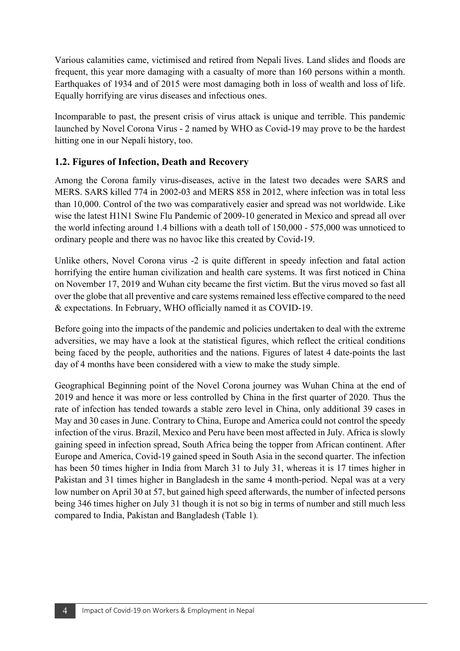Various calamities came, victimised and retired from Nepali lives. Land slides and floods are frequent, this year more damaging with a casualty of more than 160 persons within a month. Earthquakes of 1934 and of 2015 were most damaging both in loss of wealth and loss of life. Equally horrifying are virus diseases and infectious ones.

Incomparable to past, the present crisis of virus attack is unique and terrible. This pandemic launched by Novel Corona Virus - 2 named by WHO as Covid-19 may prove to be the hardest hitting one in our Nepali history, too.

#### **1.2. Figures of Infection, Death and Recovery**

Among the Corona family virus-diseases, active in the latest two decades were SARS and MERS. SARS killed 774 in 2002-03 and MERS 858 in 2012, where infection was in total less than 10,000. Control of the two was comparatively easier and spread was not worldwide. Like wise the latest H1N1 Swine Flu Pandemic of 2009-10 generated in Mexico and spread all over the world infecting around 1.4 billions with a death toll of 150,000 - 575,000 was unnoticed to ordinary people and there was no havoc like this created by Covid-19.

Unlike others, Novel Corona virus -2 is quite different in speedy infection and fatal action horrifying the entire human civilization and health care systems. It was first noticed in China on November 17, 2019 and Wuhan city became the first victim. But the virus moved so fast all over the globe that all preventive and care systems remained less effective compared to the need & expectations. In February, WHO officially named it as COVID-19.

Before going into the impacts of the pandemic and policies undertaken to deal with the extreme adversities, we may have a look at the statistical figures, which reflect the critical conditions being faced by the people, authorities and the nations. Figures of latest 4 date-points the last day of 4 months have been considered with a view to make the study simple.

Geographical Beginning point of the Novel Corona journey was Wuhan China at the end of 2019 and hence it was more or less controlled by China in the first quarter of 2020. Thus the rate of infection has tended towards a stable zero level in China, only additional 39 cases in May and 30 cases in June. Contrary to China, Europe and America could not control the speedy infection of the virus. Brazil, Mexico and Peru have been most affected in July. Africa is slowly gaining speed in infection spread, South Africa being the topper from African continent. After Europe and America, Covid-19 gained speed in South Asia in the second quarter. The infection has been 50 times higher in India from March 31 to July 31, whereas it is 17 times higher in Pakistan and 31 times higher in Bangladesh in the same 4 month-period. Nepal was at a very low number on April 30 at 57, but gained high speed afterwards, the number of infected persons being 346 times higher on July 31 though it is not so big in terms of number and still much less compared to India, Pakistan and Bangladesh (Table 1)*.*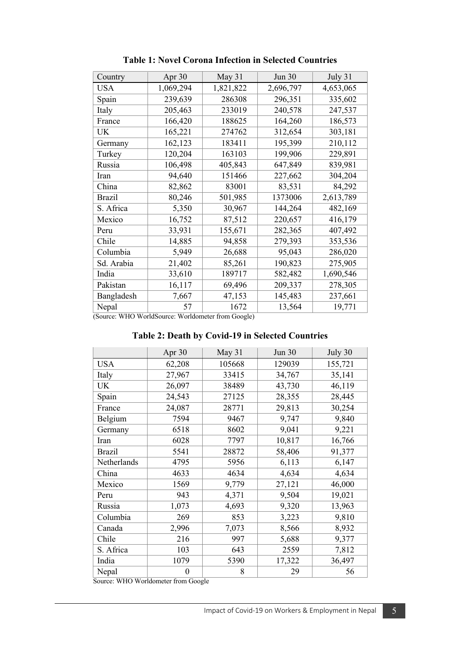| Country       | Apr 30    | May 31    | Jun 30    | July 31   |
|---------------|-----------|-----------|-----------|-----------|
| USA           | 1,069,294 | 1,821,822 | 2,696,797 | 4,653,065 |
| Spain         | 239,639   | 286308    | 296,351   | 335,602   |
| Italy         | 205,463   | 233019    | 240,578   | 247,537   |
| France        | 166,420   | 188625    | 164,260   | 186,573   |
| UK            | 165,221   | 274762    | 312,654   | 303,181   |
| Germany       | 162,123   | 183411    | 195,399   | 210,112   |
| Turkey        | 120,204   | 163103    | 199,906   | 229,891   |
| Russia        | 106,498   | 405,843   | 647,849   | 839,981   |
| Iran          | 94,640    | 151466    | 227,662   | 304,204   |
| China         | 82,862    | 83001     | 83,531    | 84,292    |
| <b>Brazil</b> | 80,246    | 501,985   | 1373006   | 2,613,789 |
| S. Africa     | 5,350     | 30,967    | 144,264   | 482,169   |
| Mexico        | 16,752    | 87,512    | 220,657   | 416,179   |
| Peru          | 33,931    | 155,671   | 282,365   | 407,492   |
| Chile         | 14,885    | 94,858    | 279,393   | 353,536   |
| Columbia      | 5,949     | 26,688    | 95,043    | 286,020   |
| Sd. Arabia    | 21,402    | 85,261    | 190,823   | 275,905   |
| India         | 33,610    | 189717    | 582,482   | 1,690,546 |
| Pakistan      | 16,117    | 69,496    | 209,337   | 278,305   |
| Bangladesh    | 7,667     | 47,153    | 145,483   | 237,661   |
| Nepal         | 57        | 1672      | 13,564    | 19,771    |

**Table 1: Novel Corona Infection in Selected Countries**

(Source: WHO WorldSource: Worldometer from Google)

|  |  |  |  |  |  |  | Table 2: Death by Covid-19 in Selected Countries |
|--|--|--|--|--|--|--|--------------------------------------------------|
|--|--|--|--|--|--|--|--------------------------------------------------|

|               | Apr 30 | May 31 | <b>Jun 30</b> | July 30 |
|---------------|--------|--------|---------------|---------|
| <b>USA</b>    | 62,208 | 105668 | 129039        | 155,721 |
| Italy         | 27,967 | 33415  | 34,767        | 35,141  |
| <b>UK</b>     | 26,097 | 38489  | 43,730        | 46,119  |
| Spain         | 24,543 | 27125  | 28,355        | 28,445  |
| France        | 24,087 | 28771  | 29,813        | 30,254  |
| Belgium       | 7594   | 9467   | 9,747         | 9,840   |
| Germany       | 6518   | 8602   | 9,041         | 9,221   |
| Iran          | 6028   | 7797   | 10,817        | 16,766  |
| <b>Brazil</b> | 5541   | 28872  | 58,406        | 91,377  |
| Netherlands   | 4795   | 5956   | 6,113         | 6,147   |
| China         | 4633   | 4634   | 4,634         | 4,634   |
| Mexico        | 1569   | 9,779  | 27,121        | 46,000  |
| Peru          | 943    | 4,371  | 9,504         | 19,021  |
| Russia        | 1,073  | 4,693  | 9,320         | 13,963  |
| Columbia      | 269    | 853    | 3,223         | 9,810   |
| Canada        | 2,996  | 7,073  | 8,566         | 8,932   |
| Chile         | 216    | 997    | 5,688         | 9,377   |
| S. Africa     | 103    | 643    | 2559          | 7,812   |
| India         | 1079   | 5390   | 17,322        | 36,497  |
| Nepal         | 0      | 8      | 29            | 56      |

Source: WHO Worldometer from Google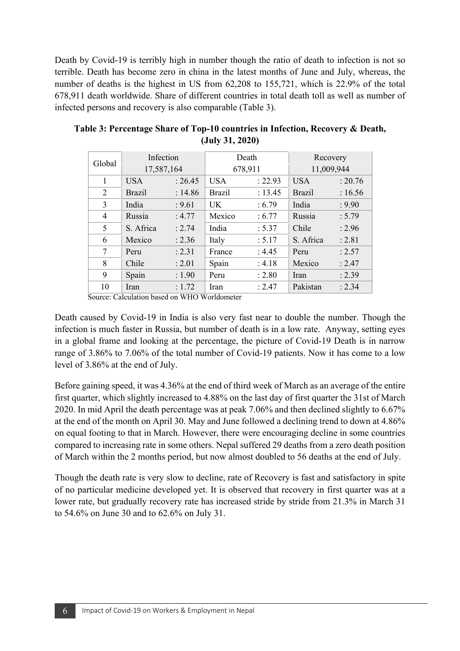Death by Covid-19 is terribly high in number though the ratio of death to infection is not so terrible. Death has become zero in china in the latest months of June and July, whereas, the number of deaths is the highest in US from 62,208 to 155,721, which is 22.9% of the total 678,911 death worldwide. Share of different countries in total death toll as well as number of infected persons and recovery is also comparable (Table 3).

| Global | Infection     |         | Death         |         | Recovery      |         |
|--------|---------------|---------|---------------|---------|---------------|---------|
|        | 17,587,164    |         | 678,911       |         | 11,009,944    |         |
| 1      | <b>USA</b>    | : 26.45 | <b>USA</b>    | : 22.93 | <b>USA</b>    | : 20.76 |
| 2      | <b>Brazil</b> | : 14.86 | <b>Brazil</b> | : 13.45 | <b>Brazil</b> | : 16.56 |
| 3      | India         | : 9.61  | UK            | : 6.79  | India         | : 9.90  |
| 4      | Russia        | : 4.77  | Mexico        | : 6.77  | Russia        | : 5.79  |
| 5      | S. Africa     | : 2.74  | India         | : 5.37  | Chile         | : 2.96  |
| 6      | Mexico        | : 2.36  | Italy         | : 5.17  | S. Africa     | : 2.81  |
| 7      | Peru          | : 2.31  | France        | : 4.45  | Peru          | : 2.57  |
| 8      | Chile         | : 2.01  | Spain         | : 4.18  | Mexico        | : 2.47  |
| 9      | Spain         | : 1.90  | Peru          | : 2.80  | <b>I</b> ran  | : 2.39  |
| 10     | Iran          | : 1.72  | Iran          | : 2.47  | Pakistan      | : 2.34  |

**Table 3: Percentage Share of Top-10 countries in Infection, Recovery & Death, (July 31, 2020)**

Source: Calculation based on WHO Worldometer

Death caused by Covid-19 in India is also very fast near to double the number. Though the infection is much faster in Russia, but number of death is in a low rate. Anyway, setting eyes in a global frame and looking at the percentage, the picture of Covid-19 Death is in narrow range of 3.86% to 7.06% of the total number of Covid-19 patients. Now it has come to a low level of 3.86% at the end of July.

Before gaining speed, it was 4.36% at the end of third week of March as an average of the entire first quarter, which slightly increased to 4.88% on the last day of first quarter the 31st of March 2020. In mid April the death percentage was at peak 7.06% and then declined slightly to 6.67% at the end of the month on April 30. May and June followed a declining trend to down at 4.86% on equal footing to that in March. However, there were encouraging decline in some countries compared to increasing rate in some others. Nepal suffered 29 deaths from a zero death position of March within the 2 months period, but now almost doubled to 56 deaths at the end of July.

Though the death rate is very slow to decline, rate of Recovery is fast and satisfactory in spite of no particular medicine developed yet. It is observed that recovery in first quarter was at a lower rate, but gradually recovery rate has increased stride by stride from 21.3% in March 31 to 54.6% on June 30 and to 62.6% on July 31.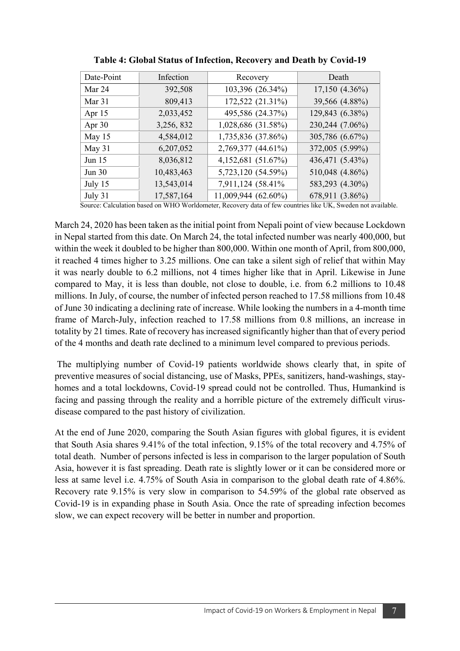| Date-Point | Infection  | Recovery             | Death           |
|------------|------------|----------------------|-----------------|
| Mar 24     | 392,508    | 103,396 (26.34%)     | 17,150 (4.36%)  |
| Mar 31     | 809,413    | 172,522 (21.31%)     | 39,566 (4.88%)  |
| Apr 15     | 2,033,452  | 495,586 (24.37%)     | 129,843 (6.38%) |
| Apr $30$   | 3,256,832  | 1,028,686 (31.58%)   | 230,244 (7.06%) |
| May 15     | 4,584,012  | 1,735,836 (37.86%)   | 305,786 (6.67%) |
| May 31     | 6,207,052  | 2,769,377 (44.61%)   | 372,005 (5.99%) |
| Jun $15$   | 8,036,812  | 4, 152, 681 (51.67%) | 436,471 (5.43%) |
| Jun 30     | 10,483,463 | 5,723,120 (54.59%)   | 510,048 (4.86%) |
| July 15    | 13,543,014 | 7,911,124 (58.41%)   | 583,293 (4.30%) |
| July 31    | 17,587,164 | 11,009,944 (62.60%)  | 678,911 (3.86%) |

**Table 4: Global Status of Infection, Recovery and Death by Covid-19**

Source: Calculation based on WHO Worldometer, Recovery data of few countries like UK, Sweden not available.

March 24, 2020 has been taken as the initial point from Nepali point of view because Lockdown in Nepal started from this date. On March 24, the total infected number was nearly 400,000, but within the week it doubled to be higher than 800,000. Within one month of April, from 800,000, it reached 4 times higher to 3.25 millions. One can take a silent sigh of relief that within May it was nearly double to 6.2 millions, not 4 times higher like that in April. Likewise in June compared to May, it is less than double, not close to double, i.e. from 6.2 millions to 10.48 millions. In July, of course, the number of infected person reached to 17.58 millions from 10.48 of June 30 indicating a declining rate of increase. While looking the numbers in a 4-month time frame of March-July, infection reached to 17.58 millions from 0.8 millions, an increase in totality by 21 times. Rate of recovery has increased significantly higher than that of every period of the 4 months and death rate declined to a minimum level compared to previous periods.

The multiplying number of Covid-19 patients worldwide shows clearly that, in spite of preventive measures of social distancing, use of Masks, PPEs, sanitizers, hand-washings, stayhomes and a total lockdowns, Covid-19 spread could not be controlled. Thus, Humankind is facing and passing through the reality and a horrible picture of the extremely difficult virusdisease compared to the past history of civilization.

At the end of June 2020, comparing the South Asian figures with global figures, it is evident that South Asia shares 9.41% of the total infection, 9.15% of the total recovery and 4.75% of total death. Number of persons infected is less in comparison to the larger population of South Asia, however it is fast spreading. Death rate is slightly lower or it can be considered more or less at same level i.e. 4.75% of South Asia in comparison to the global death rate of 4.86%. Recovery rate 9.15% is very slow in comparison to 54.59% of the global rate observed as Covid-19 is in expanding phase in South Asia. Once the rate of spreading infection becomes slow, we can expect recovery will be better in number and proportion.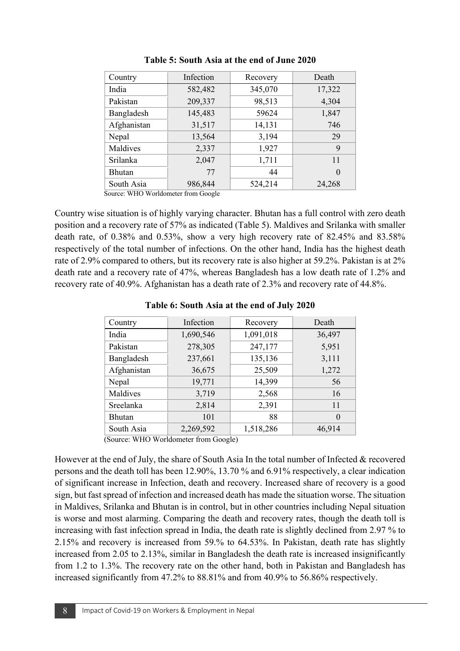| Country       | Infection | Recovery | Death    |
|---------------|-----------|----------|----------|
| India         | 582,482   | 345,070  | 17,322   |
| Pakistan      | 209,337   | 98,513   | 4,304    |
| Bangladesh    | 145,483   | 59624    | 1,847    |
| Afghanistan   | 31,517    | 14,131   | 746      |
| Nepal         | 13,564    | 3,194    | 29       |
| Maldives      | 2,337     | 1,927    | 9        |
| Srilanka      | 2,047     | 1,711    | 11       |
| <b>Bhutan</b> | 77        | 44       | $\theta$ |
| South Asia    | 986,844   | 524,214  | 24,268   |

#### **Table 5: South Asia at the end of June 2020**

Source: WHO Worldometer from Google

Country wise situation is of highly varying character. Bhutan has a full control with zero death position and a recovery rate of 57% as indicated (Table 5). Maldives and Srilanka with smaller death rate, of 0.38% and 0.53%, show a very high recovery rate of 82.45% and 83.58% respectively of the total number of infections. On the other hand, India has the highest death rate of 2.9% compared to others, but its recovery rate is also higher at 59.2%. Pakistan is at 2% death rate and a recovery rate of 47%, whereas Bangladesh has a low death rate of 1.2% and recovery rate of 40.9%. Afghanistan has a death rate of 2.3% and recovery rate of 44.8%.

| Country       | Infection | Recovery  | Death    |
|---------------|-----------|-----------|----------|
| India         | 1,690,546 | 1,091,018 | 36,497   |
| Pakistan      | 278,305   | 247,177   | 5,951    |
| Bangladesh    | 237,661   | 135,136   | 3,111    |
| Afghanistan   | 36,675    | 25,509    | 1,272    |
| Nepal         | 19,771    | 14,399    | 56       |
| Maldives      | 3,719     | 2,568     | 16       |
| Sreelanka     | 2,814     | 2,391     | 11       |
| <b>Bhutan</b> | 101       | 88        | $\Omega$ |
| South Asia    | 2,269,592 | 1,518,286 | 46,914   |

#### **Table 6: South Asia at the end of July 2020**

(Source: WHO Worldometer from Google)

However at the end of July, the share of South Asia In the total number of Infected & recovered persons and the death toll has been 12.90%, 13.70 % and 6.91% respectively, a clear indication of significant increase in Infection, death and recovery. Increased share of recovery is a good sign, but fast spread of infection and increased death has made the situation worse. The situation in Maldives, Srilanka and Bhutan is in control, but in other countries including Nepal situation is worse and most alarming. Comparing the death and recovery rates, though the death toll is increasing with fast infection spread in India, the death rate is slightly declined from 2.97 % to 2.15% and recovery is increased from 59.% to 64.53%. In Pakistan, death rate has slightly increased from 2.05 to 2.13%, similar in Bangladesh the death rate is increased insignificantly from 1.2 to 1.3%. The recovery rate on the other hand, both in Pakistan and Bangladesh has increased significantly from 47.2% to 88.81% and from 40.9% to 56.86% respectively.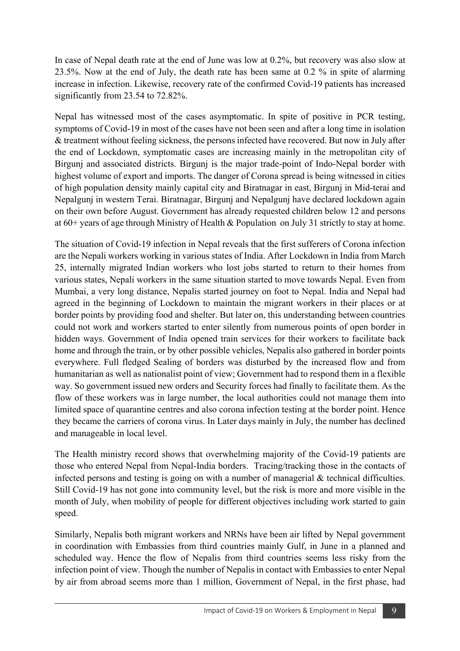In case of Nepal death rate at the end of June was low at 0.2%, but recovery was also slow at 23.5%. Now at the end of July, the death rate has been same at 0.2 % in spite of alarming increase in infection. Likewise, recovery rate of the confirmed Covid-19 patients has increased significantly from 23.54 to 72.82%.

Nepal has witnessed most of the cases asymptomatic. In spite of positive in PCR testing, symptoms of Covid-19 in most of the cases have not been seen and after a long time in isolation & treatment without feeling sickness, the persons infected have recovered. But now in July after the end of Lockdown, symptomatic cases are increasing mainly in the metropolitan city of Birgunj and associated districts. Birgunj is the major trade-point of Indo-Nepal border with highest volume of export and imports. The danger of Corona spread is being witnessed in cities of high population density mainly capital city and Biratnagar in east, Birgunj in Mid-terai and Nepalgunj in western Terai. Biratnagar, Birgunj and Nepalgunj have declared lockdown again on their own before August. Government has already requested children below 12 and persons at 60+ years of age through Ministry of Health & Population on July 31 strictly to stay at home.

The situation of Covid-19 infection in Nepal reveals that the first sufferers of Corona infection are the Nepali workers working in various states of India. After Lockdown in India from March 25, internally migrated Indian workers who lost jobs started to return to their homes from various states, Nepali workers in the same situation started to move towards Nepal. Even from Mumbai, a very long distance, Nepalis started journey on foot to Nepal. India and Nepal had agreed in the beginning of Lockdown to maintain the migrant workers in their places or at border points by providing food and shelter. But later on, this understanding between countries could not work and workers started to enter silently from numerous points of open border in hidden ways. Government of India opened train services for their workers to facilitate back home and through the train, or by other possible vehicles, Nepalis also gathered in border points everywhere. Full fledged Sealing of borders was disturbed by the increased flow and from humanitarian as well as nationalist point of view; Government had to respond them in a flexible way. So government issued new orders and Security forces had finally to facilitate them. As the flow of these workers was in large number, the local authorities could not manage them into limited space of quarantine centres and also corona infection testing at the border point. Hence they became the carriers of corona virus. In Later days mainly in July, the number has declined and manageable in local level.

The Health ministry record shows that overwhelming majority of the Covid-19 patients are those who entered Nepal from Nepal-India borders. Tracing/tracking those in the contacts of infected persons and testing is going on with a number of managerial & technical difficulties. Still Covid-19 has not gone into community level, but the risk is more and more visible in the month of July, when mobility of people for different objectives including work started to gain speed.

Similarly, Nepalis both migrant workers and NRNs have been air lifted by Nepal government in coordination with Embassies from third countries mainly Gulf, in June in a planned and scheduled way. Hence the flow of Nepalis from third countries seems less risky from the infection point of view. Though the number of Nepalis in contact with Embassies to enter Nepal by air from abroad seems more than 1 million, Government of Nepal, in the first phase, had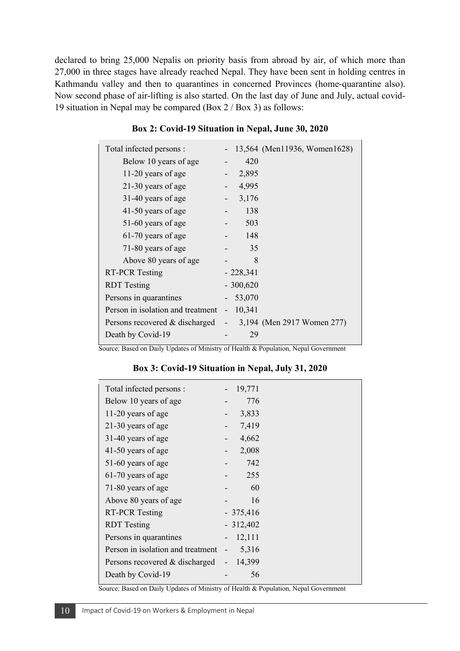declared to bring 25,000 Nepalis on priority basis from abroad by air, of which more than 27,000 in three stages have already reached Nepal. They have been sent in holding centres in Kathmandu valley and then to quarantines in concerned Provinces (home-quarantine also). Now second phase of air-lifting is also started. On the last day of June and July, actual covid-19 situation in Nepal may be compared (Box 2 / Box 3) as follows:

| Total infected persons :          | 13,564 (Men11936, Women1628)<br>$\sim$          |
|-----------------------------------|-------------------------------------------------|
| Below 10 years of age             | 420                                             |
| 11-20 years of age                | 2,895                                           |
| 21-30 years of age                | 4,995                                           |
| 31-40 years of age                | 3,176                                           |
| 41-50 years of age                | 138                                             |
| 51-60 years of age                | 503                                             |
| 61-70 years of age                | 148                                             |
| 71-80 years of age                | 35                                              |
| Above 80 years of age             | 8                                               |
| <b>RT-PCR Testing</b>             | $-228,341$                                      |
| <b>RDT</b> Testing                | $-300,620$                                      |
| Persons in quarantines            | 53,070                                          |
| Person in isolation and treatment | 10,341                                          |
| Persons recovered & discharged    | 3,194 (Men 2917 Women 277)<br>$\qquad \qquad -$ |
| Death by Covid-19                 | 29                                              |
|                                   |                                                 |

**Box 2: Covid-19 Situation in Nepal, June 30, 2020**

Source: Based on Daily Updates of Ministry of Health & Population, Nepal Government

**Box 3: Covid-19 Situation in Nepal, July 31, 2020**

| Total infected persons :          | 19,771     |
|-----------------------------------|------------|
| Below 10 years of age             | 776        |
| 11-20 years of age                | 3,833      |
| 21-30 years of age                | 7,419      |
| 31-40 years of age                | 4,662      |
| 41-50 years of age                | 2,008      |
| 51-60 years of age                | 742        |
| 61-70 years of age                | 255        |
| 71-80 years of age                | 60         |
| Above 80 years of age             | 16         |
| <b>RT-PCR Testing</b>             | $-375,416$ |
| <b>RDT</b> Testing                | $-312,402$ |
| Persons in quarantines            | 12,111     |
| Person in isolation and treatment | 5,316      |
| Persons recovered & discharged    | 14,399     |
| Death by Covid-19                 | 56         |

Source: Based on Daily Updates of Ministry of Health & Population, Nepal Government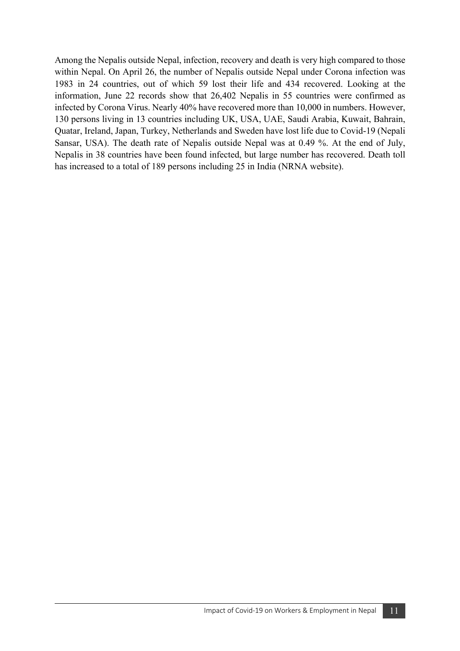Among the Nepalis outside Nepal, infection, recovery and death is very high compared to those within Nepal. On April 26, the number of Nepalis outside Nepal under Corona infection was 1983 in 24 countries, out of which 59 lost their life and 434 recovered. Looking at the information, June 22 records show that 26,402 Nepalis in 55 countries were confirmed as infected by Corona Virus. Nearly 40% have recovered more than 10,000 in numbers. However, 130 persons living in 13 countries including UK, USA, UAE, Saudi Arabia, Kuwait, Bahrain, Quatar, Ireland, Japan, Turkey, Netherlands and Sweden have lost life due to Covid-19 (Nepali Sansar, USA). The death rate of Nepalis outside Nepal was at 0.49 %. At the end of July, Nepalis in 38 countries have been found infected, but large number has recovered. Death toll has increased to a total of 189 persons including 25 in India (NRNA website).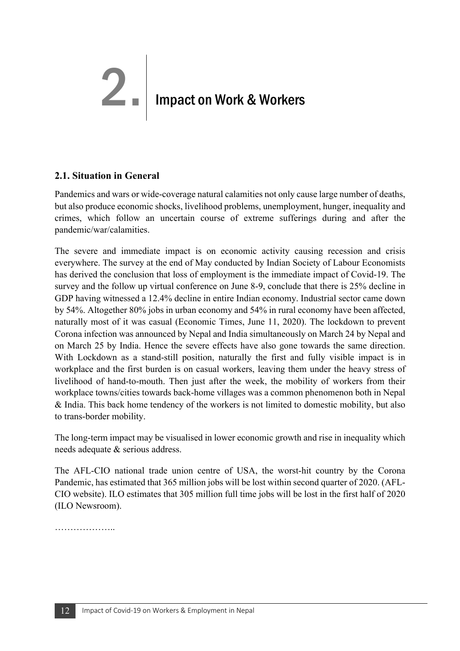2. Impact on Work & Workers

#### **2.1. Situation in General**

Pandemics and wars or wide-coverage natural calamities not only cause large number of deaths, but also produce economic shocks, livelihood problems, unemployment, hunger, inequality and crimes, which follow an uncertain course of extreme sufferings during and after the pandemic/war/calamities.

The severe and immediate impact is on economic activity causing recession and crisis everywhere. The survey at the end of May conducted by Indian Society of Labour Economists has derived the conclusion that loss of employment is the immediate impact of Covid-19. The survey and the follow up virtual conference on June 8-9, conclude that there is 25% decline in GDP having witnessed a 12.4% decline in entire Indian economy. Industrial sector came down by 54%. Altogether 80% jobs in urban economy and 54% in rural economy have been affected, naturally most of it was casual (Economic Times, June 11, 2020). The lockdown to prevent Corona infection was announced by Nepal and India simultaneously on March 24 by Nepal and on March 25 by India. Hence the severe effects have also gone towards the same direction. With Lockdown as a stand-still position, naturally the first and fully visible impact is in workplace and the first burden is on casual workers, leaving them under the heavy stress of livelihood of hand-to-mouth. Then just after the week, the mobility of workers from their workplace towns/cities towards back-home villages was a common phenomenon both in Nepal & India. This back home tendency of the workers is not limited to domestic mobility, but also to trans-border mobility.

The long-term impact may be visualised in lower economic growth and rise in inequality which needs adequate & serious address.

The AFL-CIO national trade union centre of USA, the worst-hit country by the Corona Pandemic, has estimated that 365 million jobs will be lost within second quarter of 2020. (AFL-CIO website). ILO estimates that 305 million full time jobs will be lost in the first half of 2020 (ILO Newsroom).

. . . . . . . . . . . . . . . . . . . .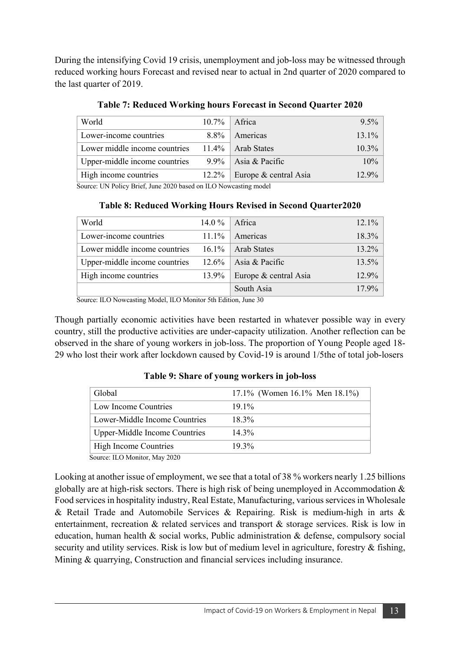During the intensifying Covid 19 crisis, unemployment and job-loss may be witnessed through reduced working hours Forecast and revised near to actual in 2nd quarter of 2020 compared to the last quarter of 2019.

| World                         |          | $10.7\%$ Africa       | $9.5\%$  |
|-------------------------------|----------|-----------------------|----------|
| Lower-income countries        | 8.8%     | Americas              | 13.1%    |
| Lower middle income countries | $11.4\%$ | <b>Arab States</b>    | $10.3\%$ |
| Upper-middle income countries | $9.9\%$  | Asia & Pacific        | 10%      |
| High income countries         | $12.2\%$ | Europe & central Asia | 12.9%    |

**Table 7: Reduced Working hours Forecast in Second Quarter 2020**

Source: UN Policy Brief, June 2020 based on ILO Nowcasting model

| World                         | 14.0 $%$ | Africa                | $12.1\%$ |
|-------------------------------|----------|-----------------------|----------|
| Lower-income countries        | $11.1\%$ | Americas              | 18.3%    |
| Lower middle income countries | $16.1\%$ | Arab States           | 13.2%    |
| Upper-middle income countries | 12.6%    | Asia & Pacific        | 13.5%    |
| High income countries         | 13.9%    | Europe & central Asia | 12.9%    |
|                               |          | South Asia            | $17.9\%$ |

**Table 8: Reduced Working Hours Revised in Second Quarter2020**

Source: ILO Nowcasting Model, ILO Monitor 5th Edition, June 30

Though partially economic activities have been restarted in whatever possible way in every country, still the productive activities are under-capacity utilization. Another reflection can be observed in the share of young workers in job-loss. The proportion of Young People aged 18- 29 who lost their work after lockdown caused by Covid-19 is around 1/5the of total job-losers

| Global                                                                                 | 17.1% (Women 16.1% Men 18.1%) |
|----------------------------------------------------------------------------------------|-------------------------------|
| Low Income Countries                                                                   | $19.1\%$                      |
| Lower-Middle Income Countries                                                          | 18.3%                         |
| <b>Upper-Middle Income Countries</b>                                                   | $14.3\%$                      |
| <b>High Income Countries</b>                                                           | $19.3\%$                      |
| $S_{21121}$ $\rightarrow$ $H \odot M_{211}$ $\rightarrow$ $M_{211}$ $\rightarrow$ 0000 |                               |

**Table 9: Share of young workers in job-loss**

Source: ILO Monitor, May 2020

Looking at another issue of employment, we see that a total of 38 % workers nearly 1.25 billions globally are at high-risk sectors. There is high risk of being unemployed in Accommodation & Food services in hospitality industry, Real Estate, Manufacturing, various services in Wholesale & Retail Trade and Automobile Services & Repairing. Risk is medium-high in arts & entertainment, recreation & related services and transport & storage services. Risk is low in education, human health & social works, Public administration & defense, compulsory social security and utility services. Risk is low but of medium level in agriculture, forestry & fishing, Mining & quarrying, Construction and financial services including insurance.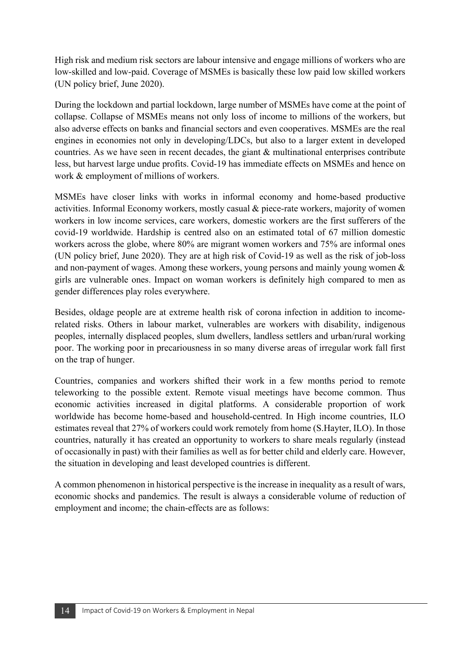High risk and medium risk sectors are labour intensive and engage millions of workers who are low-skilled and low-paid. Coverage of MSMEs is basically these low paid low skilled workers (UN policy brief, June 2020).

During the lockdown and partial lockdown, large number of MSMEs have come at the point of collapse. Collapse of MSMEs means not only loss of income to millions of the workers, but also adverse effects on banks and financial sectors and even cooperatives. MSMEs are the real engines in economies not only in developing/LDCs, but also to a larger extent in developed countries. As we have seen in recent decades, the giant & multinational enterprises contribute less, but harvest large undue profits. Covid-19 has immediate effects on MSMEs and hence on work & employment of millions of workers.

MSMEs have closer links with works in informal economy and home-based productive activities. Informal Economy workers, mostly casual & piece-rate workers, majority of women workers in low income services, care workers, domestic workers are the first sufferers of the covid-19 worldwide. Hardship is centred also on an estimated total of 67 million domestic workers across the globe, where 80% are migrant women workers and 75% are informal ones (UN policy brief, June 2020). They are at high risk of Covid-19 as well as the risk of job-loss and non-payment of wages. Among these workers, young persons and mainly young women & girls are vulnerable ones. Impact on woman workers is definitely high compared to men as gender differences play roles everywhere.

Besides, oldage people are at extreme health risk of corona infection in addition to incomerelated risks. Others in labour market, vulnerables are workers with disability, indigenous peoples, internally displaced peoples, slum dwellers, landless settlers and urban/rural working poor. The working poor in precariousness in so many diverse areas of irregular work fall first on the trap of hunger.

Countries, companies and workers shifted their work in a few months period to remote teleworking to the possible extent. Remote visual meetings have become common. Thus economic activities increased in digital platforms. A considerable proportion of work worldwide has become home-based and household-centred. In High income countries, ILO estimates reveal that 27% of workers could work remotely from home (S.Hayter, ILO). In those countries, naturally it has created an opportunity to workers to share meals regularly (instead of occasionally in past) with their families as well as for better child and elderly care. However, the situation in developing and least developed countries is different.

A common phenomenon in historical perspective is the increase in inequality as a result of wars, economic shocks and pandemics. The result is always a considerable volume of reduction of employment and income; the chain-effects are as follows: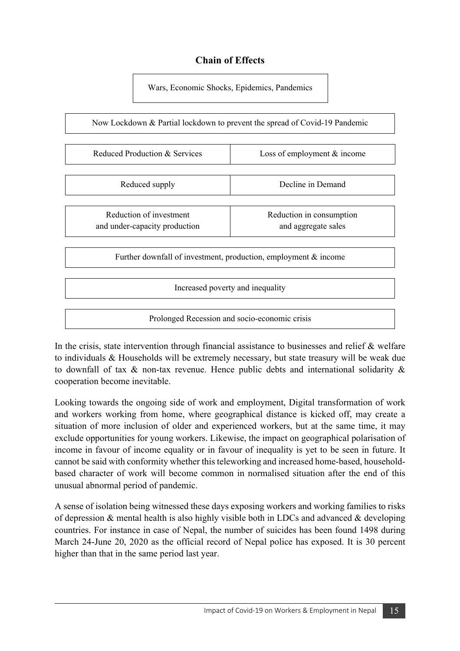#### **Chain of Effects**

Wars, Economic Shocks, Epidemics, Pandemics

Now Lockdown & Partial lockdown to prevent the spread of Covid-19 Pandemic

| Reduced Production & Services                                   | Loss of employment $&$ income                   |  |  |
|-----------------------------------------------------------------|-------------------------------------------------|--|--|
| Reduced supply                                                  | Decline in Demand                               |  |  |
| Reduction of investment<br>and under-capacity production        | Reduction in consumption<br>and aggregate sales |  |  |
| Further downfall of investment, production, employment & income |                                                 |  |  |
| Increased poverty and inequality                                |                                                 |  |  |
|                                                                 |                                                 |  |  |

In the crisis, state intervention through financial assistance to businesses and relief & welfare to individuals & Households will be extremely necessary, but state treasury will be weak due to downfall of tax & non-tax revenue. Hence public debts and international solidarity & cooperation become inevitable.

Prolonged Recession and socio-economic crisis

Looking towards the ongoing side of work and employment, Digital transformation of work and workers working from home, where geographical distance is kicked off, may create a situation of more inclusion of older and experienced workers, but at the same time, it may exclude opportunities for young workers. Likewise, the impact on geographical polarisation of income in favour of income equality or in favour of inequality is yet to be seen in future. It cannot be said with conformity whether this teleworking and increased home-based, householdbased character of work will become common in normalised situation after the end of this unusual abnormal period of pandemic.

A sense of isolation being witnessed these days exposing workers and working families to risks of depression & mental health is also highly visible both in LDCs and advanced & developing countries. For instance in case of Nepal, the number of suicides has been found 1498 during March 24-June 20, 2020 as the official record of Nepal police has exposed. It is 30 percent higher than that in the same period last year.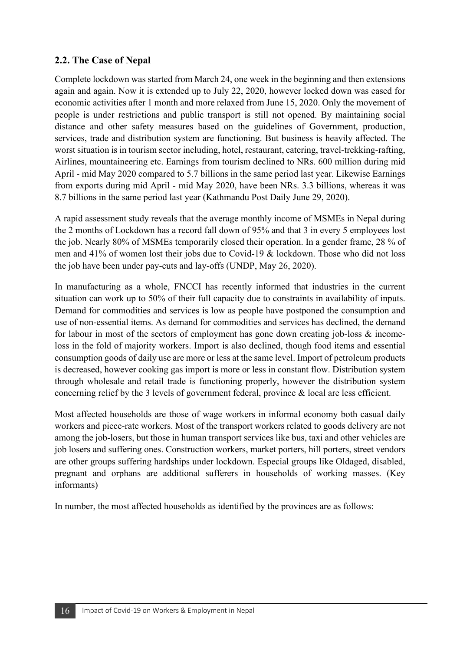#### **2.2. The Case of Nepal**

Complete lockdown was started from March 24, one week in the beginning and then extensions again and again. Now it is extended up to July 22, 2020, however locked down was eased for economic activities after 1 month and more relaxed from June 15, 2020. Only the movement of people is under restrictions and public transport is still not opened. By maintaining social distance and other safety measures based on the guidelines of Government, production, services, trade and distribution system are functioning. But business is heavily affected. The worst situation is in tourism sector including, hotel, restaurant, catering, travel-trekking-rafting, Airlines, mountaineering etc. Earnings from tourism declined to NRs. 600 million during mid April - mid May 2020 compared to 5.7 billions in the same period last year. Likewise Earnings from exports during mid April - mid May 2020, have been NRs. 3.3 billions, whereas it was 8.7 billions in the same period last year (Kathmandu Post Daily June 29, 2020).

A rapid assessment study reveals that the average monthly income of MSMEs in Nepal during the 2 months of Lockdown has a record fall down of 95% and that 3 in every 5 employees lost the job. Nearly 80% of MSMEs temporarily closed their operation. In a gender frame, 28 % of men and 41% of women lost their jobs due to Covid-19 & lockdown. Those who did not loss the job have been under pay-cuts and lay-offs (UNDP, May 26, 2020).

In manufacturing as a whole, FNCCI has recently informed that industries in the current situation can work up to 50% of their full capacity due to constraints in availability of inputs. Demand for commodities and services is low as people have postponed the consumption and use of non-essential items. As demand for commodities and services has declined, the demand for labour in most of the sectors of employment has gone down creating job-loss & incomeloss in the fold of majority workers. Import is also declined, though food items and essential consumption goods of daily use are more or less at the same level. Import of petroleum products is decreased, however cooking gas import is more or less in constant flow. Distribution system through wholesale and retail trade is functioning properly, however the distribution system concerning relief by the 3 levels of government federal, province & local are less efficient.

Most affected households are those of wage workers in informal economy both casual daily workers and piece-rate workers. Most of the transport workers related to goods delivery are not among the job-losers, but those in human transport services like bus, taxi and other vehicles are job losers and suffering ones. Construction workers, market porters, hill porters, street vendors are other groups suffering hardships under lockdown. Especial groups like Oldaged, disabled, pregnant and orphans are additional sufferers in households of working masses. (Key informants)

In number, the most affected households as identified by the provinces are as follows: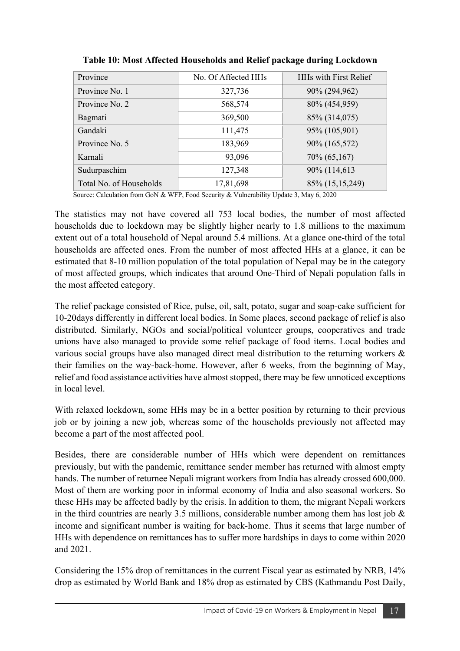| Province                | No. Of Affected HHs | <b>HHs with First Relief</b> |
|-------------------------|---------------------|------------------------------|
| Province No. 1          | 327,736             | 90% (294,962)                |
| Province No. 2          | 568,574             | 80% (454,959)                |
| Bagmati                 | 369,500             | 85% (314,075)                |
| Gandaki                 | 111,475             | 95% (105,901)                |
| Province No. 5          | 183,969             | 90% (165,572)                |
| Karnali                 | 93,096              | 70% (65,167)                 |
| Sudurpaschim            | 127,348             | 90% (114,613                 |
| Total No. of Households | 17,81,698           | 85% (15,15,249)              |

**Table 10: Most Affected Households and Relief package during Lockdown**

Source: Calculation from GoN & WFP, Food Security & Vulnerability Update 3, May 6, 2020

The statistics may not have covered all 753 local bodies, the number of most affected households due to lockdown may be slightly higher nearly to 1.8 millions to the maximum extent out of a total household of Nepal around 5.4 millions. At a glance one-third of the total households are affected ones. From the number of most affected HHs at a glance, it can be estimated that 8-10 million population of the total population of Nepal may be in the category of most affected groups, which indicates that around One-Third of Nepali population falls in the most affected category.

The relief package consisted of Rice, pulse, oil, salt, potato, sugar and soap-cake sufficient for 10-20days differently in different local bodies. In Some places, second package of relief is also distributed. Similarly, NGOs and social/political volunteer groups, cooperatives and trade unions have also managed to provide some relief package of food items. Local bodies and various social groups have also managed direct meal distribution to the returning workers & their families on the way-back-home. However, after 6 weeks, from the beginning of May, relief and food assistance activities have almost stopped, there may be few unnoticed exceptions in local level.

With relaxed lockdown, some HHs may be in a better position by returning to their previous job or by joining a new job, whereas some of the households previously not affected may become a part of the most affected pool.

Besides, there are considerable number of HHs which were dependent on remittances previously, but with the pandemic, remittance sender member has returned with almost empty hands. The number of returnee Nepali migrant workers from India has already crossed 600,000. Most of them are working poor in informal economy of India and also seasonal workers. So these HHs may be affected badly by the crisis. In addition to them, the migrant Nepali workers in the third countries are nearly 3.5 millions, considerable number among them has lost job  $\&$ income and significant number is waiting for back-home. Thus it seems that large number of HHs with dependence on remittances has to suffer more hardships in days to come within 2020 and 2021.

Considering the 15% drop of remittances in the current Fiscal year as estimated by NRB, 14% drop as estimated by World Bank and 18% drop as estimated by CBS (Kathmandu Post Daily,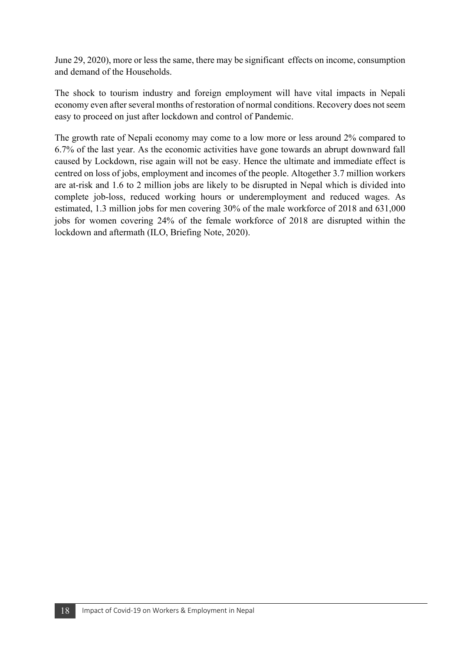June 29, 2020), more or less the same, there may be significant effects on income, consumption and demand of the Households.

The shock to tourism industry and foreign employment will have vital impacts in Nepali economy even after several months of restoration of normal conditions. Recovery does not seem easy to proceed on just after lockdown and control of Pandemic.

The growth rate of Nepali economy may come to a low more or less around 2% compared to 6.7% of the last year. As the economic activities have gone towards an abrupt downward fall caused by Lockdown, rise again will not be easy. Hence the ultimate and immediate effect is centred on loss of jobs, employment and incomes of the people. Altogether 3.7 million workers are at-risk and 1.6 to 2 million jobs are likely to be disrupted in Nepal which is divided into complete job-loss, reduced working hours or underemployment and reduced wages. As estimated, 1.3 million jobs for men covering 30% of the male workforce of 2018 and 631,000 jobs for women covering 24% of the female workforce of 2018 are disrupted within the lockdown and aftermath (ILO, Briefing Note, 2020).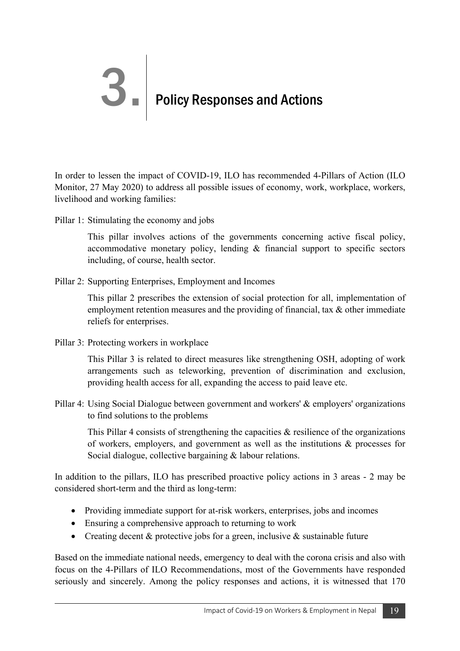# 3. Policy Responses and Actions

In order to lessen the impact of COVID-19, ILO has recommended 4-Pillars of Action (ILO Monitor, 27 May 2020) to address all possible issues of economy, work, workplace, workers, livelihood and working families:

Pillar 1: Stimulating the economy and jobs

This pillar involves actions of the governments concerning active fiscal policy, accommodative monetary policy, lending & financial support to specific sectors including, of course, health sector.

Pillar 2: Supporting Enterprises, Employment and Incomes

This pillar 2 prescribes the extension of social protection for all, implementation of employment retention measures and the providing of financial, tax & other immediate reliefs for enterprises.

Pillar 3: Protecting workers in workplace

This Pillar 3 is related to direct measures like strengthening OSH, adopting of work arrangements such as teleworking, prevention of discrimination and exclusion, providing health access for all, expanding the access to paid leave etc.

Pillar 4: Using Social Dialogue between government and workers' & employers' organizations to find solutions to the problems

This Pillar 4 consists of strengthening the capacities  $\&$  resilience of the organizations of workers, employers, and government as well as the institutions & processes for Social dialogue, collective bargaining & labour relations.

In addition to the pillars, ILO has prescribed proactive policy actions in 3 areas - 2 may be considered short-term and the third as long-term:

- Providing immediate support for at-risk workers, enterprises, jobs and incomes
- Ensuring a comprehensive approach to returning to work
- Creating decent & protective jobs for a green, inclusive & sustainable future

Based on the immediate national needs, emergency to deal with the corona crisis and also with focus on the 4-Pillars of ILO Recommendations, most of the Governments have responded seriously and sincerely. Among the policy responses and actions, it is witnessed that 170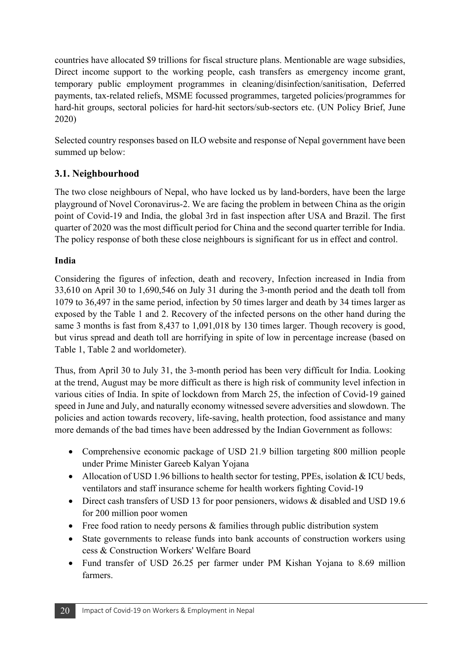countries have allocated \$9 trillions for fiscal structure plans. Mentionable are wage subsidies, Direct income support to the working people, cash transfers as emergency income grant, temporary public employment programmes in cleaning/disinfection/sanitisation, Deferred payments, tax-related reliefs, MSME focussed programmes, targeted policies/programmes for hard-hit groups, sectoral policies for hard-hit sectors/sub-sectors etc. (UN Policy Brief, June 2020)

Selected country responses based on ILO website and response of Nepal government have been summed up below:

#### **3.1. Neighbourhood**

The two close neighbours of Nepal, who have locked us by land-borders, have been the large playground of Novel Coronavirus-2. We are facing the problem in between China as the origin point of Covid-19 and India, the global 3rd in fast inspection after USA and Brazil. The first quarter of 2020 was the most difficult period for China and the second quarter terrible for India. The policy response of both these close neighbours is significant for us in effect and control.

#### **India**

Considering the figures of infection, death and recovery, Infection increased in India from 33,610 on April 30 to 1,690,546 on July 31 during the 3-month period and the death toll from 1079 to 36,497 in the same period, infection by 50 times larger and death by 34 times larger as exposed by the Table 1 and 2. Recovery of the infected persons on the other hand during the same 3 months is fast from 8,437 to 1,091,018 by 130 times larger. Though recovery is good, but virus spread and death toll are horrifying in spite of low in percentage increase (based on Table 1, Table 2 and worldometer).

Thus, from April 30 to July 31, the 3-month period has been very difficult for India. Looking at the trend, August may be more difficult as there is high risk of community level infection in various cities of India. In spite of lockdown from March 25, the infection of Covid-19 gained speed in June and July, and naturally economy witnessed severe adversities and slowdown. The policies and action towards recovery, life-saving, health protection, food assistance and many more demands of the bad times have been addressed by the Indian Government as follows:

- Comprehensive economic package of USD 21.9 billion targeting 800 million people under Prime Minister Gareeb Kalyan Yojana
- Allocation of USD 1.96 billions to health sector for testing, PPEs, isolation & ICU beds, ventilators and staff insurance scheme for health workers fighting Covid-19
- Direct cash transfers of USD 13 for poor pensioners, widows & disabled and USD 19.6 for 200 million poor women
- Free food ration to needy persons & families through public distribution system
- State governments to release funds into bank accounts of construction workers using cess & Construction Workers' Welfare Board
- Fund transfer of USD 26.25 per farmer under PM Kishan Yojana to 8.69 million farmers.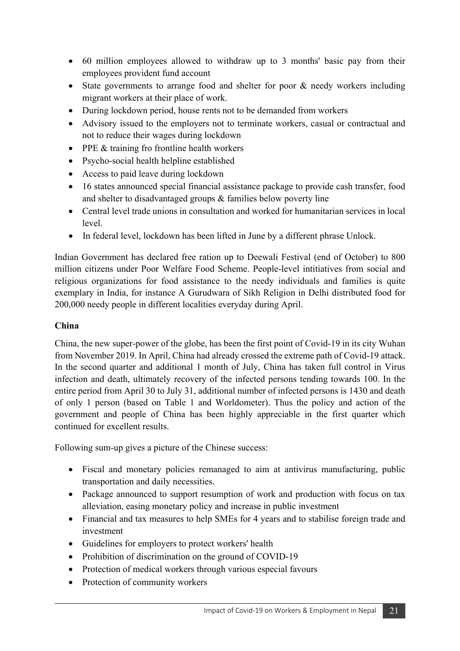- 60 million employees allowed to withdraw up to 3 months' basic pay from their employees provident fund account
- State governments to arrange food and shelter for poor & needy workers including migrant workers at their place of work.
- During lockdown period, house rents not to be demanded from workers
- Advisory issued to the employers not to terminate workers, casual or contractual and not to reduce their wages during lockdown
- PPE & training fro frontline health workers
- Psycho-social health helpline established
- Access to paid leave during lockdown
- 16 states announced special financial assistance package to provide cash transfer, food and shelter to disadvantaged groups & families below poverty line
- Central level trade unions in consultation and worked for humanitarian services in local level.
- In federal level, lockdown has been lifted in June by a different phrase Unlock.

Indian Government has declared free ration up to Deewali Festival (end of October) to 800 million citizens under Poor Welfare Food Scheme. People-level intitiatives from social and religious organizations for food assistance to the needy individuals and families is quite exemplary in India, for instance A Gurudwara of Sikh Religion in Delhi distributed food for 200,000 needy people in different localities everyday during April.

#### **China**

China, the new super-power of the globe, has been the first point of Covid-19 in its city Wuhan from November 2019. In April, China had already crossed the extreme path of Covid-19 attack. In the second quarter and additional 1 month of July, China has taken full control in Virus infection and death, ultimately recovery of the infected persons tending towards 100. In the entire period from April 30 to July 31, additional number of infected persons is 1430 and death of only 1 person (based on Table 1 and Worldometer). Thus the policy and action of the government and people of China has been highly appreciable in the first quarter which continued for excellent results.

Following sum-up gives a picture of the Chinese success:

- Fiscal and monetary policies remanaged to aim at antivirus manufacturing, public transportation and daily necessities.
- Package announced to support resumption of work and production with focus on tax alleviation, easing monetary policy and increase in public investment
- Financial and tax measures to help SMEs for 4 years and to stabilise foreign trade and investment
- Guidelines for employers to protect workers' health
- Prohibition of discrimination on the ground of COVID-19
- Protection of medical workers through various especial favours
- Protection of community workers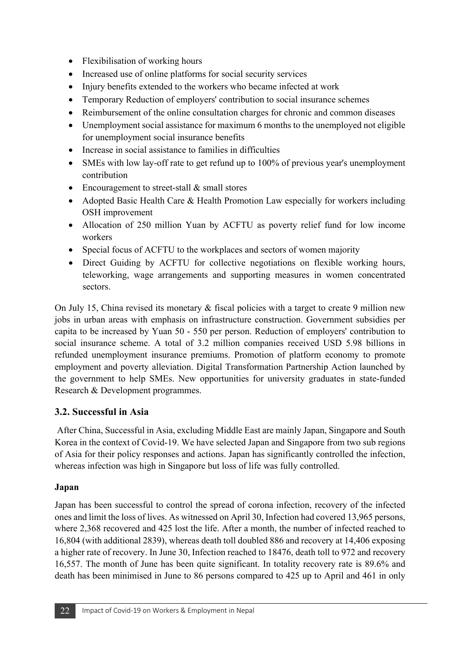- Flexibilisation of working hours
- Increased use of online platforms for social security services
- Injury benefits extended to the workers who became infected at work
- Temporary Reduction of employers' contribution to social insurance schemes
- Reimbursement of the online consultation charges for chronic and common diseases
- Unemployment social assistance for maximum 6 months to the unemployed not eligible for unemployment social insurance benefits
- Increase in social assistance to families in difficulties
- SMEs with low lay-off rate to get refund up to 100% of previous year's unemployment contribution
- Encouragement to street-stall & small stores
- Adopted Basic Health Care & Health Promotion Law especially for workers including OSH improvement
- Allocation of 250 million Yuan by ACFTU as poverty relief fund for low income workers
- Special focus of ACFTU to the workplaces and sectors of women majority
- Direct Guiding by ACFTU for collective negotiations on flexible working hours, teleworking, wage arrangements and supporting measures in women concentrated sectors.

On July 15, China revised its monetary & fiscal policies with a target to create 9 million new jobs in urban areas with emphasis on infrastructure construction. Government subsidies per capita to be increased by Yuan 50 - 550 per person. Reduction of employers' contribution to social insurance scheme. A total of 3.2 million companies received USD 5.98 billions in refunded unemployment insurance premiums. Promotion of platform economy to promote employment and poverty alleviation. Digital Transformation Partnership Action launched by the government to help SMEs. New opportunities for university graduates in state-funded Research & Development programmes.

#### **3.2. Successful in Asia**

After China, Successful in Asia, excluding Middle East are mainly Japan, Singapore and South Korea in the context of Covid-19. We have selected Japan and Singapore from two sub regions of Asia for their policy responses and actions. Japan has significantly controlled the infection, whereas infection was high in Singapore but loss of life was fully controlled.

#### **Japan**

Japan has been successful to control the spread of corona infection, recovery of the infected ones and limit the loss of lives. As witnessed on April 30, Infection had covered 13,965 persons, where 2,368 recovered and 425 lost the life. After a month, the number of infected reached to 16,804 (with additional 2839), whereas death toll doubled 886 and recovery at 14,406 exposing a higher rate of recovery. In June 30, Infection reached to 18476, death toll to 972 and recovery 16,557. The month of June has been quite significant. In totality recovery rate is 89.6% and death has been minimised in June to 86 persons compared to 425 up to April and 461 in only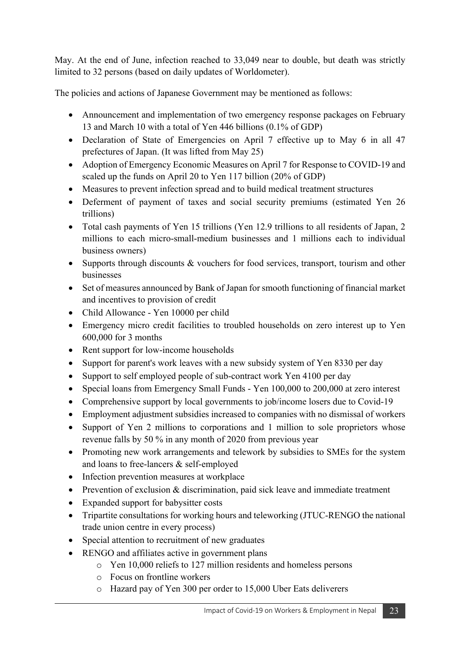May. At the end of June, infection reached to 33,049 near to double, but death was strictly limited to 32 persons (based on daily updates of Worldometer).

The policies and actions of Japanese Government may be mentioned as follows:

- Announcement and implementation of two emergency response packages on February 13 and March 10 with a total of Yen 446 billions (0.1% of GDP)
- Declaration of State of Emergencies on April 7 effective up to May 6 in all 47 prefectures of Japan. (It was lifted from May 25)
- Adoption of Emergency Economic Measures on April 7 for Response to COVID-19 and scaled up the funds on April 20 to Yen 117 billion (20% of GDP)
- Measures to prevent infection spread and to build medical treatment structures
- Deferment of payment of taxes and social security premiums (estimated Yen 26 trillions)
- Total cash payments of Yen 15 trillions (Yen 12.9 trillions to all residents of Japan, 2 millions to each micro-small-medium businesses and 1 millions each to individual business owners)
- Supports through discounts & vouchers for food services, transport, tourism and other businesses
- Set of measures announced by Bank of Japan for smooth functioning of financial market and incentives to provision of credit
- Child Allowance Yen 10000 per child
- Emergency micro credit facilities to troubled households on zero interest up to Yen 600,000 for 3 months
- Rent support for low-income households
- Support for parent's work leaves with a new subsidy system of Yen 8330 per day
- Support to self employed people of sub-contract work Yen 4100 per day
- Special loans from Emergency Small Funds Yen 100,000 to 200,000 at zero interest
- Comprehensive support by local governments to job/income losers due to Covid-19
- Employment adjustment subsidies increased to companies with no dismissal of workers
- Support of Yen 2 millions to corporations and 1 million to sole proprietors whose revenue falls by 50 % in any month of 2020 from previous year
- Promoting new work arrangements and telework by subsidies to SMEs for the system and loans to free-lancers & self-employed
- Infection prevention measures at workplace
- Prevention of exclusion & discrimination, paid sick leave and immediate treatment
- Expanded support for babysitter costs
- Tripartite consultations for working hours and teleworking (JTUC-RENGO the national trade union centre in every process)
- Special attention to recruitment of new graduates
- RENGO and affiliates active in government plans
	- o Yen 10,000 reliefs to 127 million residents and homeless persons
	- o Focus on frontline workers
	- o Hazard pay of Yen 300 per order to 15,000 Uber Eats deliverers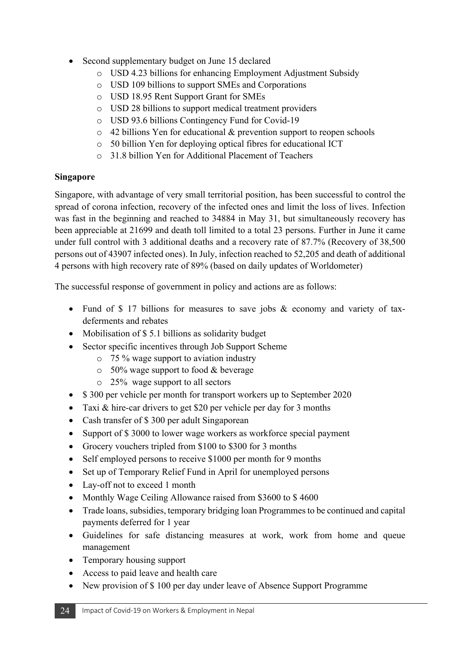- Second supplementary budget on June 15 declared
	- o USD 4.23 billions for enhancing Employment Adjustment Subsidy
	- o USD 109 billions to support SMEs and Corporations
	- o USD 18.95 Rent Support Grant for SMEs
	- o USD 28 billions to support medical treatment providers
	- o USD 93.6 billions Contingency Fund for Covid-19
	- o 42 billions Yen for educational & prevention support to reopen schools
	- o 50 billion Yen for deploying optical fibres for educational ICT
	- o 31.8 billion Yen for Additional Placement of Teachers

#### **Singapore**

Singapore, with advantage of very small territorial position, has been successful to control the spread of corona infection, recovery of the infected ones and limit the loss of lives. Infection was fast in the beginning and reached to 34884 in May 31, but simultaneously recovery has been appreciable at 21699 and death toll limited to a total 23 persons. Further in June it came under full control with 3 additional deaths and a recovery rate of 87.7% (Recovery of 38,500 persons out of 43907 infected ones). In July, infection reached to 52,205 and death of additional 4 persons with high recovery rate of 89% (based on daily updates of Worldometer)

The successful response of government in policy and actions are as follows:

- Fund of \$ 17 billions for measures to save jobs & economy and variety of taxdeferments and rebates
- Mobilisation of \$5.1 billions as solidarity budget
- Sector specific incentives through Job Support Scheme
	- o 75 % wage support to aviation industry
	- $\circ$  50% wage support to food & beverage
	- o 25% wage support to all sectors
- \$300 per vehicle per month for transport workers up to September 2020
- Taxi & hire-car drivers to get \$20 per vehicle per day for 3 months
- Cash transfer of \$300 per adult Singaporean
- Support of \$3000 to lower wage workers as workforce special payment
- Grocery vouchers tripled from \$100 to \$300 for 3 months
- Self employed persons to receive \$1000 per month for 9 months
- Set up of Temporary Relief Fund in April for unemployed persons
- Lay-off not to exceed 1 month
- Monthly Wage Ceiling Allowance raised from \$3600 to \$4600
- Trade loans, subsidies, temporary bridging loan Programmes to be continued and capital payments deferred for 1 year
- Guidelines for safe distancing measures at work, work from home and queue management
- Temporary housing support
- Access to paid leave and health care
- New provision of \$100 per day under leave of Absence Support Programme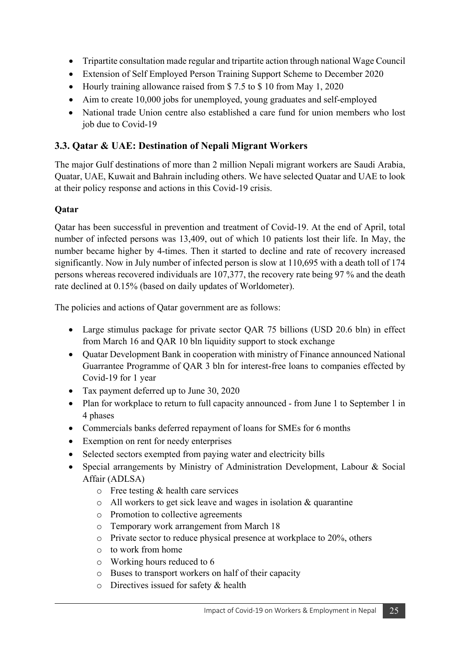- Tripartite consultation made regular and tripartite action through national Wage Council
- Extension of Self Employed Person Training Support Scheme to December 2020
- Hourly training allowance raised from \$7.5 to \$10 from May 1, 2020
- Aim to create 10,000 jobs for unemployed, young graduates and self-employed
- National trade Union centre also established a care fund for union members who lost job due to Covid-19

#### **3.3. Qatar & UAE: Destination of Nepali Migrant Workers**

The major Gulf destinations of more than 2 million Nepali migrant workers are Saudi Arabia, Quatar, UAE, Kuwait and Bahrain including others. We have selected Quatar and UAE to look at their policy response and actions in this Covid-19 crisis.

#### **Qatar**

Qatar has been successful in prevention and treatment of Covid-19. At the end of April, total number of infected persons was 13,409, out of which 10 patients lost their life. In May, the number became higher by 4-times. Then it started to decline and rate of recovery increased significantly. Now in July number of infected person is slow at 110,695 with a death toll of 174 persons whereas recovered individuals are 107,377, the recovery rate being 97 % and the death rate declined at 0.15% (based on daily updates of Worldometer).

The policies and actions of Qatar government are as follows:

- Large stimulus package for private sector QAR 75 billions (USD 20.6 bln) in effect from March 16 and QAR 10 bln liquidity support to stock exchange
- Quatar Development Bank in cooperation with ministry of Finance announced National Guarrantee Programme of QAR 3 bln for interest-free loans to companies effected by Covid-19 for 1 year
- Tax payment deferred up to June 30, 2020
- Plan for workplace to return to full capacity announced from June 1 to September 1 in 4 phases
- Commercials banks deferred repayment of loans for SMEs for 6 months
- Exemption on rent for needy enterprises
- Selected sectors exempted from paying water and electricity bills
- Special arrangements by Ministry of Administration Development, Labour & Social Affair (ADLSA)
	- o Free testing & health care services
	- o All workers to get sick leave and wages in isolation & quarantine
	- o Promotion to collective agreements
	- o Temporary work arrangement from March 18
	- o Private sector to reduce physical presence at workplace to 20%, others
	- o to work from home
	- o Working hours reduced to 6
	- o Buses to transport workers on half of their capacity
	- o Directives issued for safety & health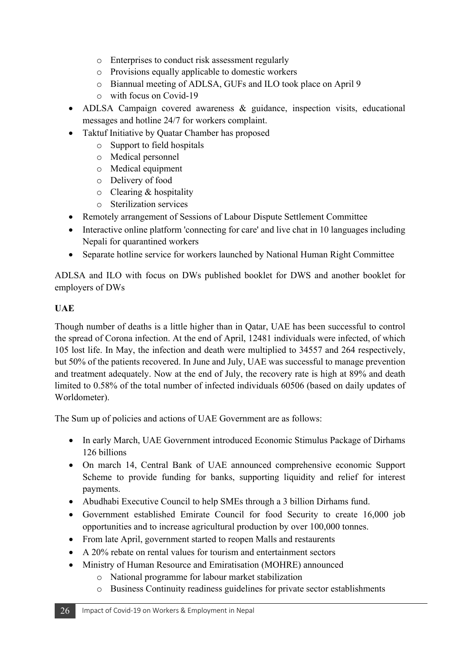- o Enterprises to conduct risk assessment regularly
- o Provisions equally applicable to domestic workers
- o Biannual meeting of ADLSA, GUFs and ILO took place on April 9
- o with focus on Covid-19
- ADLSA Campaign covered awareness & guidance, inspection visits, educational messages and hotline 24/7 for workers complaint.
- Taktuf Initiative by Quatar Chamber has proposed
	- o Support to field hospitals
	- o Medical personnel
	- o Medical equipment
	- o Delivery of food
	- o Clearing & hospitality
	- o Sterilization services
- Remotely arrangement of Sessions of Labour Dispute Settlement Committee
- Interactive online platform 'connecting for care' and live chat in 10 languages including Nepali for quarantined workers
- Separate hotline service for workers launched by National Human Right Committee

ADLSA and ILO with focus on DWs published booklet for DWS and another booklet for employers of DWs

#### **UAE**

Though number of deaths is a little higher than in Qatar, UAE has been successful to control the spread of Corona infection. At the end of April, 12481 individuals were infected, of which 105 lost life. In May, the infection and death were multiplied to 34557 and 264 respectively, but 50% of the patients recovered. In June and July, UAE was successful to manage prevention and treatment adequately. Now at the end of July, the recovery rate is high at 89% and death limited to 0.58% of the total number of infected individuals 60506 (based on daily updates of Worldometer).

The Sum up of policies and actions of UAE Government are as follows:

- In early March, UAE Government introduced Economic Stimulus Package of Dirhams 126 billions
- On march 14, Central Bank of UAE announced comprehensive economic Support Scheme to provide funding for banks, supporting liquidity and relief for interest payments.
- Abudhabi Executive Council to help SMEs through a 3 billion Dirhams fund.
- Government established Emirate Council for food Security to create 16,000 job opportunities and to increase agricultural production by over 100,000 tonnes.
- From late April, government started to reopen Malls and restaurents
- A 20% rebate on rental values for tourism and entertainment sectors
- Ministry of Human Resource and Emiratisation (MOHRE) announced
	- o National programme for labour market stabilization
	- o Business Continuity readiness guidelines for private sector establishments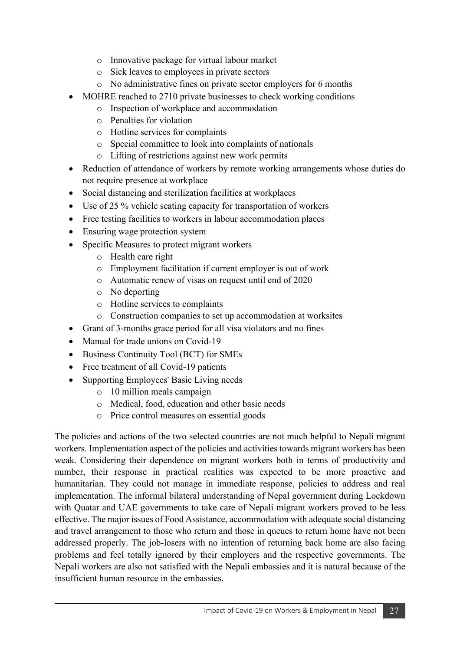- o Innovative package for virtual labour market
- o Sick leaves to employees in private sectors
- o No administrative fines on private sector employers for 6 months
- MOHRE reached to 2710 private businesses to check working conditions
	- o Inspection of workplace and accommodation
	- o Penalties for violation
	- o Hotline services for complaints
	- o Special committee to look into complaints of nationals
	- o Lifting of restrictions against new work permits
- Reduction of attendance of workers by remote working arrangements whose duties do not require presence at workplace
- Social distancing and sterilization facilities at workplaces
- Use of 25 % vehicle seating capacity for transportation of workers
- Free testing facilities to workers in labour accommodation places
- Ensuring wage protection system
- Specific Measures to protect migrant workers
	- o Health care right
	- o Employment facilitation if current employer is out of work
	- o Automatic renew of visas on request until end of 2020
	- o No deporting
	- o Hotline services to complaints
	- o Construction companies to set up accommodation at worksites
- Grant of 3-months grace period for all visa violators and no fines
- Manual for trade unions on Covid-19
- Business Continuity Tool (BCT) for SMEs
- Free treatment of all Covid-19 patients
- Supporting Employees' Basic Living needs
	- o 10 million meals campaign
	- o Medical, food, education and other basic needs
	- o Price control measures on essential goods

The policies and actions of the two selected countries are not much helpful to Nepali migrant workers. Implementation aspect of the policies and activities towards migrant workers has been weak. Considering their dependence on migrant workers both in terms of productivity and number, their response in practical realities was expected to be more proactive and humanitarian. They could not manage in immediate response, policies to address and real implementation. The informal bilateral understanding of Nepal government during Lockdown with Quatar and UAE governments to take care of Nepali migrant workers proved to be less effective. The major issues of Food Assistance, accommodation with adequate social distancing and travel arrangement to those who return and those in queues to return home have not been addressed properly. The job-losers with no intention of returning back home are also facing problems and feel totally ignored by their employers and the respective governments. The Nepali workers are also not satisfied with the Nepali embassies and it is natural because of the insufficient human resource in the embassies.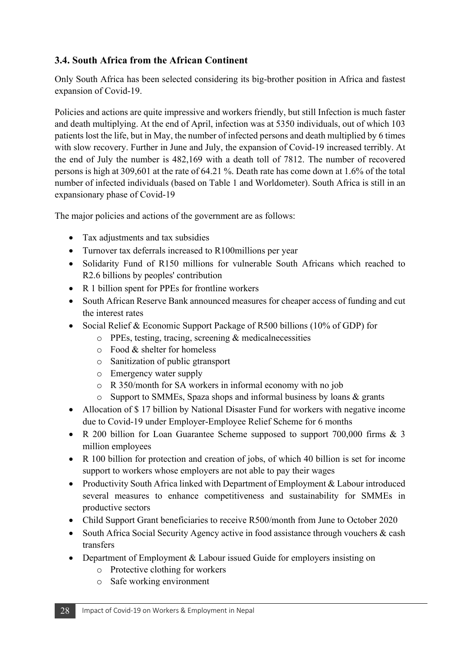#### **3.4. South Africa from the African Continent**

Only South Africa has been selected considering its big-brother position in Africa and fastest expansion of Covid-19.

Policies and actions are quite impressive and workers friendly, but still Infection is much faster and death multiplying. At the end of April, infection was at 5350 individuals, out of which 103 patients lost the life, but in May, the number of infected persons and death multiplied by 6 times with slow recovery. Further in June and July, the expansion of Covid-19 increased terribly. At the end of July the number is 482,169 with a death toll of 7812. The number of recovered persons is high at 309,601 at the rate of 64.21 %. Death rate has come down at 1.6% of the total number of infected individuals (based on Table 1 and Worldometer). South Africa is still in an expansionary phase of Covid-19

The major policies and actions of the government are as follows:

- Tax adjustments and tax subsidies
- Turnover tax deferrals increased to R100millions per year
- Solidarity Fund of R150 millions for vulnerable South Africans which reached to R2.6 billions by peoples' contribution
- R 1 billion spent for PPEs for frontline workers
- South African Reserve Bank announced measures for cheaper access of funding and cut the interest rates
- Social Relief & Economic Support Package of R500 billions (10% of GDP) for
	- o PPEs, testing, tracing, screening & medicalnecessities
	- o Food & shelter for homeless
	- o Sanitization of public gtransport
	- o Emergency water supply
	- o R 350/month for SA workers in informal economy with no job
	- o Support to SMMEs, Spaza shops and informal business by loans & grants
- Allocation of \$17 billion by National Disaster Fund for workers with negative income due to Covid-19 under Employer-Employee Relief Scheme for 6 months
- R 200 billion for Loan Guarantee Scheme supposed to support 700,000 firms & 3 million employees
- R 100 billion for protection and creation of jobs, of which 40 billion is set for income support to workers whose employers are not able to pay their wages
- Productivity South Africa linked with Department of Employment & Labour introduced several measures to enhance competitiveness and sustainability for SMMEs in productive sectors
- Child Support Grant beneficiaries to receive R500/month from June to October 2020
- South Africa Social Security Agency active in food assistance through vouchers & cash transfers
- Department of Employment & Labour issued Guide for employers insisting on
	- o Protective clothing for workers
	- o Safe working environment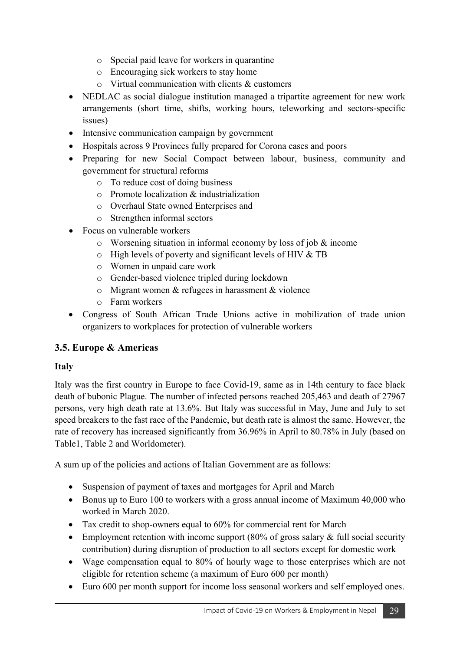- o Special paid leave for workers in quarantine
- o Encouraging sick workers to stay home
- $\circ$  Virtual communication with clients & customers
- NEDLAC as social dialogue institution managed a tripartite agreement for new work arrangements (short time, shifts, working hours, teleworking and sectors-specific issues)
- Intensive communication campaign by government
- Hospitals across 9 Provinces fully prepared for Corona cases and poors
- Preparing for new Social Compact between labour, business, community and government for structural reforms
	- o To reduce cost of doing business
	- o Promote localization & industrialization
	- o Overhaul State owned Enterprises and
	- o Strengthen informal sectors
- Focus on vulnerable workers
	- o Worsening situation in informal economy by loss of job & income
	- o High levels of poverty and significant levels of HIV & TB
	- o Women in unpaid care work
	- o Gender-based violence tripled during lockdown
	- o Migrant women & refugees in harassment & violence
	- o Farm workers
- Congress of South African Trade Unions active in mobilization of trade union organizers to workplaces for protection of vulnerable workers

#### **3.5. Europe & Americas**

#### **Italy**

Italy was the first country in Europe to face Covid-19, same as in 14th century to face black death of bubonic Plague. The number of infected persons reached 205,463 and death of 27967 persons, very high death rate at 13.6%. But Italy was successful in May, June and July to set speed breakers to the fast race of the Pandemic, but death rate is almost the same. However, the rate of recovery has increased significantly from 36.96% in April to 80.78% in July (based on Table1, Table 2 and Worldometer).

A sum up of the policies and actions of Italian Government are as follows:

- Suspension of payment of taxes and mortgages for April and March
- Bonus up to Euro 100 to workers with a gross annual income of Maximum 40,000 who worked in March 2020.
- Tax credit to shop-owners equal to 60% for commercial rent for March
- Employment retention with income support  $(80\%$  of gross salary & full social security contribution) during disruption of production to all sectors except for domestic work
- Wage compensation equal to 80% of hourly wage to those enterprises which are not eligible for retention scheme (a maximum of Euro 600 per month)
- Euro 600 per month support for income loss seasonal workers and self employed ones.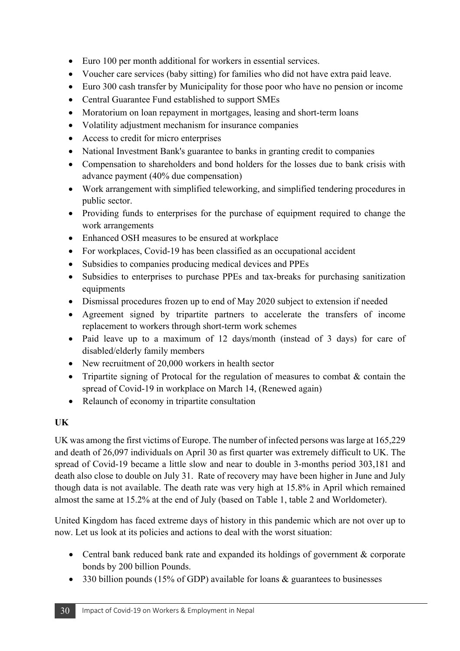- Euro 100 per month additional for workers in essential services.
- Voucher care services (baby sitting) for families who did not have extra paid leave.
- Euro 300 cash transfer by Municipality for those poor who have no pension or income
- Central Guarantee Fund established to support SMEs
- Moratorium on loan repayment in mortgages, leasing and short-term loans
- Volatility adjustment mechanism for insurance companies
- Access to credit for micro enterprises
- National Investment Bank's guarantee to banks in granting credit to companies
- Compensation to shareholders and bond holders for the losses due to bank crisis with advance payment (40% due compensation)
- Work arrangement with simplified teleworking, and simplified tendering procedures in public sector.
- Providing funds to enterprises for the purchase of equipment required to change the work arrangements
- Enhanced OSH measures to be ensured at workplace
- For workplaces, Covid-19 has been classified as an occupational accident
- Subsidies to companies producing medical devices and PPEs
- Subsidies to enterprises to purchase PPEs and tax-breaks for purchasing sanitization equipments
- Dismissal procedures frozen up to end of May 2020 subject to extension if needed
- Agreement signed by tripartite partners to accelerate the transfers of income replacement to workers through short-term work schemes
- Paid leave up to a maximum of 12 days/month (instead of 3 days) for care of disabled/elderly family members
- New recruitment of 20,000 workers in health sector
- Tripartite signing of Protocal for the regulation of measures to combat  $\&$  contain the spread of Covid-19 in workplace on March 14, (Renewed again)
- Relaunch of economy in tripartite consultation

#### **UK**

UK was among the first victims of Europe. The number of infected persons was large at 165,229 and death of 26,097 individuals on April 30 as first quarter was extremely difficult to UK. The spread of Covid-19 became a little slow and near to double in 3-months period 303,181 and death also close to double on July 31. Rate of recovery may have been higher in June and July though data is not available. The death rate was very high at 15.8% in April which remained almost the same at 15.2% at the end of July (based on Table 1, table 2 and Worldometer).

United Kingdom has faced extreme days of history in this pandemic which are not over up to now. Let us look at its policies and actions to deal with the worst situation:

- Central bank reduced bank rate and expanded its holdings of government & corporate bonds by 200 billion Pounds.
- 330 billion pounds (15% of GDP) available for loans & guarantees to businesses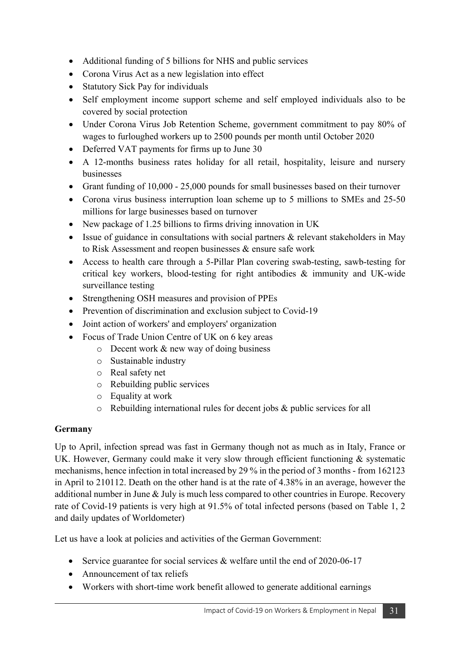- Additional funding of 5 billions for NHS and public services
- Corona Virus Act as a new legislation into effect
- Statutory Sick Pay for individuals
- Self employment income support scheme and self employed individuals also to be covered by social protection
- Under Corona Virus Job Retention Scheme, government commitment to pay 80% of wages to furloughed workers up to 2500 pounds per month until October 2020
- Deferred VAT payments for firms up to June 30
- A 12-months business rates holiday for all retail, hospitality, leisure and nursery businesses
- Grant funding of 10,000 25,000 pounds for small businesses based on their turnover
- Corona virus business interruption loan scheme up to 5 millions to SMEs and 25-50 millions for large businesses based on turnover
- New package of 1.25 billions to firms driving innovation in UK
- Issue of guidance in consultations with social partners & relevant stakeholders in May to Risk Assessment and reopen businesses & ensure safe work
- Access to health care through a 5-Pillar Plan covering swab-testing, sawb-testing for critical key workers, blood-testing for right antibodies & immunity and UK-wide surveillance testing
- Strengthening OSH measures and provision of PPEs
- Prevention of discrimination and exclusion subject to Covid-19
- Joint action of workers' and employers' organization
- Focus of Trade Union Centre of UK on 6 key areas
	- o Decent work & new way of doing business
		- o Sustainable industry
		- o Real safety net
		- o Rebuilding public services
		- o Equality at work
	- o Rebuilding international rules for decent jobs & public services for all

#### **Germany**

Up to April, infection spread was fast in Germany though not as much as in Italy, France or UK. However, Germany could make it very slow through efficient functioning  $\&$  systematic mechanisms, hence infection in total increased by 29 % in the period of 3 months - from 162123 in April to 210112. Death on the other hand is at the rate of 4.38% in an average, however the additional number in June & July is much less compared to other countries in Europe. Recovery rate of Covid-19 patients is very high at 91.5% of total infected persons (based on Table 1, 2 and daily updates of Worldometer)

Let us have a look at policies and activities of the German Government:

- Service guarantee for social services & welfare until the end of 2020-06-17
- Announcement of tax reliefs
- Workers with short-time work benefit allowed to generate additional earnings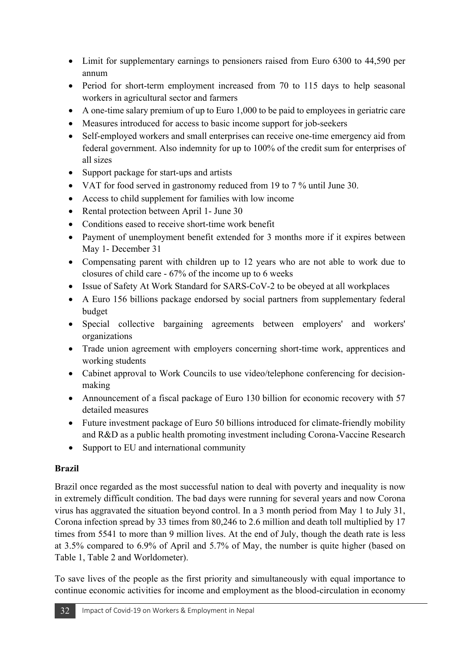- Limit for supplementary earnings to pensioners raised from Euro 6300 to 44,590 per annum
- Period for short-term employment increased from 70 to 115 days to help seasonal workers in agricultural sector and farmers
- A one-time salary premium of up to Euro 1,000 to be paid to employees in geriatric care
- Measures introduced for access to basic income support for job-seekers
- Self-employed workers and small enterprises can receive one-time emergency aid from federal government. Also indemnity for up to 100% of the credit sum for enterprises of all sizes
- Support package for start-ups and artists
- VAT for food served in gastronomy reduced from 19 to 7 % until June 30.
- Access to child supplement for families with low income
- Rental protection between April 1- June 30
- Conditions eased to receive short-time work benefit
- Payment of unemployment benefit extended for 3 months more if it expires between May 1- December 31
- Compensating parent with children up to 12 years who are not able to work due to closures of child care - 67% of the income up to 6 weeks
- Issue of Safety At Work Standard for SARS-CoV-2 to be obeyed at all workplaces
- A Euro 156 billions package endorsed by social partners from supplementary federal budget
- Special collective bargaining agreements between employers' and workers' organizations
- Trade union agreement with employers concerning short-time work, apprentices and working students
- Cabinet approval to Work Councils to use video/telephone conferencing for decisionmaking
- Announcement of a fiscal package of Euro 130 billion for economic recovery with 57 detailed measures
- Future investment package of Euro 50 billions introduced for climate-friendly mobility and R&D as a public health promoting investment including Corona-Vaccine Research
- Support to EU and international community

#### **Brazil**

Brazil once regarded as the most successful nation to deal with poverty and inequality is now in extremely difficult condition. The bad days were running for several years and now Corona virus has aggravated the situation beyond control. In a 3 month period from May 1 to July 31, Corona infection spread by 33 times from 80,246 to 2.6 million and death toll multiplied by 17 times from 5541 to more than 9 million lives. At the end of July, though the death rate is less at 3.5% compared to 6.9% of April and 5.7% of May, the number is quite higher (based on Table 1, Table 2 and Worldometer).

To save lives of the people as the first priority and simultaneously with equal importance to continue economic activities for income and employment as the blood-circulation in economy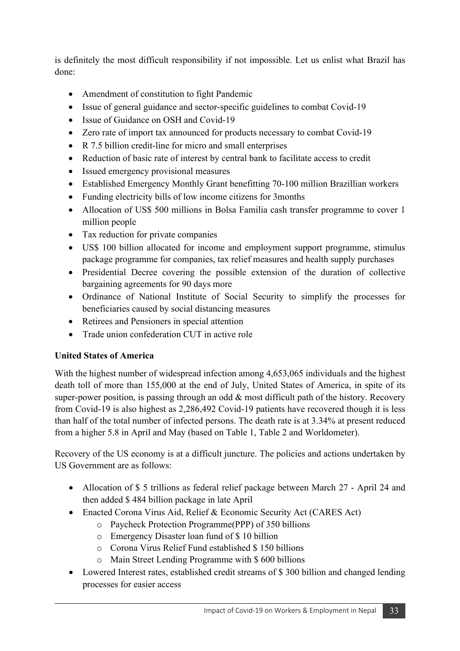is definitely the most difficult responsibility if not impossible. Let us enlist what Brazil has done:

- Amendment of constitution to fight Pandemic
- Issue of general guidance and sector-specific guidelines to combat Covid-19
- Issue of Guidance on OSH and Covid-19
- Zero rate of import tax announced for products necessary to combat Covid-19
- R 7.5 billion credit-line for micro and small enterprises
- Reduction of basic rate of interest by central bank to facilitate access to credit
- Issued emergency provisional measures
- Established Emergency Monthly Grant benefitting 70-100 million Brazillian workers
- Funding electricity bills of low income citizens for 3months
- Allocation of US\$ 500 millions in Bolsa Familia cash transfer programme to cover 1 million people
- Tax reduction for private companies
- US\$ 100 billion allocated for income and employment support programme, stimulus package programme for companies, tax relief measures and health supply purchases
- Presidential Decree covering the possible extension of the duration of collective bargaining agreements for 90 days more
- Ordinance of National Institute of Social Security to simplify the processes for beneficiaries caused by social distancing measures
- Retirees and Pensioners in special attention
- Trade union confederation CUT in active role

#### **United States of America**

With the highest number of widespread infection among 4,653,065 individuals and the highest death toll of more than 155,000 at the end of July, United States of America, in spite of its super-power position, is passing through an odd & most difficult path of the history. Recovery from Covid-19 is also highest as 2,286,492 Covid-19 patients have recovered though it is less than half of the total number of infected persons. The death rate is at 3.34% at present reduced from a higher 5.8 in April and May (based on Table 1, Table 2 and Worldometer).

Recovery of the US economy is at a difficult juncture. The policies and actions undertaken by US Government are as follows:

- Allocation of \$ 5 trillions as federal relief package between March 27 April 24 and then added \$ 484 billion package in late April
- Enacted Corona Virus Aid, Relief & Economic Security Act (CARES Act)
	- o Paycheck Protection Programme(PPP) of 350 billions
	- o Emergency Disaster loan fund of \$ 10 billion
	- o Corona Virus Relief Fund established \$ 150 billions
	- o Main Street Lending Programme with \$ 600 billions
- Lowered Interest rates, established credit streams of \$300 billion and changed lending processes for easier access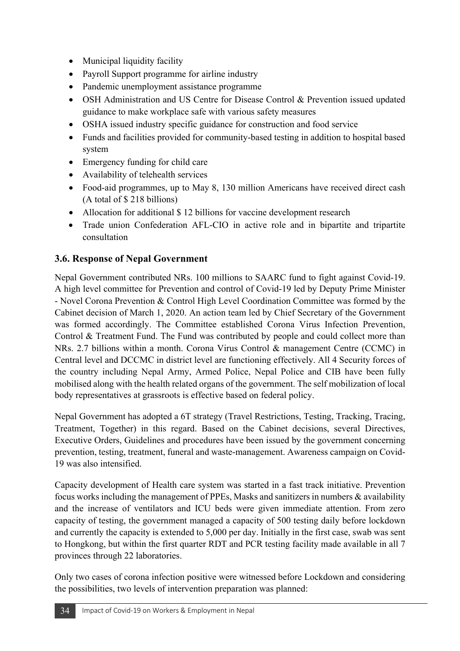- Municipal liquidity facility
- Payroll Support programme for airline industry
- Pandemic unemployment assistance programme
- OSH Administration and US Centre for Disease Control & Prevention issued updated guidance to make workplace safe with various safety measures
- OSHA issued industry specific guidance for construction and food service
- Funds and facilities provided for community-based testing in addition to hospital based system
- Emergency funding for child care
- Availability of telehealth services
- Food-aid programmes, up to May 8, 130 million Americans have received direct cash (A total of \$ 218 billions)
- Allocation for additional \$12 billions for vaccine development research
- Trade union Confederation AFL-CIO in active role and in bipartite and tripartite consultation

#### **3.6. Response of Nepal Government**

Nepal Government contributed NRs. 100 millions to SAARC fund to fight against Covid-19. A high level committee for Prevention and control of Covid-19 led by Deputy Prime Minister - Novel Corona Prevention & Control High Level Coordination Committee was formed by the Cabinet decision of March 1, 2020. An action team led by Chief Secretary of the Government was formed accordingly. The Committee established Corona Virus Infection Prevention, Control & Treatment Fund. The Fund was contributed by people and could collect more than NRs. 2.7 billions within a month. Corona Virus Control & management Centre (CCMC) in Central level and DCCMC in district level are functioning effectively. All 4 Security forces of the country including Nepal Army, Armed Police, Nepal Police and CIB have been fully mobilised along with the health related organs of the government. The self mobilization of local body representatives at grassroots is effective based on federal policy.

Nepal Government has adopted a 6T strategy (Travel Restrictions, Testing, Tracking, Tracing, Treatment, Together) in this regard. Based on the Cabinet decisions, several Directives, Executive Orders, Guidelines and procedures have been issued by the government concerning prevention, testing, treatment, funeral and waste-management. Awareness campaign on Covid-19 was also intensified.

Capacity development of Health care system was started in a fast track initiative. Prevention focus works including the management of PPEs, Masks and sanitizers in numbers & availability and the increase of ventilators and ICU beds were given immediate attention. From zero capacity of testing, the government managed a capacity of 500 testing daily before lockdown and currently the capacity is extended to 5,000 per day. Initially in the first case, swab was sent to Hongkong, but within the first quarter RDT and PCR testing facility made available in all 7 provinces through 22 laboratories.

Only two cases of corona infection positive were witnessed before Lockdown and considering the possibilities, two levels of intervention preparation was planned: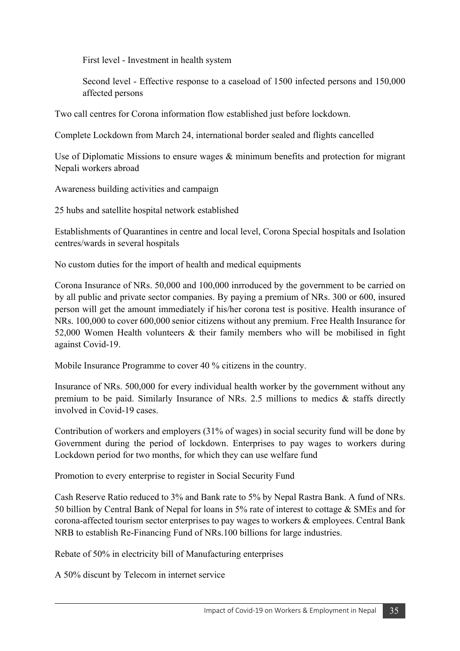First level - Investment in health system

Second level - Effective response to a caseload of 1500 infected persons and 150,000 affected persons

Two call centres for Corona information flow established just before lockdown.

Complete Lockdown from March 24, international border sealed and flights cancelled

Use of Diplomatic Missions to ensure wages & minimum benefits and protection for migrant Nepali workers abroad

Awareness building activities and campaign

25 hubs and satellite hospital network established

Establishments of Quarantines in centre and local level, Corona Special hospitals and Isolation centres/wards in several hospitals

No custom duties for the import of health and medical equipments

Corona Insurance of NRs. 50,000 and 100,000 inrroduced by the government to be carried on by all public and private sector companies. By paying a premium of NRs. 300 or 600, insured person will get the amount immediately if his/her corona test is positive. Health insurance of NRs. 100,000 to cover 600,000 senior citizens without any premium. Free Health Insurance for 52,000 Women Health volunteers & their family members who will be mobilised in fight against Covid-19.

Mobile Insurance Programme to cover 40 % citizens in the country.

Insurance of NRs. 500,000 for every individual health worker by the government without any premium to be paid. Similarly Insurance of NRs. 2.5 millions to medics & staffs directly involved in Covid-19 cases.

Contribution of workers and employers (31% of wages) in social security fund will be done by Government during the period of lockdown. Enterprises to pay wages to workers during Lockdown period for two months, for which they can use welfare fund

Promotion to every enterprise to register in Social Security Fund

Cash Reserve Ratio reduced to 3% and Bank rate to 5% by Nepal Rastra Bank. A fund of NRs. 50 billion by Central Bank of Nepal for loans in 5% rate of interest to cottage & SMEs and for corona-affected tourism sector enterprises to pay wages to workers & employees. Central Bank NRB to establish Re-Financing Fund of NRs.100 billions for large industries.

Rebate of 50% in electricity bill of Manufacturing enterprises

A 50% discunt by Telecom in internet service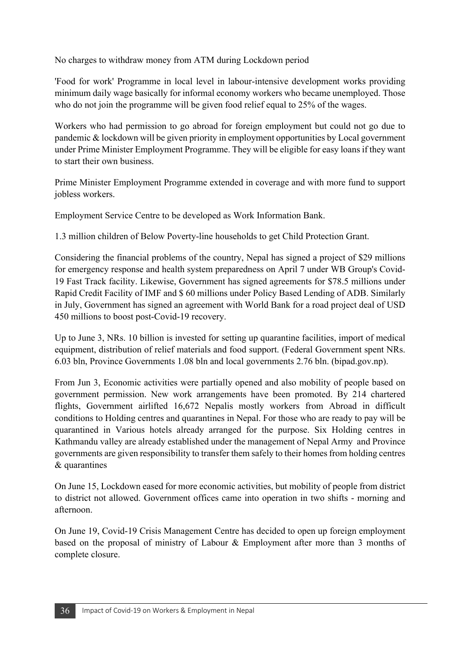No charges to withdraw money from ATM during Lockdown period

'Food for work' Programme in local level in labour-intensive development works providing minimum daily wage basically for informal economy workers who became unemployed. Those who do not join the programme will be given food relief equal to 25% of the wages.

Workers who had permission to go abroad for foreign employment but could not go due to pandemic & lockdown will be given priority in employment opportunities by Local government under Prime Minister Employment Programme. They will be eligible for easy loans if they want to start their own business.

Prime Minister Employment Programme extended in coverage and with more fund to support jobless workers.

Employment Service Centre to be developed as Work Information Bank.

1.3 million children of Below Poverty-line households to get Child Protection Grant.

Considering the financial problems of the country, Nepal has signed a project of \$29 millions for emergency response and health system preparedness on April 7 under WB Group's Covid-19 Fast Track facility. Likewise, Government has signed agreements for \$78.5 millions under Rapid Credit Facility of IMF and \$ 60 millions under Policy Based Lending of ADB. Similarly in July, Government has signed an agreement with World Bank for a road project deal of USD 450 millions to boost post-Covid-19 recovery.

Up to June 3, NRs. 10 billion is invested for setting up quarantine facilities, import of medical equipment, distribution of relief materials and food support. (Federal Government spent NRs. 6.03 bln, Province Governments 1.08 bln and local governments 2.76 bln. (bipad.gov.np).

From Jun 3, Economic activities were partially opened and also mobility of people based on government permission. New work arrangements have been promoted. By 214 chartered flights, Government airlifted 16,672 Nepalis mostly workers from Abroad in difficult conditions to Holding centres and quarantines in Nepal. For those who are ready to pay will be quarantined in Various hotels already arranged for the purpose. Six Holding centres in Kathmandu valley are already established under the management of Nepal Army and Province governments are given responsibility to transfer them safely to their homes from holding centres & quarantines

On June 15, Lockdown eased for more economic activities, but mobility of people from district to district not allowed. Government offices came into operation in two shifts - morning and afternoon.

On June 19, Covid-19 Crisis Management Centre has decided to open up foreign employment based on the proposal of ministry of Labour & Employment after more than 3 months of complete closure.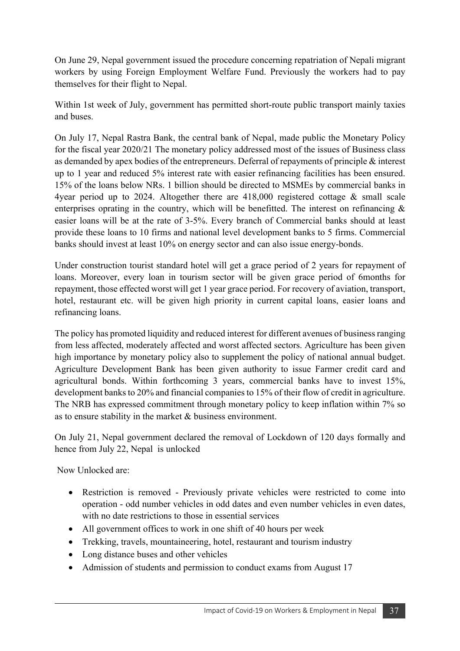On June 29, Nepal government issued the procedure concerning repatriation of Nepali migrant workers by using Foreign Employment Welfare Fund. Previously the workers had to pay themselves for their flight to Nepal.

Within 1st week of July, government has permitted short-route public transport mainly taxies and buses.

On July 17, Nepal Rastra Bank, the central bank of Nepal, made public the Monetary Policy for the fiscal year 2020/21 The monetary policy addressed most of the issues of Business class as demanded by apex bodies of the entrepreneurs. Deferral of repayments of principle & interest up to 1 year and reduced 5% interest rate with easier refinancing facilities has been ensured. 15% of the loans below NRs. 1 billion should be directed to MSMEs by commercial banks in 4year period up to 2024. Altogether there are 418,000 registered cottage & small scale enterprises oprating in the country, which will be benefitted. The interest on refinancing & easier loans will be at the rate of 3-5%. Every branch of Commercial banks should at least provide these loans to 10 firms and national level development banks to 5 firms. Commercial banks should invest at least 10% on energy sector and can also issue energy-bonds.

Under construction tourist standard hotel will get a grace period of 2 years for repayment of loans. Moreover, every loan in tourism sector will be given grace period of 6months for repayment, those effected worst will get 1 year grace period. For recovery of aviation, transport, hotel, restaurant etc. will be given high priority in current capital loans, easier loans and refinancing loans.

The policy has promoted liquidity and reduced interest for different avenues of business ranging from less affected, moderately affected and worst affected sectors. Agriculture has been given high importance by monetary policy also to supplement the policy of national annual budget. Agriculture Development Bank has been given authority to issue Farmer credit card and agricultural bonds. Within forthcoming 3 years, commercial banks have to invest 15%, development banks to 20% and financial companies to 15% of their flow of credit in agriculture. The NRB has expressed commitment through monetary policy to keep inflation within 7% so as to ensure stability in the market & business environment.

On July 21, Nepal government declared the removal of Lockdown of 120 days formally and hence from July 22, Nepal is unlocked

Now Unlocked are:

- Restriction is removed Previously private vehicles were restricted to come into operation - odd number vehicles in odd dates and even number vehicles in even dates, with no date restrictions to those in essential services
- All government offices to work in one shift of 40 hours per week
- Trekking, travels, mountaineering, hotel, restaurant and tourism industry
- Long distance buses and other vehicles
- Admission of students and permission to conduct exams from August 17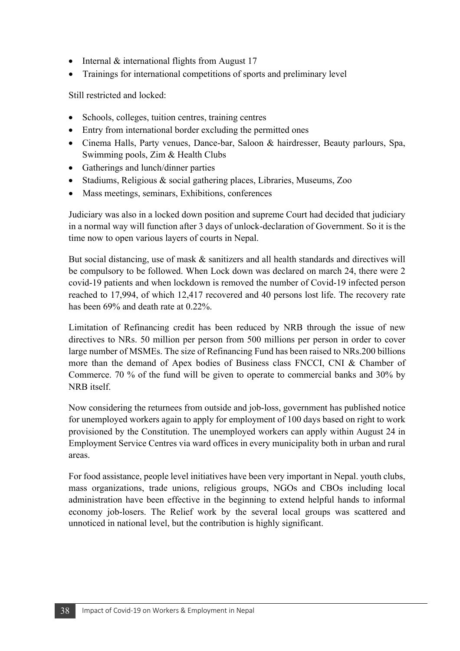- Internal & international flights from August 17
- Trainings for international competitions of sports and preliminary level

Still restricted and locked:

- Schools, colleges, tuition centres, training centres
- Entry from international border excluding the permitted ones
- Cinema Halls, Party venues, Dance-bar, Saloon & hairdresser, Beauty parlours, Spa, Swimming pools, Zim & Health Clubs
- Gatherings and lunch/dinner parties
- Stadiums, Religious & social gathering places, Libraries, Museums, Zoo
- Mass meetings, seminars, Exhibitions, conferences

Judiciary was also in a locked down position and supreme Court had decided that judiciary in a normal way will function after 3 days of unlock-declaration of Government. So it is the time now to open various layers of courts in Nepal.

But social distancing, use of mask & sanitizers and all health standards and directives will be compulsory to be followed. When Lock down was declared on march 24, there were 2 covid-19 patients and when lockdown is removed the number of Covid-19 infected person reached to 17,994, of which 12,417 recovered and 40 persons lost life. The recovery rate has been 69% and death rate at 0.22%.

Limitation of Refinancing credit has been reduced by NRB through the issue of new directives to NRs. 50 million per person from 500 millions per person in order to cover large number of MSMEs. The size of Refinancing Fund has been raised to NRs.200 billions more than the demand of Apex bodies of Business class FNCCI, CNI & Chamber of Commerce. 70 % of the fund will be given to operate to commercial banks and 30% by NRB itself.

Now considering the returnees from outside and job-loss, government has published notice for unemployed workers again to apply for employment of 100 days based on right to work provisioned by the Constitution. The unemployed workers can apply within August 24 in Employment Service Centres via ward offices in every municipality both in urban and rural areas.

For food assistance, people level initiatives have been very important in Nepal. youth clubs, mass organizations, trade unions, religious groups, NGOs and CBOs including local administration have been effective in the beginning to extend helpful hands to informal economy job-losers. The Relief work by the several local groups was scattered and unnoticed in national level, but the contribution is highly significant.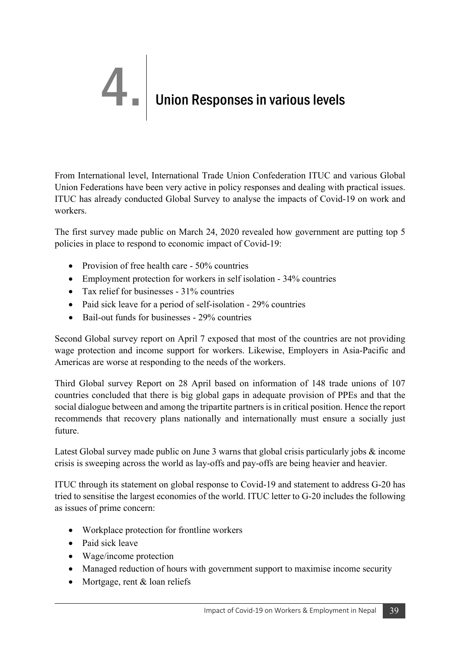## **4. Union Responses in various levels**

From International level, International Trade Union Confederation ITUC and various Global Union Federations have been very active in policy responses and dealing with practical issues. ITUC has already conducted Global Survey to analyse the impacts of Covid-19 on work and workers.

The first survey made public on March 24, 2020 revealed how government are putting top 5 policies in place to respond to economic impact of Covid-19:

- Provision of free health care 50% countries
- Employment protection for workers in self isolation 34% countries
- Tax relief for businesses 31% countries
- Paid sick leave for a period of self-isolation 29% countries
- Bail-out funds for businesses 29% countries

Second Global survey report on April 7 exposed that most of the countries are not providing wage protection and income support for workers. Likewise, Employers in Asia-Pacific and Americas are worse at responding to the needs of the workers.

Third Global survey Report on 28 April based on information of 148 trade unions of 107 countries concluded that there is big global gaps in adequate provision of PPEs and that the social dialogue between and among the tripartite partners is in critical position. Hence the report recommends that recovery plans nationally and internationally must ensure a socially just future.

Latest Global survey made public on June 3 warns that global crisis particularly jobs & income crisis is sweeping across the world as lay-offs and pay-offs are being heavier and heavier.

ITUC through its statement on global response to Covid-19 and statement to address G-20 has tried to sensitise the largest economies of the world. ITUC letter to G-20 includes the following as issues of prime concern:

- Workplace protection for frontline workers
- Paid sick leave
- Wage/income protection
- Managed reduction of hours with government support to maximise income security
- Mortgage, rent & loan reliefs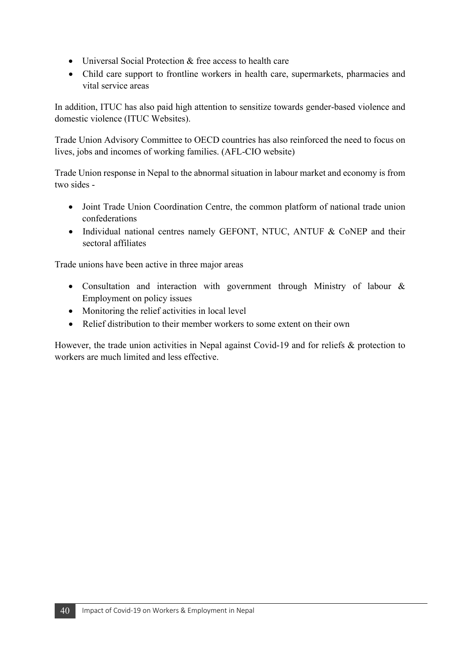- Universal Social Protection & free access to health care
- Child care support to frontline workers in health care, supermarkets, pharmacies and vital service areas

In addition, ITUC has also paid high attention to sensitize towards gender-based violence and domestic violence (ITUC Websites).

Trade Union Advisory Committee to OECD countries has also reinforced the need to focus on lives, jobs and incomes of working families. (AFL-CIO website)

Trade Union response in Nepal to the abnormal situation in labour market and economy is from two sides -

- Joint Trade Union Coordination Centre, the common platform of national trade union confederations
- Individual national centres namely GEFONT, NTUC, ANTUF & CoNEP and their sectoral affiliates

Trade unions have been active in three major areas

- Consultation and interaction with government through Ministry of labour & Employment on policy issues
- Monitoring the relief activities in local level
- Relief distribution to their member workers to some extent on their own

However, the trade union activities in Nepal against Covid-19 and for reliefs & protection to workers are much limited and less effective.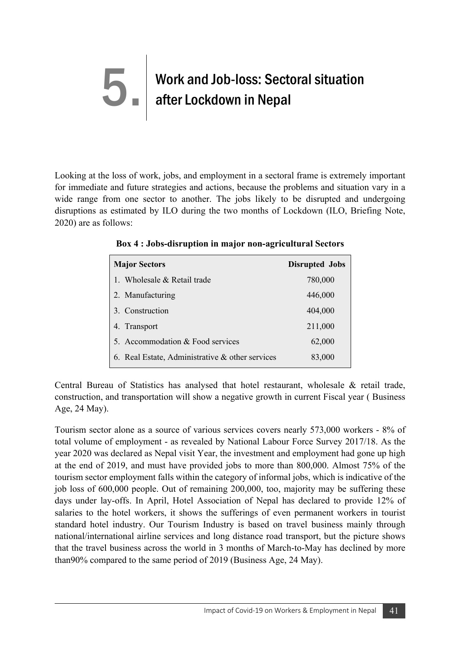### 5. Work and Job-loss: Sectoral situation after Lockdown in Nepal

Looking at the loss of work, jobs, and employment in a sectoral frame is extremely important for immediate and future strategies and actions, because the problems and situation vary in a wide range from one sector to another. The jobs likely to be disrupted and undergoing disruptions as estimated by ILO during the two months of Lockdown (ILO, Briefing Note, 2020) are as follows:

| <b>Major Sectors</b>                               | <b>Disrupted Jobs</b> |
|----------------------------------------------------|-----------------------|
| 1. Wholesale $\&$ Retail trade                     | 780,000               |
| 2. Manufacturing                                   | 446,000               |
| 3. Construction                                    | 404,000               |
| 4. Transport                                       | 211,000               |
| 5. Accommodation & Food services                   | 62,000                |
| 6. Real Estate, Administrative $\&$ other services | 83,000                |

|  |  | Box 4 : Jobs-disruption in major non-agricultural Sectors |  |
|--|--|-----------------------------------------------------------|--|
|  |  |                                                           |  |

Central Bureau of Statistics has analysed that hotel restaurant, wholesale & retail trade, construction, and transportation will show a negative growth in current Fiscal year ( Business Age, 24 May).

Tourism sector alone as a source of various services covers nearly 573,000 workers - 8% of total volume of employment - as revealed by National Labour Force Survey 2017/18. As the year 2020 was declared as Nepal visit Year, the investment and employment had gone up high at the end of 2019, and must have provided jobs to more than 800,000. Almost 75% of the tourism sector employment falls within the category of informal jobs, which is indicative of the job loss of 600,000 people. Out of remaining 200,000, too, majority may be suffering these days under lay-offs. In April, Hotel Association of Nepal has declared to provide 12% of salaries to the hotel workers, it shows the sufferings of even permanent workers in tourist standard hotel industry. Our Tourism Industry is based on travel business mainly through national/international airline services and long distance road transport, but the picture shows that the travel business across the world in 3 months of March-to-May has declined by more than90% compared to the same period of 2019 (Business Age, 24 May).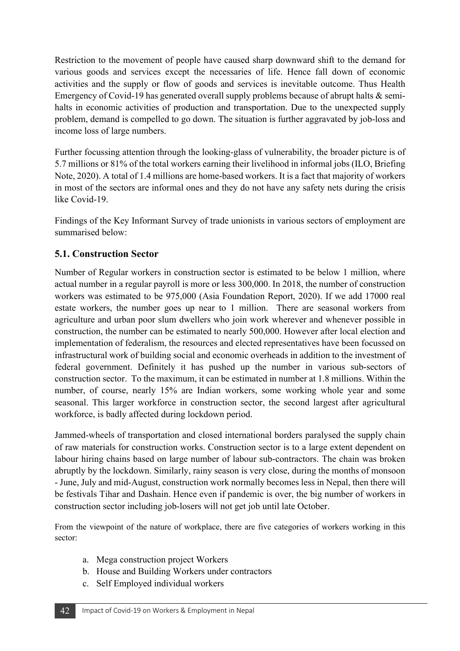Restriction to the movement of people have caused sharp downward shift to the demand for various goods and services except the necessaries of life. Hence fall down of economic activities and the supply or flow of goods and services is inevitable outcome. Thus Health Emergency of Covid-19 has generated overall supply problems because of abrupt halts & semihalts in economic activities of production and transportation. Due to the unexpected supply problem, demand is compelled to go down. The situation is further aggravated by job-loss and income loss of large numbers.

Further focussing attention through the looking-glass of vulnerability, the broader picture is of 5.7 millions or 81% of the total workers earning their livelihood in informal jobs (ILO, Briefing Note, 2020). A total of 1.4 millions are home-based workers. It is a fact that majority of workers in most of the sectors are informal ones and they do not have any safety nets during the crisis like Covid-19.

Findings of the Key Informant Survey of trade unionists in various sectors of employment are summarised below:

#### **5.1. Construction Sector**

Number of Regular workers in construction sector is estimated to be below 1 million, where actual number in a regular payroll is more or less 300,000. In 2018, the number of construction workers was estimated to be 975,000 (Asia Foundation Report, 2020). If we add 17000 real estate workers, the number goes up near to 1 million. There are seasonal workers from agriculture and urban poor slum dwellers who join work wherever and whenever possible in construction, the number can be estimated to nearly 500,000. However after local election and implementation of federalism, the resources and elected representatives have been focussed on infrastructural work of building social and economic overheads in addition to the investment of federal government. Definitely it has pushed up the number in various sub-sectors of construction sector. To the maximum, it can be estimated in number at 1.8 millions. Within the number, of course, nearly 15% are Indian workers, some working whole year and some seasonal. This larger workforce in construction sector, the second largest after agricultural workforce, is badly affected during lockdown period.

Jammed-wheels of transportation and closed international borders paralysed the supply chain of raw materials for construction works. Construction sector is to a large extent dependent on labour hiring chains based on large number of labour sub-contractors. The chain was broken abruptly by the lockdown. Similarly, rainy season is very close, during the months of monsoon - June, July and mid-August, construction work normally becomes less in Nepal, then there will be festivals Tihar and Dashain. Hence even if pandemic is over, the big number of workers in construction sector including job-losers will not get job until late October.

From the viewpoint of the nature of workplace, there are five categories of workers working in this sector:

- a. Mega construction project Workers
- b. House and Building Workers under contractors
- c. Self Employed individual workers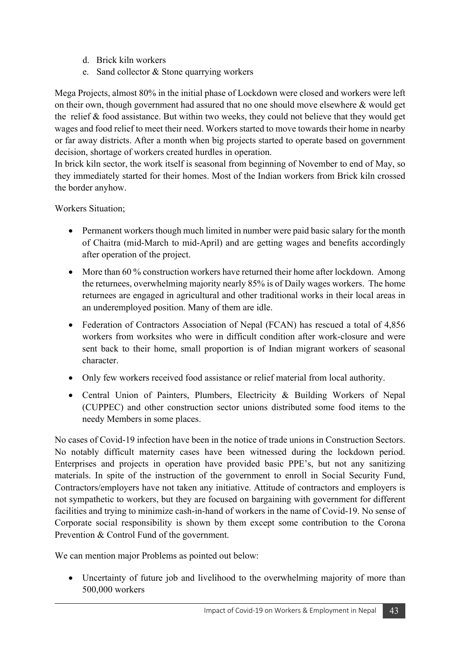- d. Brick kiln workers
- e. Sand collector & Stone quarrying workers

Mega Projects, almost 80% in the initial phase of Lockdown were closed and workers were left on their own, though government had assured that no one should move elsewhere & would get the relief & food assistance. But within two weeks, they could not believe that they would get wages and food relief to meet their need. Workers started to move towards their home in nearby or far away districts. After a month when big projects started to operate based on government decision, shortage of workers created hurdles in operation.

In brick kiln sector, the work itself is seasonal from beginning of November to end of May, so they immediately started for their homes. Most of the Indian workers from Brick kiln crossed the border anyhow.

#### Workers Situation;

- Permanent workers though much limited in number were paid basic salary for the month of Chaitra (mid-March to mid-April) and are getting wages and benefits accordingly after operation of the project.
- More than 60 % construction workers have returned their home after lockdown. Among the returnees, overwhelming majority nearly 85% is of Daily wages workers. The home returnees are engaged in agricultural and other traditional works in their local areas in an underemployed position. Many of them are idle.
- Federation of Contractors Association of Nepal (FCAN) has rescued a total of 4,856 workers from worksites who were in difficult condition after work-closure and were sent back to their home, small proportion is of Indian migrant workers of seasonal character.
- Only few workers received food assistance or relief material from local authority.
- Central Union of Painters, Plumbers, Electricity & Building Workers of Nepal (CUPPEC) and other construction sector unions distributed some food items to the needy Members in some places.

No cases of Covid-19 infection have been in the notice of trade unions in Construction Sectors. No notably difficult maternity cases have been witnessed during the lockdown period. Enterprises and projects in operation have provided basic PPE's, but not any sanitizing materials. In spite of the instruction of the government to enroll in Social Security Fund, Contractors/employers have not taken any initiative. Attitude of contractors and employers is not sympathetic to workers, but they are focused on bargaining with government for different facilities and trying to minimize cash-in-hand of workers in the name of Covid-19. No sense of Corporate social responsibility is shown by them except some contribution to the Corona Prevention & Control Fund of the government.

We can mention major Problems as pointed out below:

• Uncertainty of future job and livelihood to the overwhelming majority of more than 500,000 workers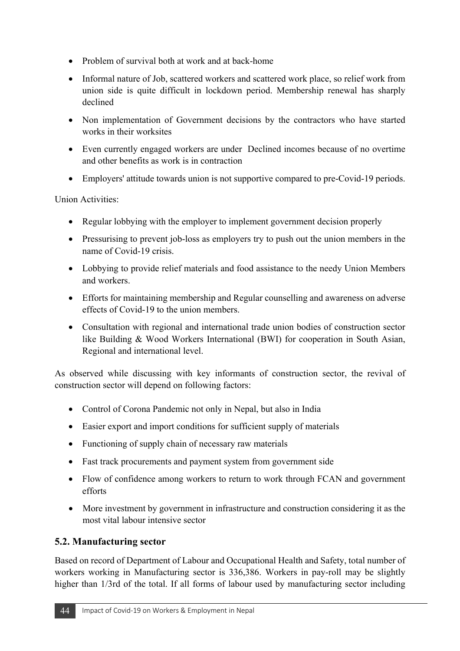- Problem of survival both at work and at back-home
- Informal nature of Job, scattered workers and scattered work place, so relief work from union side is quite difficult in lockdown period. Membership renewal has sharply declined
- Non implementation of Government decisions by the contractors who have started works in their worksites
- Even currently engaged workers are under Declined incomes because of no overtime and other benefits as work is in contraction
- Employers' attitude towards union is not supportive compared to pre-Covid-19 periods.

Union Activities:

- Regular lobbying with the employer to implement government decision properly
- Pressurising to prevent job-loss as employers try to push out the union members in the name of Covid-19 crisis.
- Lobbying to provide relief materials and food assistance to the needy Union Members and workers.
- Efforts for maintaining membership and Regular counselling and awareness on adverse effects of Covid-19 to the union members.
- Consultation with regional and international trade union bodies of construction sector like Building & Wood Workers International (BWI) for cooperation in South Asian, Regional and international level.

As observed while discussing with key informants of construction sector, the revival of construction sector will depend on following factors:

- Control of Corona Pandemic not only in Nepal, but also in India
- Easier export and import conditions for sufficient supply of materials
- Functioning of supply chain of necessary raw materials
- Fast track procurements and payment system from government side
- Flow of confidence among workers to return to work through FCAN and government efforts
- More investment by government in infrastructure and construction considering it as the most vital labour intensive sector

#### **5.2. Manufacturing sector**

Based on record of Department of Labour and Occupational Health and Safety, total number of workers working in Manufacturing sector is 336,386. Workers in pay-roll may be slightly higher than 1/3rd of the total. If all forms of labour used by manufacturing sector including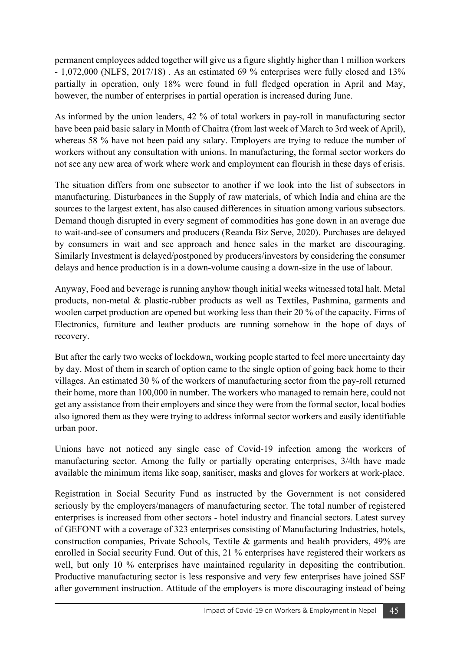permanent employees added together will give us a figure slightly higher than 1 million workers - 1,072,000 (NLFS, 2017/18) . As an estimated 69 % enterprises were fully closed and 13% partially in operation, only 18% were found in full fledged operation in April and May, however, the number of enterprises in partial operation is increased during June.

As informed by the union leaders, 42 % of total workers in pay-roll in manufacturing sector have been paid basic salary in Month of Chaitra (from last week of March to 3rd week of April), whereas 58 % have not been paid any salary. Employers are trying to reduce the number of workers without any consultation with unions. In manufacturing, the formal sector workers do not see any new area of work where work and employment can flourish in these days of crisis.

The situation differs from one subsector to another if we look into the list of subsectors in manufacturing. Disturbances in the Supply of raw materials, of which India and china are the sources to the largest extent, has also caused differences in situation among various subsectors. Demand though disrupted in every segment of commodities has gone down in an average due to wait-and-see of consumers and producers (Reanda Biz Serve, 2020). Purchases are delayed by consumers in wait and see approach and hence sales in the market are discouraging. Similarly Investment is delayed/postponed by producers/investors by considering the consumer delays and hence production is in a down-volume causing a down-size in the use of labour.

Anyway, Food and beverage is running anyhow though initial weeks witnessed total halt. Metal products, non-metal & plastic-rubber products as well as Textiles, Pashmina, garments and woolen carpet production are opened but working less than their 20 % of the capacity. Firms of Electronics, furniture and leather products are running somehow in the hope of days of recovery.

But after the early two weeks of lockdown, working people started to feel more uncertainty day by day. Most of them in search of option came to the single option of going back home to their villages. An estimated 30 % of the workers of manufacturing sector from the pay-roll returned their home, more than 100,000 in number. The workers who managed to remain here, could not get any assistance from their employers and since they were from the formal sector, local bodies also ignored them as they were trying to address informal sector workers and easily identifiable urban poor.

Unions have not noticed any single case of Covid-19 infection among the workers of manufacturing sector. Among the fully or partially operating enterprises, 3/4th have made available the minimum items like soap, sanitiser, masks and gloves for workers at work-place.

Registration in Social Security Fund as instructed by the Government is not considered seriously by the employers/managers of manufacturing sector. The total number of registered enterprises is increased from other sectors - hotel industry and financial sectors. Latest survey of GEFONT with a coverage of 323 enterprises consisting of Manufacturing Industries, hotels, construction companies, Private Schools, Textile & garments and health providers, 49% are enrolled in Social security Fund. Out of this, 21 % enterprises have registered their workers as well, but only 10 % enterprises have maintained regularity in depositing the contribution. Productive manufacturing sector is less responsive and very few enterprises have joined SSF after government instruction. Attitude of the employers is more discouraging instead of being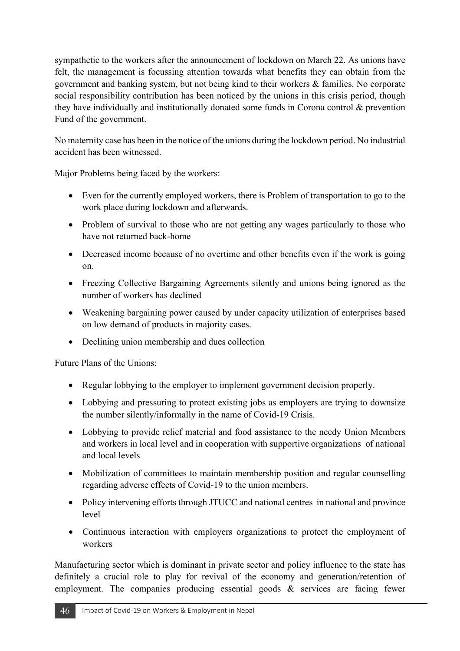sympathetic to the workers after the announcement of lockdown on March 22. As unions have felt, the management is focussing attention towards what benefits they can obtain from the government and banking system, but not being kind to their workers & families. No corporate social responsibility contribution has been noticed by the unions in this crisis period, though they have individually and institutionally donated some funds in Corona control & prevention Fund of the government.

No maternity case has been in the notice of the unions during the lockdown period. No industrial accident has been witnessed.

Major Problems being faced by the workers:

- Even for the currently employed workers, there is Problem of transportation to go to the work place during lockdown and afterwards.
- Problem of survival to those who are not getting any wages particularly to those who have not returned back-home
- Decreased income because of no overtime and other benefits even if the work is going on.
- Freezing Collective Bargaining Agreements silently and unions being ignored as the number of workers has declined
- Weakening bargaining power caused by under capacity utilization of enterprises based on low demand of products in majority cases.
- Declining union membership and dues collection

Future Plans of the Unions:

- Regular lobbying to the employer to implement government decision properly.
- Lobbying and pressuring to protect existing jobs as employers are trying to downsize the number silently/informally in the name of Covid-19 Crisis.
- Lobbying to provide relief material and food assistance to the needy Union Members and workers in local level and in cooperation with supportive organizations of national and local levels
- Mobilization of committees to maintain membership position and regular counselling regarding adverse effects of Covid-19 to the union members.
- Policy intervening efforts through JTUCC and national centres in national and province level
- Continuous interaction with employers organizations to protect the employment of workers

Manufacturing sector which is dominant in private sector and policy influence to the state has definitely a crucial role to play for revival of the economy and generation/retention of employment. The companies producing essential goods & services are facing fewer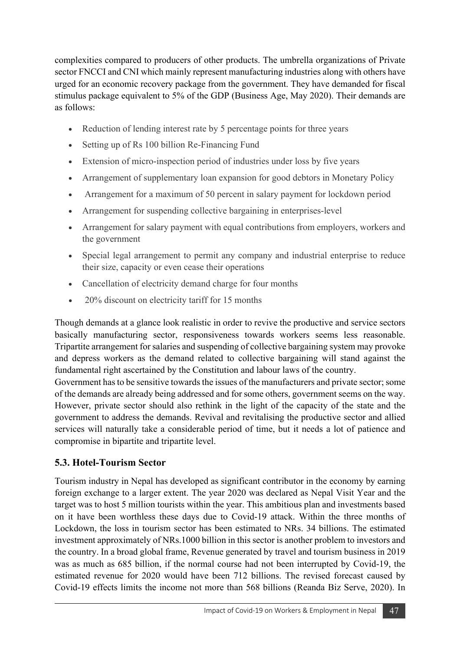complexities compared to producers of other products. The umbrella organizations of Private sector FNCCI and CNI which mainly represent manufacturing industries along with others have urged for an economic recovery package from the government. They have demanded for fiscal stimulus package equivalent to 5% of the GDP (Business Age, May 2020). Their demands are as follows:

- Reduction of lending interest rate by 5 percentage points for three years
- Setting up of Rs 100 billion Re-Financing Fund
- Extension of micro-inspection period of industries under loss by five years
- Arrangement of supplementary loan expansion for good debtors in Monetary Policy
- Arrangement for a maximum of 50 percent in salary payment for lockdown period
- Arrangement for suspending collective bargaining in enterprises-level
- Arrangement for salary payment with equal contributions from employers, workers and the government
- Special legal arrangement to permit any company and industrial enterprise to reduce their size, capacity or even cease their operations
- Cancellation of electricity demand charge for four months
- 20% discount on electricity tariff for 15 months

Though demands at a glance look realistic in order to revive the productive and service sectors basically manufacturing sector, responsiveness towards workers seems less reasonable. Tripartite arrangement for salaries and suspending of collective bargaining system may provoke and depress workers as the demand related to collective bargaining will stand against the fundamental right ascertained by the Constitution and labour laws of the country.

Government has to be sensitive towards the issues of the manufacturers and private sector; some of the demands are already being addressed and for some others, government seems on the way. However, private sector should also rethink in the light of the capacity of the state and the government to address the demands. Revival and revitalising the productive sector and allied services will naturally take a considerable period of time, but it needs a lot of patience and compromise in bipartite and tripartite level.

#### **5.3. Hotel-Tourism Sector**

Tourism industry in Nepal has developed as significant contributor in the economy by earning foreign exchange to a larger extent. The year 2020 was declared as Nepal Visit Year and the target was to host 5 million tourists within the year. This ambitious plan and investments based on it have been worthless these days due to Covid-19 attack. Within the three months of Lockdown, the loss in tourism sector has been estimated to NRs. 34 billions. The estimated investment approximately of NRs.1000 billion in this sector is another problem to investors and the country. In a broad global frame, Revenue generated by travel and tourism business in 2019 was as much as 685 billion, if the normal course had not been interrupted by Covid-19, the estimated revenue for 2020 would have been 712 billions. The revised forecast caused by Covid-19 effects limits the income not more than 568 billions (Reanda Biz Serve, 2020). In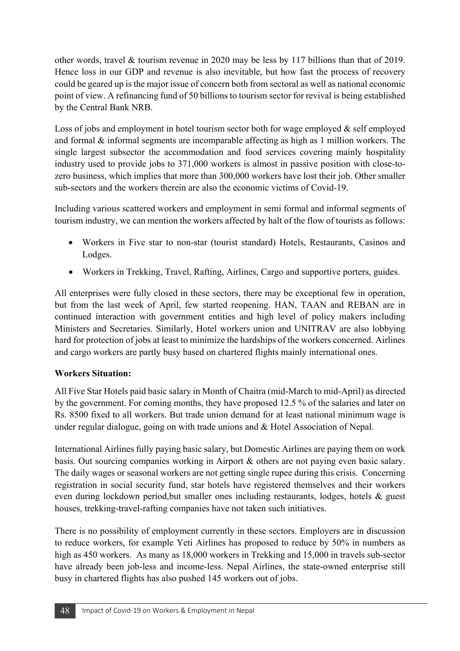other words, travel & tourism revenue in 2020 may be less by 117 billions than that of 2019. Hence loss in our GDP and revenue is also inevitable, but how fast the process of recovery could be geared up is the major issue of concern both from sectoral as well as national economic point of view. A refinancing fund of 50 billions to tourism sector for revival is being established by the Central Bank NRB.

Loss of jobs and employment in hotel tourism sector both for wage employed & self employed and formal & informal segments are incomparable affecting as high as 1 million workers. The single largest subsector the accommodation and food services covering mainly hospitality industry used to provide jobs to 371,000 workers is almost in passive position with close-tozero business, which implies that more than 300,000 workers have lost their job. Other smaller sub-sectors and the workers therein are also the economic victims of Covid-19.

Including various scattered workers and employment in semi formal and informal segments of tourism industry, we can mention the workers affected by halt of the flow of tourists as follows:

- Workers in Five star to non-star (tourist standard) Hotels, Restaurants, Casinos and Lodges.
- Workers in Trekking, Travel, Rafting, Airlines, Cargo and supportive porters, guides.

All enterprises were fully closed in these sectors, there may be exceptional few in operation, but from the last week of April, few started reopening. HAN, TAAN and REBAN are in continued interaction with government entities and high level of policy makers including Ministers and Secretaries. Similarly, Hotel workers union and UNITRAV are also lobbying hard for protection of jobs at least to minimize the hardships of the workers concerned. Airlines and cargo workers are partly busy based on chartered flights mainly international ones.

#### **Workers Situation:**

All Five Star Hotels paid basic salary in Month of Chaitra (mid-March to mid-April) as directed by the government. For coming months, they have proposed 12.5 % of the salaries and later on Rs. 8500 fixed to all workers. But trade union demand for at least national minimum wage is under regular dialogue, going on with trade unions and & Hotel Association of Nepal.

International Airlines fully paying basic salary, but Domestic Airlines are paying them on work basis. Out sourcing companies working in Airport & others are not paying even basic salary. The daily wages or seasonal workers are not getting single rupee during this crisis. Concerning registration in social security fund, star hotels have registered themselves and their workers even during lockdown period,but smaller ones including restaurants, lodges, hotels & guest houses, trekking-travel-rafting companies have not taken such initiatives.

There is no possibility of employment currently in these sectors. Employers are in discussion to reduce workers, for example Yeti Airlines has proposed to reduce by 50% in numbers as high as 450 workers. As many as 18,000 workers in Trekking and 15,000 in travels sub-sector have already been job-less and income-less. Nepal Airlines, the state-owned enterprise still busy in chartered flights has also pushed 145 workers out of jobs.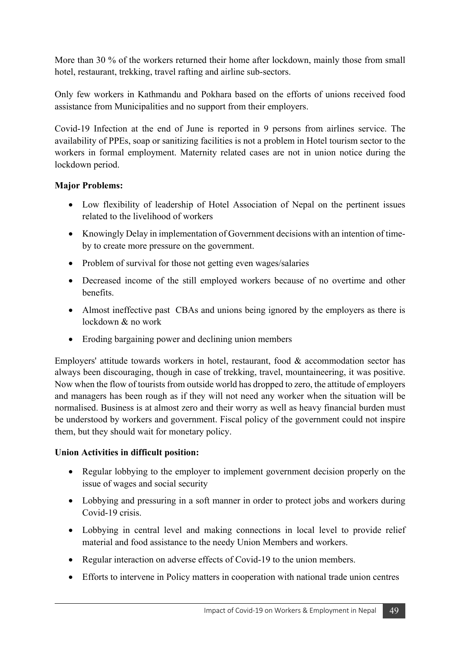More than 30 % of the workers returned their home after lockdown, mainly those from small hotel, restaurant, trekking, travel rafting and airline sub-sectors.

Only few workers in Kathmandu and Pokhara based on the efforts of unions received food assistance from Municipalities and no support from their employers.

Covid-19 Infection at the end of June is reported in 9 persons from airlines service. The availability of PPEs, soap or sanitizing facilities is not a problem in Hotel tourism sector to the workers in formal employment. Maternity related cases are not in union notice during the lockdown period.

#### **Major Problems:**

- Low flexibility of leadership of Hotel Association of Nepal on the pertinent issues related to the livelihood of workers
- Knowingly Delay in implementation of Government decisions with an intention of timeby to create more pressure on the government.
- Problem of survival for those not getting even wages/salaries
- Decreased income of the still employed workers because of no overtime and other benefits.
- Almost ineffective past CBAs and unions being ignored by the employers as there is lockdown & no work
- Eroding bargaining power and declining union members

Employers' attitude towards workers in hotel, restaurant, food & accommodation sector has always been discouraging, though in case of trekking, travel, mountaineering, it was positive. Now when the flow of tourists from outside world has dropped to zero, the attitude of employers and managers has been rough as if they will not need any worker when the situation will be normalised. Business is at almost zero and their worry as well as heavy financial burden must be understood by workers and government. Fiscal policy of the government could not inspire them, but they should wait for monetary policy.

#### **Union Activities in difficult position:**

- Regular lobbying to the employer to implement government decision properly on the issue of wages and social security
- Lobbying and pressuring in a soft manner in order to protect jobs and workers during Covid-19 crisis.
- Lobbying in central level and making connections in local level to provide relief material and food assistance to the needy Union Members and workers.
- Regular interaction on adverse effects of Covid-19 to the union members.
- Efforts to intervene in Policy matters in cooperation with national trade union centres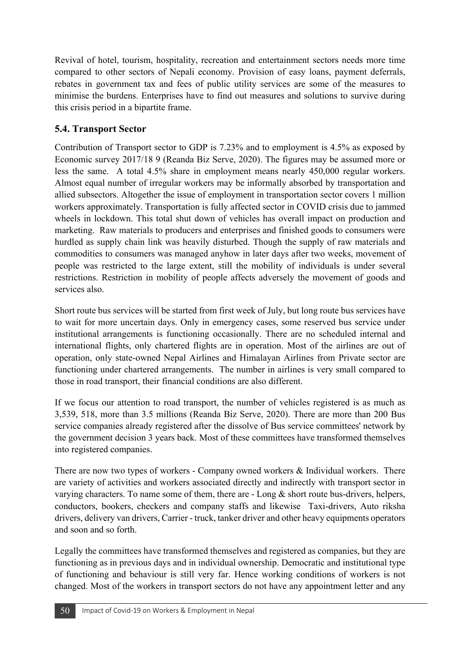Revival of hotel, tourism, hospitality, recreation and entertainment sectors needs more time compared to other sectors of Nepali economy. Provision of easy loans, payment deferrals, rebates in government tax and fees of public utility services are some of the measures to minimise the burdens. Enterprises have to find out measures and solutions to survive during this crisis period in a bipartite frame.

#### **5.4. Transport Sector**

Contribution of Transport sector to GDP is 7.23% and to employment is 4.5% as exposed by Economic survey 2017/18 9 (Reanda Biz Serve, 2020). The figures may be assumed more or less the same. A total 4.5% share in employment means nearly 450,000 regular workers. Almost equal number of irregular workers may be informally absorbed by transportation and allied subsectors. Altogether the issue of employment in transportation sector covers 1 million workers approximately. Transportation is fully affected sector in COVID crisis due to jammed wheels in lockdown. This total shut down of vehicles has overall impact on production and marketing. Raw materials to producers and enterprises and finished goods to consumers were hurdled as supply chain link was heavily disturbed. Though the supply of raw materials and commodities to consumers was managed anyhow in later days after two weeks, movement of people was restricted to the large extent, still the mobility of individuals is under several restrictions. Restriction in mobility of people affects adversely the movement of goods and services also.

Short route bus services will be started from first week of July, but long route bus services have to wait for more uncertain days. Only in emergency cases, some reserved bus service under institutional arrangements is functioning occasionally. There are no scheduled internal and international flights, only chartered flights are in operation. Most of the airlines are out of operation, only state-owned Nepal Airlines and Himalayan Airlines from Private sector are functioning under chartered arrangements. The number in airlines is very small compared to those in road transport, their financial conditions are also different.

If we focus our attention to road transport, the number of vehicles registered is as much as 3,539, 518, more than 3.5 millions (Reanda Biz Serve, 2020). There are more than 200 Bus service companies already registered after the dissolve of Bus service committees' network by the government decision 3 years back. Most of these committees have transformed themselves into registered companies.

There are now two types of workers - Company owned workers & Individual workers. There are variety of activities and workers associated directly and indirectly with transport sector in varying characters. To name some of them, there are - Long  $\&$  short route bus-drivers, helpers, conductors, bookers, checkers and company staffs and likewise Taxi-drivers, Auto riksha drivers, delivery van drivers, Carrier - truck, tanker driver and other heavy equipments operators and soon and so forth.

Legally the committees have transformed themselves and registered as companies, but they are functioning as in previous days and in individual ownership. Democratic and institutional type of functioning and behaviour is still very far. Hence working conditions of workers is not changed. Most of the workers in transport sectors do not have any appointment letter and any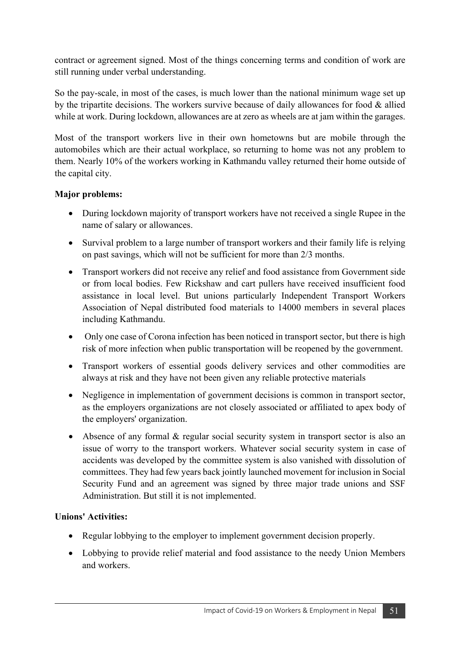contract or agreement signed. Most of the things concerning terms and condition of work are still running under verbal understanding.

So the pay-scale, in most of the cases, is much lower than the national minimum wage set up by the tripartite decisions. The workers survive because of daily allowances for food & allied while at work. During lockdown, allowances are at zero as wheels are at jam within the garages.

Most of the transport workers live in their own hometowns but are mobile through the automobiles which are their actual workplace, so returning to home was not any problem to them. Nearly 10% of the workers working in Kathmandu valley returned their home outside of the capital city.

#### **Major problems:**

- During lockdown majority of transport workers have not received a single Rupee in the name of salary or allowances.
- Survival problem to a large number of transport workers and their family life is relying on past savings, which will not be sufficient for more than 2/3 months.
- Transport workers did not receive any relief and food assistance from Government side or from local bodies. Few Rickshaw and cart pullers have received insufficient food assistance in local level. But unions particularly Independent Transport Workers Association of Nepal distributed food materials to 14000 members in several places including Kathmandu.
- Only one case of Corona infection has been noticed in transport sector, but there is high risk of more infection when public transportation will be reopened by the government.
- Transport workers of essential goods delivery services and other commodities are always at risk and they have not been given any reliable protective materials
- Negligence in implementation of government decisions is common in transport sector, as the employers organizations are not closely associated or affiliated to apex body of the employers' organization.
- Absence of any formal & regular social security system in transport sector is also an issue of worry to the transport workers. Whatever social security system in case of accidents was developed by the committee system is also vanished with dissolution of committees. They had few years back jointly launched movement for inclusion in Social Security Fund and an agreement was signed by three major trade unions and SSF Administration. But still it is not implemented.

#### **Unions' Activities:**

- Regular lobbying to the employer to implement government decision properly.
- Lobbying to provide relief material and food assistance to the needy Union Members and workers.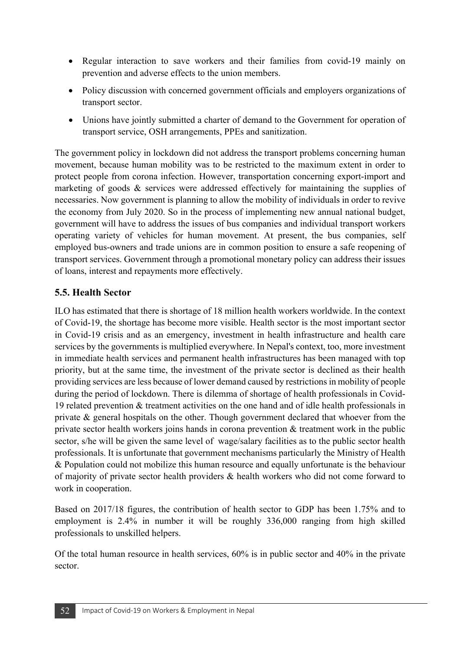- Regular interaction to save workers and their families from covid-19 mainly on prevention and adverse effects to the union members.
- Policy discussion with concerned government officials and employers organizations of transport sector.
- Unions have jointly submitted a charter of demand to the Government for operation of transport service, OSH arrangements, PPEs and sanitization.

The government policy in lockdown did not address the transport problems concerning human movement, because human mobility was to be restricted to the maximum extent in order to protect people from corona infection. However, transportation concerning export-import and marketing of goods & services were addressed effectively for maintaining the supplies of necessaries. Now government is planning to allow the mobility of individuals in order to revive the economy from July 2020. So in the process of implementing new annual national budget, government will have to address the issues of bus companies and individual transport workers operating variety of vehicles for human movement. At present, the bus companies, self employed bus-owners and trade unions are in common position to ensure a safe reopening of transport services. Government through a promotional monetary policy can address their issues of loans, interest and repayments more effectively.

#### **5.5. Health Sector**

ILO has estimated that there is shortage of 18 million health workers worldwide. In the context of Covid-19, the shortage has become more visible. Health sector is the most important sector in Covid-19 crisis and as an emergency, investment in health infrastructure and health care services by the governments is multiplied everywhere. In Nepal's context, too, more investment in immediate health services and permanent health infrastructures has been managed with top priority, but at the same time, the investment of the private sector is declined as their health providing services are less because of lower demand caused by restrictions in mobility of people during the period of lockdown. There is dilemma of shortage of health professionals in Covid-19 related prevention & treatment activities on the one hand and of idle health professionals in private & general hospitals on the other. Though government declared that whoever from the private sector health workers joins hands in corona prevention & treatment work in the public sector, s/he will be given the same level of wage/salary facilities as to the public sector health professionals. It is unfortunate that government mechanisms particularly the Ministry of Health & Population could not mobilize this human resource and equally unfortunate is the behaviour of majority of private sector health providers & health workers who did not come forward to work in cooperation.

Based on 2017/18 figures, the contribution of health sector to GDP has been 1.75% and to employment is 2.4% in number it will be roughly 336,000 ranging from high skilled professionals to unskilled helpers.

Of the total human resource in health services, 60% is in public sector and 40% in the private sector.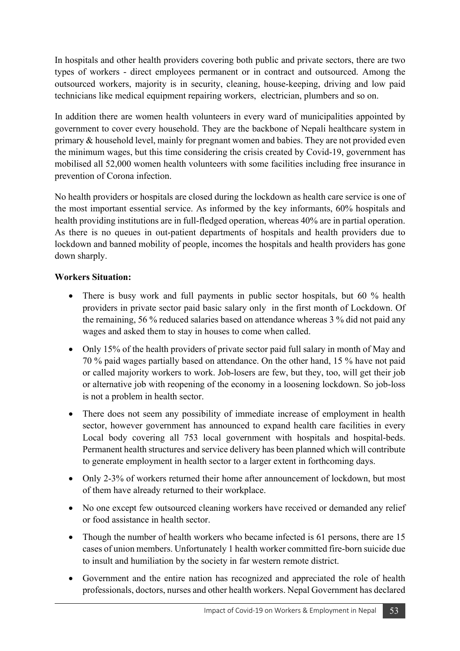In hospitals and other health providers covering both public and private sectors, there are two types of workers - direct employees permanent or in contract and outsourced. Among the outsourced workers, majority is in security, cleaning, house-keeping, driving and low paid technicians like medical equipment repairing workers, electrician, plumbers and so on.

In addition there are women health volunteers in every ward of municipalities appointed by government to cover every household. They are the backbone of Nepali healthcare system in primary & household level, mainly for pregnant women and babies. They are not provided even the minimum wages, but this time considering the crisis created by Covid-19, government has mobilised all 52,000 women health volunteers with some facilities including free insurance in prevention of Corona infection.

No health providers or hospitals are closed during the lockdown as health care service is one of the most important essential service. As informed by the key informants, 60% hospitals and health providing institutions are in full-fledged operation, whereas 40% are in partial operation. As there is no queues in out-patient departments of hospitals and health providers due to lockdown and banned mobility of people, incomes the hospitals and health providers has gone down sharply.

#### **Workers Situation:**

- There is busy work and full payments in public sector hospitals, but 60 % health providers in private sector paid basic salary only in the first month of Lockdown. Of the remaining, 56 % reduced salaries based on attendance whereas 3 % did not paid any wages and asked them to stay in houses to come when called.
- Only 15% of the health providers of private sector paid full salary in month of May and 70 % paid wages partially based on attendance. On the other hand, 15 % have not paid or called majority workers to work. Job-losers are few, but they, too, will get their job or alternative job with reopening of the economy in a loosening lockdown. So job-loss is not a problem in health sector.
- There does not seem any possibility of immediate increase of employment in health sector, however government has announced to expand health care facilities in every Local body covering all 753 local government with hospitals and hospital-beds. Permanent health structures and service delivery has been planned which will contribute to generate employment in health sector to a larger extent in forthcoming days.
- Only 2-3% of workers returned their home after announcement of lockdown, but most of them have already returned to their workplace.
- No one except few outsourced cleaning workers have received or demanded any relief or food assistance in health sector.
- Though the number of health workers who became infected is 61 persons, there are 15 cases of union members. Unfortunately 1 health worker committed fire-born suicide due to insult and humiliation by the society in far western remote district.
- Government and the entire nation has recognized and appreciated the role of health professionals, doctors, nurses and other health workers. Nepal Government has declared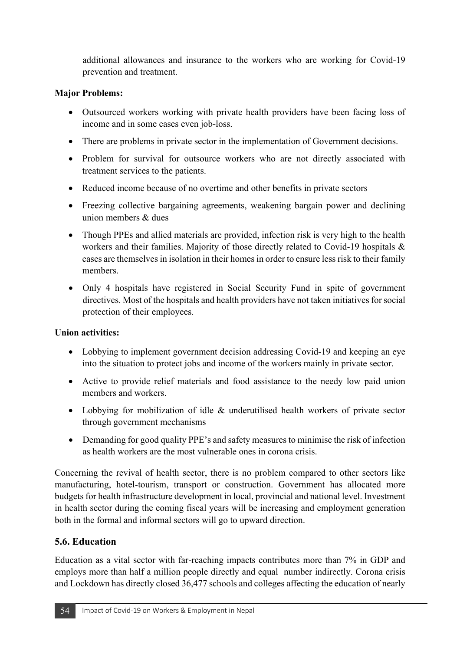additional allowances and insurance to the workers who are working for Covid-19 prevention and treatment.

#### **Major Problems:**

- Outsourced workers working with private health providers have been facing loss of income and in some cases even job-loss.
- There are problems in private sector in the implementation of Government decisions.
- Problem for survival for outsource workers who are not directly associated with treatment services to the patients.
- Reduced income because of no overtime and other benefits in private sectors
- Freezing collective bargaining agreements, weakening bargain power and declining union members & dues
- Though PPEs and allied materials are provided, infection risk is very high to the health workers and their families. Majority of those directly related to Covid-19 hospitals & cases are themselves in isolation in their homes in order to ensure less risk to their family members.
- Only 4 hospitals have registered in Social Security Fund in spite of government directives. Most of the hospitals and health providers have not taken initiatives for social protection of their employees.

#### **Union activities:**

- Lobbying to implement government decision addressing Covid-19 and keeping an eye into the situation to protect jobs and income of the workers mainly in private sector.
- Active to provide relief materials and food assistance to the needy low paid union members and workers.
- Lobbying for mobilization of idle & underutilised health workers of private sector through government mechanisms
- Demanding for good quality PPE's and safety measures to minimise the risk of infection as health workers are the most vulnerable ones in corona crisis.

Concerning the revival of health sector, there is no problem compared to other sectors like manufacturing, hotel-tourism, transport or construction. Government has allocated more budgets for health infrastructure development in local, provincial and national level. Investment in health sector during the coming fiscal years will be increasing and employment generation both in the formal and informal sectors will go to upward direction.

#### **5.6. Education**

Education as a vital sector with far-reaching impacts contributes more than 7% in GDP and employs more than half a million people directly and equal number indirectly. Corona crisis and Lockdown has directly closed 36,477 schools and colleges affecting the education of nearly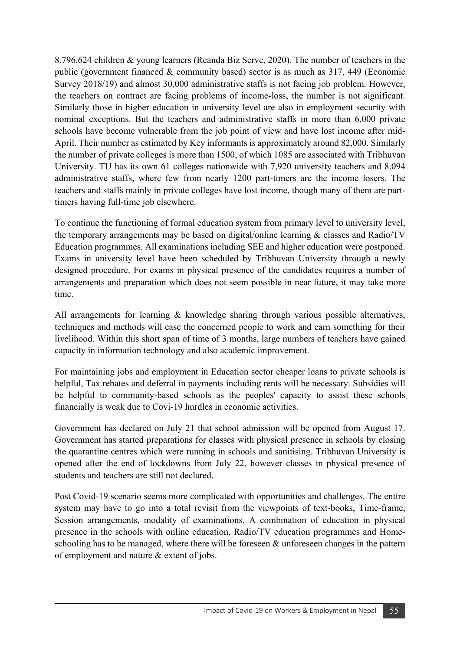8,796,624 children & young learners (Reanda Biz Serve, 2020). The number of teachers in the public (government financed & community based) sector is as much as 317, 449 (Economic Survey 2018/19) and almost 30,000 administrative staffs is not facing job problem. However, the teachers on contract are facing problems of income-loss, the number is not significant. Similarly those in higher education in university level are also in employment security with nominal exceptions. But the teachers and administrative staffs in more than 6,000 private schools have become vulnerable from the job point of view and have lost income after mid-April. Their number as estimated by Key informants is approximately around 82,000. Similarly the number of private colleges is more than 1500, of which 1085 are associated with Tribhuvan University. TU has its own 61 colleges nationwide with 7,920 university teachers and 8,094 administrative staffs, where few from nearly 1200 part-timers are the income losers. The teachers and staffs mainly in private colleges have lost income, though many of them are parttimers having full-time job elsewhere.

To continue the functioning of formal education system from primary level to university level, the temporary arrangements may be based on digital/online learning & classes and Radio/TV Education programmes. All examinations including SEE and higher education were postponed. Exams in university level have been scheduled by Tribhuvan University through a newly designed procedure. For exams in physical presence of the candidates requires a number of arrangements and preparation which does not seem possible in near future, it may take more time.

All arrangements for learning & knowledge sharing through various possible alternatives, techniques and methods will ease the concerned people to work and earn something for their livelihood. Within this short span of time of 3 months, large numbers of teachers have gained capacity in information technology and also academic improvement.

For maintaining jobs and employment in Education sector cheaper loans to private schools is helpful, Tax rebates and deferral in payments including rents will be necessary. Subsidies will be helpful to community-based schools as the peoples' capacity to assist these schools financially is weak due to Covi-19 hurdles in economic activities.

Government has declared on July 21 that school admission will be opened from August 17. Government has started preparations for classes with physical presence in schools by closing the quarantine centres which were running in schools and sanitising. Tribhuvan University is opened after the end of lockdowns from July 22, however classes in physical presence of students and teachers are still not declared.

Post Covid-19 scenario seems more complicated with opportunities and challenges. The entire system may have to go into a total revisit from the viewpoints of text-books, Time-frame, Session arrangements, modality of examinations. A combination of education in physical presence in the schools with online education, Radio/TV education programmes and Homeschooling has to be managed, where there will be foreseen & unforeseen changes in the pattern of employment and nature & extent of jobs.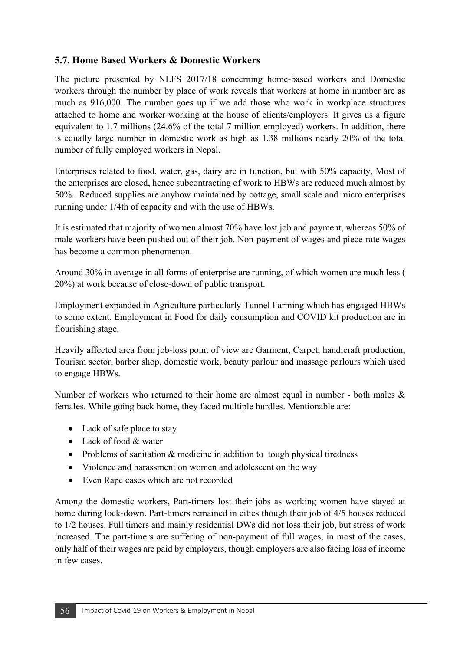#### **5.7. Home Based Workers & Domestic Workers**

The picture presented by NLFS 2017/18 concerning home-based workers and Domestic workers through the number by place of work reveals that workers at home in number are as much as 916,000. The number goes up if we add those who work in workplace structures attached to home and worker working at the house of clients/employers. It gives us a figure equivalent to 1.7 millions (24.6% of the total 7 million employed) workers. In addition, there is equally large number in domestic work as high as 1.38 millions nearly 20% of the total number of fully employed workers in Nepal.

Enterprises related to food, water, gas, dairy are in function, but with 50% capacity, Most of the enterprises are closed, hence subcontracting of work to HBWs are reduced much almost by 50%. Reduced supplies are anyhow maintained by cottage, small scale and micro enterprises running under 1/4th of capacity and with the use of HBWs.

It is estimated that majority of women almost 70% have lost job and payment, whereas 50% of male workers have been pushed out of their job. Non-payment of wages and piece-rate wages has become a common phenomenon.

Around 30% in average in all forms of enterprise are running, of which women are much less ( 20%) at work because of close-down of public transport.

Employment expanded in Agriculture particularly Tunnel Farming which has engaged HBWs to some extent. Employment in Food for daily consumption and COVID kit production are in flourishing stage.

Heavily affected area from job-loss point of view are Garment, Carpet, handicraft production, Tourism sector, barber shop, domestic work, beauty parlour and massage parlours which used to engage HBWs.

Number of workers who returned to their home are almost equal in number - both males  $\&$ females. While going back home, they faced multiple hurdles. Mentionable are:

- Lack of safe place to stay
- Lack of food & water
- Problems of sanitation & medicine in addition to tough physical tiredness
- Violence and harassment on women and adolescent on the way
- Even Rape cases which are not recorded

Among the domestic workers, Part-timers lost their jobs as working women have stayed at home during lock-down. Part-timers remained in cities though their job of 4/5 houses reduced to 1/2 houses. Full timers and mainly residential DWs did not loss their job, but stress of work increased. The part-timers are suffering of non-payment of full wages, in most of the cases, only half of their wages are paid by employers, though employers are also facing loss of income in few cases.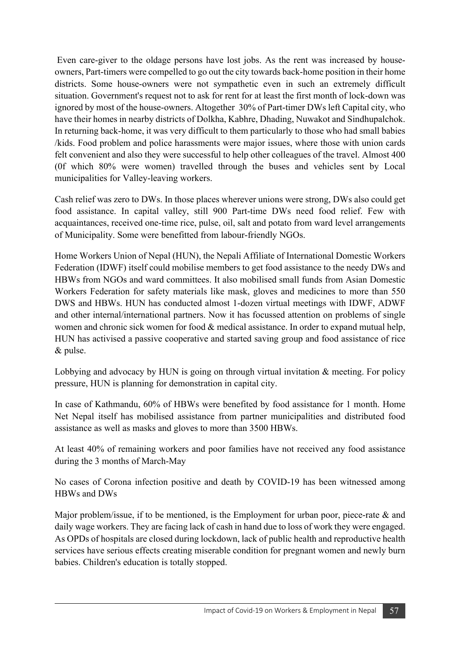Even care-giver to the oldage persons have lost jobs. As the rent was increased by houseowners, Part-timers were compelled to go out the city towards back-home position in their home districts. Some house-owners were not sympathetic even in such an extremely difficult situation. Government's request not to ask for rent for at least the first month of lock-down was ignored by most of the house-owners. Altogether 30% of Part-timer DWs left Capital city, who have their homes in nearby districts of Dolkha, Kabhre, Dhading, Nuwakot and Sindhupalchok. In returning back-home, it was very difficult to them particularly to those who had small babies /kids. Food problem and police harassments were major issues, where those with union cards felt convenient and also they were successful to help other colleagues of the travel. Almost 400 (0f which 80% were women) travelled through the buses and vehicles sent by Local municipalities for Valley-leaving workers.

Cash relief was zero to DWs. In those places wherever unions were strong, DWs also could get food assistance. In capital valley, still 900 Part-time DWs need food relief. Few with acquaintances, received one-time rice, pulse, oil, salt and potato from ward level arrangements of Municipality. Some were benefitted from labour-friendly NGOs.

Home Workers Union of Nepal (HUN), the Nepali Affiliate of International Domestic Workers Federation (IDWF) itself could mobilise members to get food assistance to the needy DWs and HBWs from NGOs and ward committees. It also mobilised small funds from Asian Domestic Workers Federation for safety materials like mask, gloves and medicines to more than 550 DWS and HBWs. HUN has conducted almost 1-dozen virtual meetings with IDWF, ADWF and other internal/international partners. Now it has focussed attention on problems of single women and chronic sick women for food & medical assistance. In order to expand mutual help, HUN has activised a passive cooperative and started saving group and food assistance of rice & pulse.

Lobbying and advocacy by HUN is going on through virtual invitation & meeting. For policy pressure, HUN is planning for demonstration in capital city.

In case of Kathmandu, 60% of HBWs were benefited by food assistance for 1 month. Home Net Nepal itself has mobilised assistance from partner municipalities and distributed food assistance as well as masks and gloves to more than 3500 HBWs.

At least 40% of remaining workers and poor families have not received any food assistance during the 3 months of March-May

No cases of Corona infection positive and death by COVID-19 has been witnessed among HBWs and DWs

Major problem/issue, if to be mentioned, is the Employment for urban poor, piece-rate & and daily wage workers. They are facing lack of cash in hand due to loss of work they were engaged. As OPDs of hospitals are closed during lockdown, lack of public health and reproductive health services have serious effects creating miserable condition for pregnant women and newly burn babies. Children's education is totally stopped.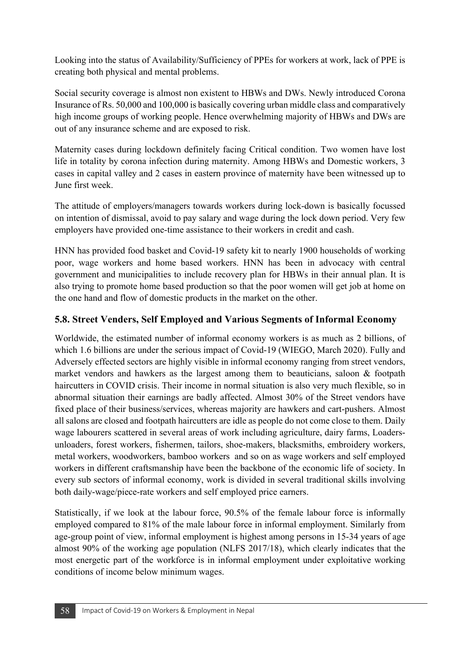Looking into the status of Availability/Sufficiency of PPEs for workers at work, lack of PPE is creating both physical and mental problems.

Social security coverage is almost non existent to HBWs and DWs. Newly introduced Corona Insurance of Rs. 50,000 and 100,000 is basically covering urban middle class and comparatively high income groups of working people. Hence overwhelming majority of HBWs and DWs are out of any insurance scheme and are exposed to risk.

Maternity cases during lockdown definitely facing Critical condition. Two women have lost life in totality by corona infection during maternity. Among HBWs and Domestic workers, 3 cases in capital valley and 2 cases in eastern province of maternity have been witnessed up to June first week.

The attitude of employers/managers towards workers during lock-down is basically focussed on intention of dismissal, avoid to pay salary and wage during the lock down period. Very few employers have provided one-time assistance to their workers in credit and cash.

HNN has provided food basket and Covid-19 safety kit to nearly 1900 households of working poor, wage workers and home based workers. HNN has been in advocacy with central government and municipalities to include recovery plan for HBWs in their annual plan. It is also trying to promote home based production so that the poor women will get job at home on the one hand and flow of domestic products in the market on the other.

#### **5.8. Street Venders, Self Employed and Various Segments of Informal Economy**

Worldwide, the estimated number of informal economy workers is as much as 2 billions, of which 1.6 billions are under the serious impact of Covid-19 (WIEGO, March 2020). Fully and Adversely effected sectors are highly visible in informal economy ranging from street vendors, market vendors and hawkers as the largest among them to beauticians, saloon & footpath haircutters in COVID crisis. Their income in normal situation is also very much flexible, so in abnormal situation their earnings are badly affected. Almost 30% of the Street vendors have fixed place of their business/services, whereas majority are hawkers and cart-pushers. Almost all salons are closed and footpath haircutters are idle as people do not come close to them. Daily wage labourers scattered in several areas of work including agriculture, dairy farms, Loadersunloaders, forest workers, fishermen, tailors, shoe-makers, blacksmiths, embroidery workers, metal workers, woodworkers, bamboo workers and so on as wage workers and self employed workers in different craftsmanship have been the backbone of the economic life of society. In every sub sectors of informal economy, work is divided in several traditional skills involving both daily-wage/piece-rate workers and self employed price earners.

Statistically, if we look at the labour force, 90.5% of the female labour force is informally employed compared to 81% of the male labour force in informal employment. Similarly from age-group point of view, informal employment is highest among persons in 15-34 years of age almost 90% of the working age population (NLFS 2017/18), which clearly indicates that the most energetic part of the workforce is in informal employment under exploitative working conditions of income below minimum wages.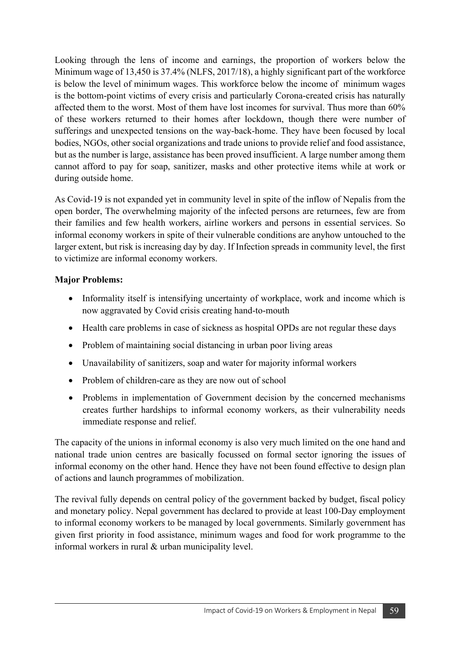Looking through the lens of income and earnings, the proportion of workers below the Minimum wage of 13,450 is 37.4% (NLFS, 2017/18), a highly significant part of the workforce is below the level of minimum wages. This workforce below the income of minimum wages is the bottom-point victims of every crisis and particularly Corona-created crisis has naturally affected them to the worst. Most of them have lost incomes for survival. Thus more than 60% of these workers returned to their homes after lockdown, though there were number of sufferings and unexpected tensions on the way-back-home. They have been focused by local bodies, NGOs, other social organizations and trade unions to provide relief and food assistance, but as the number is large, assistance has been proved insufficient. A large number among them cannot afford to pay for soap, sanitizer, masks and other protective items while at work or during outside home.

As Covid-19 is not expanded yet in community level in spite of the inflow of Nepalis from the open border, The overwhelming majority of the infected persons are returnees, few are from their families and few health workers, airline workers and persons in essential services. So informal economy workers in spite of their vulnerable conditions are anyhow untouched to the larger extent, but risk is increasing day by day. If Infection spreads in community level, the first to victimize are informal economy workers.

#### **Major Problems:**

- Informality itself is intensifying uncertainty of workplace, work and income which is now aggravated by Covid crisis creating hand-to-mouth
- Health care problems in case of sickness as hospital OPDs are not regular these days
- Problem of maintaining social distancing in urban poor living areas
- Unavailability of sanitizers, soap and water for majority informal workers
- Problem of children-care as they are now out of school
- Problems in implementation of Government decision by the concerned mechanisms creates further hardships to informal economy workers, as their vulnerability needs immediate response and relief.

The capacity of the unions in informal economy is also very much limited on the one hand and national trade union centres are basically focussed on formal sector ignoring the issues of informal economy on the other hand. Hence they have not been found effective to design plan of actions and launch programmes of mobilization.

The revival fully depends on central policy of the government backed by budget, fiscal policy and monetary policy. Nepal government has declared to provide at least 100-Day employment to informal economy workers to be managed by local governments. Similarly government has given first priority in food assistance, minimum wages and food for work programme to the informal workers in rural & urban municipality level.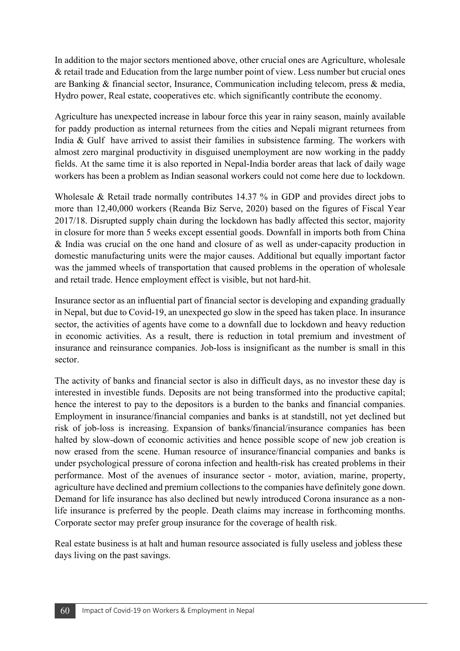In addition to the major sectors mentioned above, other crucial ones are Agriculture, wholesale & retail trade and Education from the large number point of view. Less number but crucial ones are Banking & financial sector, Insurance, Communication including telecom, press & media, Hydro power, Real estate, cooperatives etc. which significantly contribute the economy.

Agriculture has unexpected increase in labour force this year in rainy season, mainly available for paddy production as internal returnees from the cities and Nepali migrant returnees from India & Gulf have arrived to assist their families in subsistence farming. The workers with almost zero marginal productivity in disguised unemployment are now working in the paddy fields. At the same time it is also reported in Nepal-India border areas that lack of daily wage workers has been a problem as Indian seasonal workers could not come here due to lockdown.

Wholesale & Retail trade normally contributes 14.37 % in GDP and provides direct jobs to more than 12,40,000 workers (Reanda Biz Serve, 2020) based on the figures of Fiscal Year 2017/18. Disrupted supply chain during the lockdown has badly affected this sector, majority in closure for more than 5 weeks except essential goods. Downfall in imports both from China & India was crucial on the one hand and closure of as well as under-capacity production in domestic manufacturing units were the major causes. Additional but equally important factor was the jammed wheels of transportation that caused problems in the operation of wholesale and retail trade. Hence employment effect is visible, but not hard-hit.

Insurance sector as an influential part of financial sector is developing and expanding gradually in Nepal, but due to Covid-19, an unexpected go slow in the speed has taken place. In insurance sector, the activities of agents have come to a downfall due to lockdown and heavy reduction in economic activities. As a result, there is reduction in total premium and investment of insurance and reinsurance companies. Job-loss is insignificant as the number is small in this sector.

The activity of banks and financial sector is also in difficult days, as no investor these day is interested in investible funds. Deposits are not being transformed into the productive capital; hence the interest to pay to the depositors is a burden to the banks and financial companies. Employment in insurance/financial companies and banks is at standstill, not yet declined but risk of job-loss is increasing. Expansion of banks/financial/insurance companies has been halted by slow-down of economic activities and hence possible scope of new job creation is now erased from the scene. Human resource of insurance/financial companies and banks is under psychological pressure of corona infection and health-risk has created problems in their performance. Most of the avenues of insurance sector - motor, aviation, marine, property, agriculture have declined and premium collections to the companies have definitely gone down. Demand for life insurance has also declined but newly introduced Corona insurance as a nonlife insurance is preferred by the people. Death claims may increase in forthcoming months. Corporate sector may prefer group insurance for the coverage of health risk.

Real estate business is at halt and human resource associated is fully useless and jobless these days living on the past savings.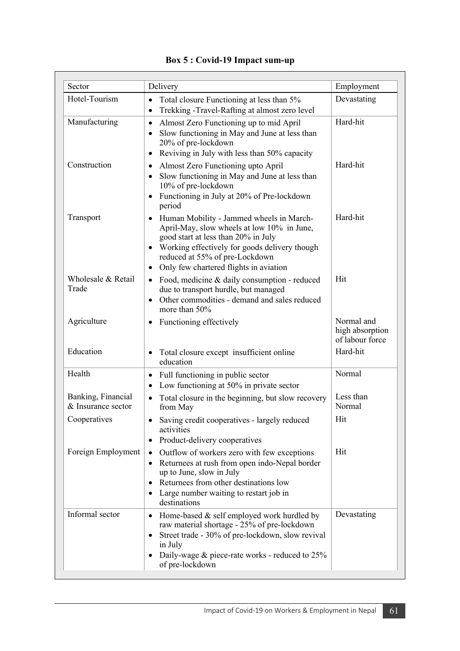| Sector                                   | Delivery                                                                                                                                                                                                                                                                                          | Employment                                       |
|------------------------------------------|---------------------------------------------------------------------------------------------------------------------------------------------------------------------------------------------------------------------------------------------------------------------------------------------------|--------------------------------------------------|
| Hotel-Tourism                            | Total closure Functioning at less than 5%<br>$\bullet$<br>Trekking -Travel-Rafting at almost zero level<br>$\bullet$                                                                                                                                                                              | Devastating                                      |
| Manufacturing                            | Almost Zero Functioning up to mid April<br>$\bullet$<br>Slow functioning in May and June at less than<br>20% of pre-lockdown<br>Reviving in July with less than 50% capacity                                                                                                                      | Hard-hit                                         |
| Construction                             | Almost Zero Functioning upto April<br>$\bullet$<br>Slow functioning in May and June at less than<br>10% of pre-lockdown<br>Functioning in July at 20% of Pre-lockdown<br>$\bullet$<br>period                                                                                                      | Hard-hit                                         |
| Transport                                | Human Mobility - Jammed wheels in March-<br>$\bullet$<br>April-May, slow wheels at low 10% in June,<br>good start at less than 20% in July<br>Working effectively for goods delivery though<br>$\bullet$<br>reduced at 55% of pre-Lockdown<br>Only few chartered flights in aviation<br>$\bullet$ | Hard-hit                                         |
| Wholesale & Retail<br>Trade              | Food, medicine & daily consumption - reduced<br>$\bullet$<br>due to transport hurdle, but managed<br>Other commodities - demand and sales reduced<br>$\bullet$<br>more than 50%                                                                                                                   | Hit                                              |
| Agriculture                              | • Functioning effectively                                                                                                                                                                                                                                                                         | Normal and<br>high absorption<br>of labour force |
| Education                                | Total closure except insufficient online<br>$\bullet$<br>education                                                                                                                                                                                                                                | Hard-hit                                         |
| Health                                   | • Full functioning in public sector<br>Low functioning at 50% in private sector<br>$\bullet$                                                                                                                                                                                                      | Normal                                           |
| Banking, Financial<br>& Insurance sector | Total closure in the beginning, but slow recovery<br>$\bullet$<br>from May                                                                                                                                                                                                                        | Less than<br>Normal                              |
| Cooperatives                             | Saving credit cooperatives - largely reduced<br>activities<br>Product-delivery cooperatives<br>$\bullet$                                                                                                                                                                                          | Hit                                              |
| Foreign Employment                       | Outflow of workers zero with few exceptions<br>$\bullet$<br>Returnees at rush from open indo-Nepal border<br>$\bullet$<br>up to June, slow in July<br>Returnees from other destinations low<br>Large number waiting to restart job in<br>destinations                                             | Hit                                              |
| Informal sector                          | Home-based & self employed work hurdled by<br>$\bullet$<br>raw material shortage - 25% of pre-lockdown<br>• Street trade - 30% of pre-lockdown, slow revival<br>in July<br>Daily-wage & piece-rate works - reduced to 25%<br>٠<br>of pre-lockdown                                                 | Devastating                                      |

### **Box 5 : Covid-19 Impact sum-up**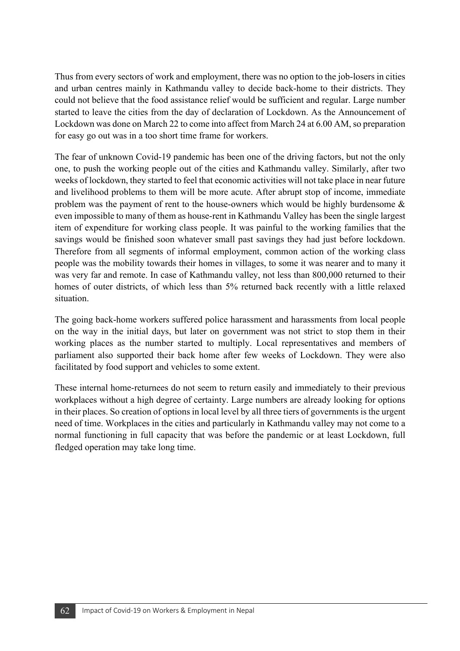Thus from every sectors of work and employment, there was no option to the job-losers in cities and urban centres mainly in Kathmandu valley to decide back-home to their districts. They could not believe that the food assistance relief would be sufficient and regular. Large number started to leave the cities from the day of declaration of Lockdown. As the Announcement of Lockdown was done on March 22 to come into affect from March 24 at 6.00 AM, so preparation for easy go out was in a too short time frame for workers.

The fear of unknown Covid-19 pandemic has been one of the driving factors, but not the only one, to push the working people out of the cities and Kathmandu valley. Similarly, after two weeks of lockdown, they started to feel that economic activities will not take place in near future and livelihood problems to them will be more acute. After abrupt stop of income, immediate problem was the payment of rent to the house-owners which would be highly burdensome & even impossible to many of them as house-rent in Kathmandu Valley has been the single largest item of expenditure for working class people. It was painful to the working families that the savings would be finished soon whatever small past savings they had just before lockdown. Therefore from all segments of informal employment, common action of the working class people was the mobility towards their homes in villages, to some it was nearer and to many it was very far and remote. In case of Kathmandu valley, not less than 800,000 returned to their homes of outer districts, of which less than 5% returned back recently with a little relaxed situation.

The going back-home workers suffered police harassment and harassments from local people on the way in the initial days, but later on government was not strict to stop them in their working places as the number started to multiply. Local representatives and members of parliament also supported their back home after few weeks of Lockdown. They were also facilitated by food support and vehicles to some extent.

These internal home-returnees do not seem to return easily and immediately to their previous workplaces without a high degree of certainty. Large numbers are already looking for options in their places. So creation of options in local level by all three tiers of governments is the urgent need of time. Workplaces in the cities and particularly in Kathmandu valley may not come to a normal functioning in full capacity that was before the pandemic or at least Lockdown, full fledged operation may take long time.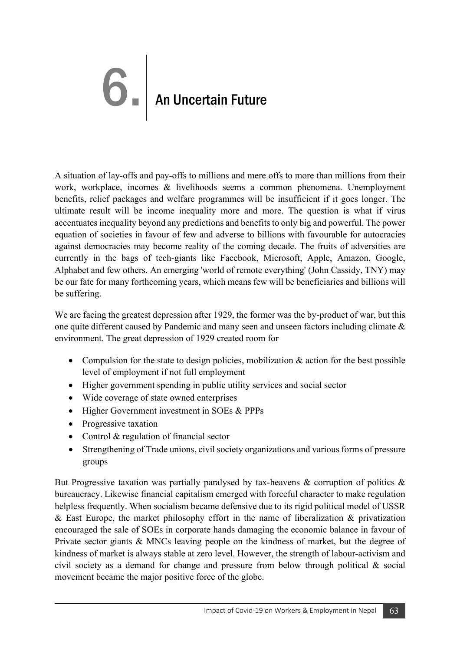# 6. An Uncertain Future

A situation of lay-offs and pay-offs to millions and mere offs to more than millions from their work, workplace, incomes & livelihoods seems a common phenomena. Unemployment benefits, relief packages and welfare programmes will be insufficient if it goes longer. The ultimate result will be income inequality more and more. The question is what if virus accentuates inequality beyond any predictions and benefits to only big and powerful. The power equation of societies in favour of few and adverse to billions with favourable for autocracies against democracies may become reality of the coming decade. The fruits of adversities are currently in the bags of tech-giants like Facebook, Microsoft, Apple, Amazon, Google, Alphabet and few others. An emerging 'world of remote everything' (John Cassidy, TNY) may be our fate for many forthcoming years, which means few will be beneficiaries and billions will be suffering.

We are facing the greatest depression after 1929, the former was the by-product of war, but this one quite different caused by Pandemic and many seen and unseen factors including climate & environment. The great depression of 1929 created room for

- Compulsion for the state to design policies, mobilization & action for the best possible level of employment if not full employment
- Higher government spending in public utility services and social sector
- Wide coverage of state owned enterprises
- Higher Government investment in SOEs & PPPs
- Progressive taxation
- Control & regulation of financial sector
- Strengthening of Trade unions, civil society organizations and various forms of pressure groups

But Progressive taxation was partially paralysed by tax-heavens & corruption of politics & bureaucracy. Likewise financial capitalism emerged with forceful character to make regulation helpless frequently. When socialism became defensive due to its rigid political model of USSR  $&$  East Europe, the market philosophy effort in the name of liberalization  $&$  privatization encouraged the sale of SOEs in corporate hands damaging the economic balance in favour of Private sector giants & MNCs leaving people on the kindness of market, but the degree of kindness of market is always stable at zero level. However, the strength of labour-activism and civil society as a demand for change and pressure from below through political & social movement became the major positive force of the globe.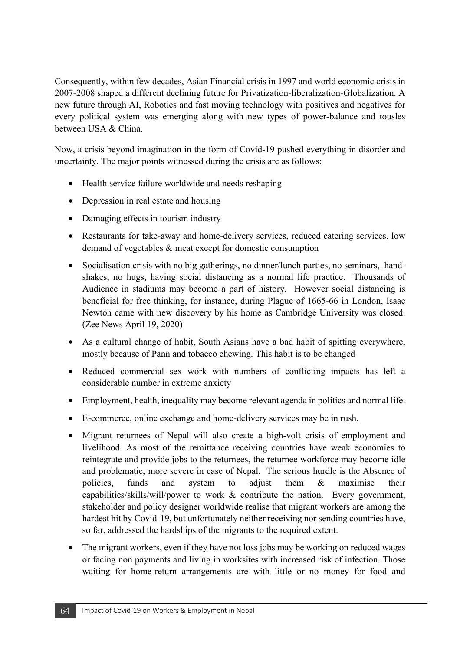Consequently, within few decades, Asian Financial crisis in 1997 and world economic crisis in 2007-2008 shaped a different declining future for Privatization-liberalization-Globalization. A new future through AI, Robotics and fast moving technology with positives and negatives for every political system was emerging along with new types of power-balance and tousles between USA & China.

Now, a crisis beyond imagination in the form of Covid-19 pushed everything in disorder and uncertainty. The major points witnessed during the crisis are as follows:

- Health service failure worldwide and needs reshaping
- Depression in real estate and housing
- Damaging effects in tourism industry
- Restaurants for take-away and home-delivery services, reduced catering services, low demand of vegetables & meat except for domestic consumption
- Socialisation crisis with no big gatherings, no dinner/lunch parties, no seminars, handshakes, no hugs, having social distancing as a normal life practice. Thousands of Audience in stadiums may become a part of history. However social distancing is beneficial for free thinking, for instance, during Plague of 1665-66 in London, Isaac Newton came with new discovery by his home as Cambridge University was closed. (Zee News April 19, 2020)
- As a cultural change of habit, South Asians have a bad habit of spitting everywhere, mostly because of Pann and tobacco chewing. This habit is to be changed
- Reduced commercial sex work with numbers of conflicting impacts has left a considerable number in extreme anxiety
- Employment, health, inequality may become relevant agenda in politics and normal life.
- E-commerce, online exchange and home-delivery services may be in rush.
- Migrant returnees of Nepal will also create a high-volt crisis of employment and livelihood. As most of the remittance receiving countries have weak economies to reintegrate and provide jobs to the returnees, the returnee workforce may become idle and problematic, more severe in case of Nepal. The serious hurdle is the Absence of policies, funds and system to adjust them & maximise their capabilities/skills/will/power to work & contribute the nation. Every government, stakeholder and policy designer worldwide realise that migrant workers are among the hardest hit by Covid-19, but unfortunately neither receiving nor sending countries have, so far, addressed the hardships of the migrants to the required extent.
- The migrant workers, even if they have not loss jobs may be working on reduced wages or facing non payments and living in worksites with increased risk of infection. Those waiting for home-return arrangements are with little or no money for food and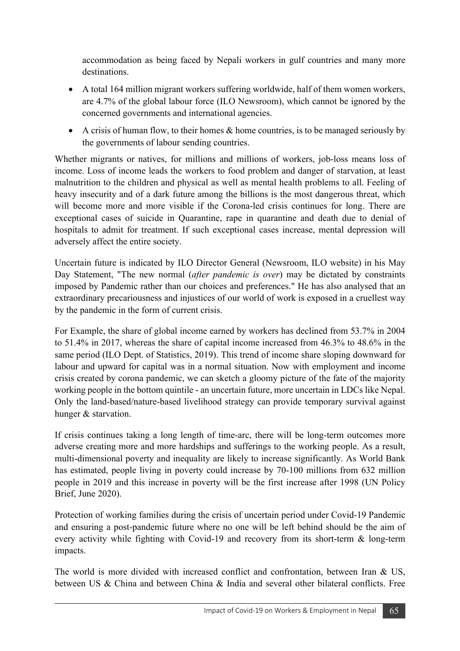accommodation as being faced by Nepali workers in gulf countries and many more destinations.

- A total 164 million migrant workers suffering worldwide, half of them women workers, are 4.7% of the global labour force (ILO Newsroom), which cannot be ignored by the concerned governments and international agencies.
- A crisis of human flow, to their homes & home countries, is to be managed seriously by the governments of labour sending countries.

Whether migrants or natives, for millions and millions of workers, job-loss means loss of income. Loss of income leads the workers to food problem and danger of starvation, at least malnutrition to the children and physical as well as mental health problems to all. Feeling of heavy insecurity and of a dark future among the billions is the most dangerous threat, which will become more and more visible if the Corona-led crisis continues for long. There are exceptional cases of suicide in Quarantine, rape in quarantine and death due to denial of hospitals to admit for treatment. If such exceptional cases increase, mental depression will adversely affect the entire society.

Uncertain future is indicated by ILO Director General (Newsroom, ILO website) in his May Day Statement, "The new normal (*after pandemic is over*) may be dictated by constraints imposed by Pandemic rather than our choices and preferences." He has also analysed that an extraordinary precariousness and injustices of our world of work is exposed in a cruellest way by the pandemic in the form of current crisis.

For Example, the share of global income earned by workers has declined from 53.7% in 2004 to 51.4% in 2017, whereas the share of capital income increased from 46.3% to 48.6% in the same period (ILO Dept. of Statistics, 2019). This trend of income share sloping downward for labour and upward for capital was in a normal situation. Now with employment and income crisis created by corona pandemic, we can sketch a gloomy picture of the fate of the majority working people in the bottom quintile - an uncertain future, more uncertain in LDCs like Nepal. Only the land-based/nature-based livelihood strategy can provide temporary survival against hunger & starvation.

If crisis continues taking a long length of time-arc, there will be long-term outcomes more adverse creating more and more hardships and sufferings to the working people. As a result, multi-dimensional poverty and inequality are likely to increase significantly. As World Bank has estimated, people living in poverty could increase by 70-100 millions from 632 million people in 2019 and this increase in poverty will be the first increase after 1998 (UN Policy Brief, June 2020).

Protection of working families during the crisis of uncertain period under Covid-19 Pandemic and ensuring a post-pandemic future where no one will be left behind should be the aim of every activity while fighting with Covid-19 and recovery from its short-term & long-term impacts.

The world is more divided with increased conflict and confrontation, between Iran & US, between US & China and between China & India and several other bilateral conflicts. Free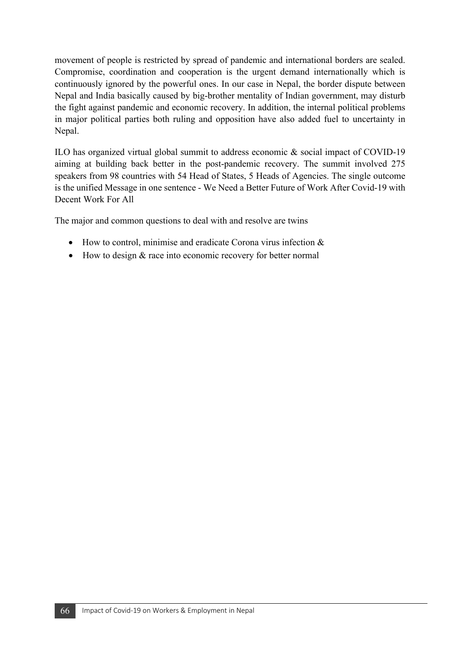movement of people is restricted by spread of pandemic and international borders are sealed. Compromise, coordination and cooperation is the urgent demand internationally which is continuously ignored by the powerful ones. In our case in Nepal, the border dispute between Nepal and India basically caused by big-brother mentality of Indian government, may disturb the fight against pandemic and economic recovery. In addition, the internal political problems in major political parties both ruling and opposition have also added fuel to uncertainty in Nepal.

ILO has organized virtual global summit to address economic & social impact of COVID-19 aiming at building back better in the post-pandemic recovery. The summit involved 275 speakers from 98 countries with 54 Head of States, 5 Heads of Agencies. The single outcome is the unified Message in one sentence - We Need a Better Future of Work After Covid-19 with Decent Work For All

The major and common questions to deal with and resolve are twins

- How to control, minimise and eradicate Corona virus infection &
- How to design & race into economic recovery for better normal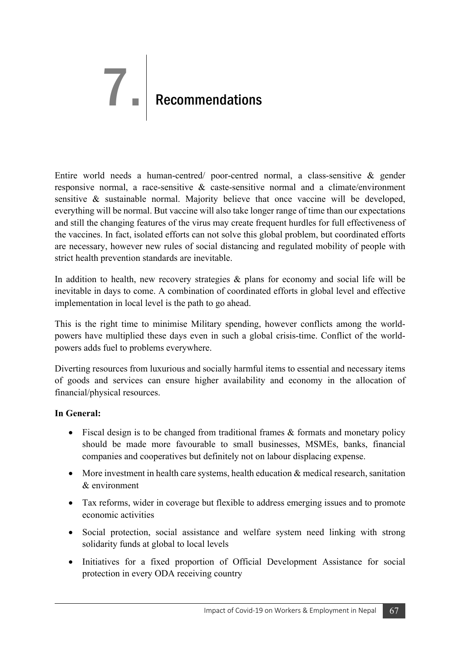# **7.** Recommendations

Entire world needs a human-centred/ poor-centred normal, a class-sensitive & gender responsive normal, a race-sensitive & caste-sensitive normal and a climate/environment sensitive & sustainable normal. Majority believe that once vaccine will be developed, everything will be normal. But vaccine will also take longer range of time than our expectations and still the changing features of the virus may create frequent hurdles for full effectiveness of the vaccines. In fact, isolated efforts can not solve this global problem, but coordinated efforts are necessary, however new rules of social distancing and regulated mobility of people with strict health prevention standards are inevitable.

In addition to health, new recovery strategies & plans for economy and social life will be inevitable in days to come. A combination of coordinated efforts in global level and effective implementation in local level is the path to go ahead.

This is the right time to minimise Military spending, however conflicts among the worldpowers have multiplied these days even in such a global crisis-time. Conflict of the worldpowers adds fuel to problems everywhere.

Diverting resources from luxurious and socially harmful items to essential and necessary items of goods and services can ensure higher availability and economy in the allocation of financial/physical resources.

#### **In General:**

- Fiscal design is to be changed from traditional frames & formats and monetary policy should be made more favourable to small businesses, MSMEs, banks, financial companies and cooperatives but definitely not on labour displacing expense.
- More investment in health care systems, health education & medical research, sanitation & environment
- Tax reforms, wider in coverage but flexible to address emerging issues and to promote economic activities
- Social protection, social assistance and welfare system need linking with strong solidarity funds at global to local levels
- Initiatives for a fixed proportion of Official Development Assistance for social protection in every ODA receiving country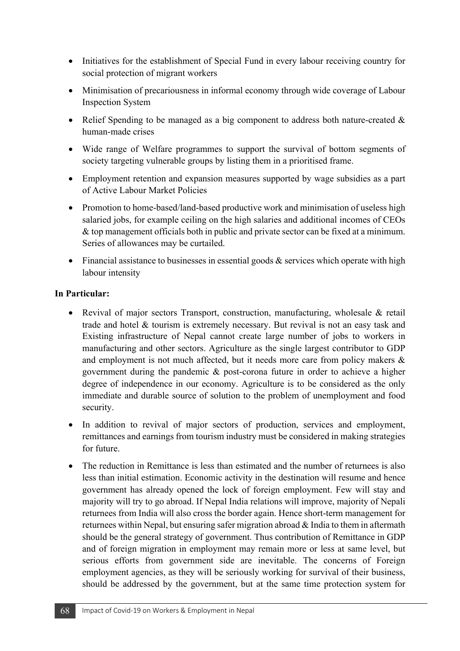- Initiatives for the establishment of Special Fund in every labour receiving country for social protection of migrant workers
- Minimisation of precariousness in informal economy through wide coverage of Labour Inspection System
- Relief Spending to be managed as a big component to address both nature-created & human-made crises
- Wide range of Welfare programmes to support the survival of bottom segments of society targeting vulnerable groups by listing them in a prioritised frame.
- Employment retention and expansion measures supported by wage subsidies as a part of Active Labour Market Policies
- Promotion to home-based/land-based productive work and minimisation of useless high salaried jobs, for example ceiling on the high salaries and additional incomes of CEOs & top management officials both in public and private sector can be fixed at a minimum. Series of allowances may be curtailed.
- Financial assistance to businesses in essential goods & services which operate with high labour intensity

#### **In Particular:**

- Revival of major sectors Transport, construction, manufacturing, wholesale & retail trade and hotel & tourism is extremely necessary. But revival is not an easy task and Existing infrastructure of Nepal cannot create large number of jobs to workers in manufacturing and other sectors. Agriculture as the single largest contributor to GDP and employment is not much affected, but it needs more care from policy makers & government during the pandemic & post-corona future in order to achieve a higher degree of independence in our economy. Agriculture is to be considered as the only immediate and durable source of solution to the problem of unemployment and food security.
- In addition to revival of major sectors of production, services and employment, remittances and earnings from tourism industry must be considered in making strategies for future.
- The reduction in Remittance is less than estimated and the number of returnees is also less than initial estimation. Economic activity in the destination will resume and hence government has already opened the lock of foreign employment. Few will stay and majority will try to go abroad. If Nepal India relations will improve, majority of Nepali returnees from India will also cross the border again. Hence short-term management for returnees within Nepal, but ensuring safer migration abroad & India to them in aftermath should be the general strategy of government. Thus contribution of Remittance in GDP and of foreign migration in employment may remain more or less at same level, but serious efforts from government side are inevitable. The concerns of Foreign employment agencies, as they will be seriously working for survival of their business, should be addressed by the government, but at the same time protection system for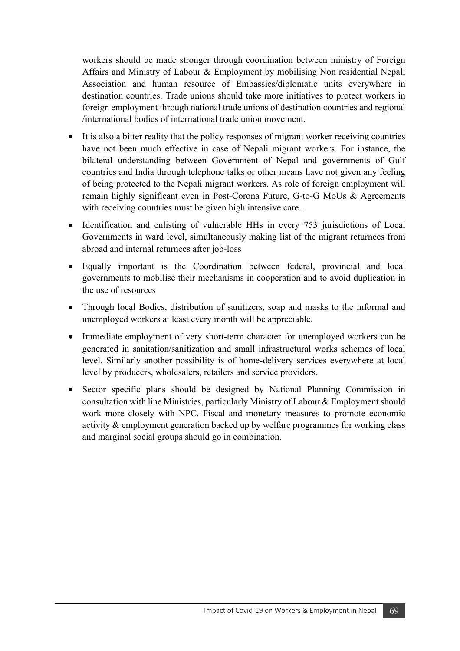workers should be made stronger through coordination between ministry of Foreign Affairs and Ministry of Labour & Employment by mobilising Non residential Nepali Association and human resource of Embassies/diplomatic units everywhere in destination countries. Trade unions should take more initiatives to protect workers in foreign employment through national trade unions of destination countries and regional /international bodies of international trade union movement.

- It is also a bitter reality that the policy responses of migrant worker receiving countries have not been much effective in case of Nepali migrant workers. For instance, the bilateral understanding between Government of Nepal and governments of Gulf countries and India through telephone talks or other means have not given any feeling of being protected to the Nepali migrant workers. As role of foreign employment will remain highly significant even in Post-Corona Future, G-to-G MoUs & Agreements with receiving countries must be given high intensive care..
- Identification and enlisting of vulnerable HHs in every 753 jurisdictions of Local Governments in ward level, simultaneously making list of the migrant returnees from abroad and internal returnees after job-loss
- Equally important is the Coordination between federal, provincial and local governments to mobilise their mechanisms in cooperation and to avoid duplication in the use of resources
- Through local Bodies, distribution of sanitizers, soap and masks to the informal and unemployed workers at least every month will be appreciable.
- Immediate employment of very short-term character for unemployed workers can be generated in sanitation/sanitization and small infrastructural works schemes of local level. Similarly another possibility is of home-delivery services everywhere at local level by producers, wholesalers, retailers and service providers.
- Sector specific plans should be designed by National Planning Commission in consultation with line Ministries, particularly Ministry of Labour & Employment should work more closely with NPC. Fiscal and monetary measures to promote economic activity & employment generation backed up by welfare programmes for working class and marginal social groups should go in combination.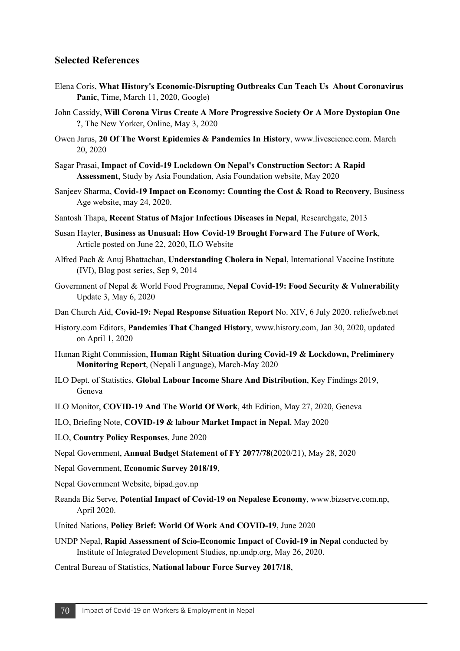## **Selected References**

- Elena Coris, **What History's Economic-Disrupting Outbreaks Can Teach Us About Coronavirus**  Panic, Time, March 11, 2020, Google)
- John Cassidy, **Will Corona Virus Create A More Progressive Society Or A More Dystopian One ?**, The New Yorker, Online, May 3, 2020
- Owen Jarus, **20 Of The Worst Epidemics & Pandemics In History**, www.livescience.com. March 20, 2020
- Sagar Prasai, **Impact of Covid-19 Lockdown On Nepal's Construction Sector: A Rapid Assessment**, Study by Asia Foundation, Asia Foundation website, May 2020
- Sanjeev Sharma, **Covid-19 Impact on Economy: Counting the Cost & Road to Recovery**, Business Age website, may 24, 2020.
- Santosh Thapa, **Recent Status of Major Infectious Diseases in Nepal**, Researchgate, 2013
- Susan Hayter, **Business as Unusual: How Covid-19 Brought Forward The Future of Work**, Article posted on June 22, 2020, ILO Website
- Alfred Pach & Anuj Bhattachan, **Understanding Cholera in Nepal**, International Vaccine Institute (IVI), Blog post series, Sep 9, 2014
- Government of Nepal & World Food Programme, **Nepal Covid-19: Food Security & Vulnerability** Update 3, May 6, 2020
- Dan Church Aid, **Covid-19: Nepal Response Situation Report** No. XIV, 6 July 2020. reliefweb.net
- History.com Editors, **Pandemics That Changed History**, www.history.com, Jan 30, 2020, updated on April 1, 2020
- Human Right Commission, **Human Right Situation during Covid-19 & Lockdown, Preliminery Monitoring Report**, (Nepali Language), March-May 2020
- ILO Dept. of Statistics, **Global Labour Income Share And Distribution**, Key Findings 2019, Geneva
- ILO Monitor, **COVID-19 And The World Of Work**, 4th Edition, May 27, 2020, Geneva
- ILO, Briefing Note, **COVID-19 & labour Market Impact in Nepal**, May 2020
- ILO, **Country Policy Responses**, June 2020
- Nepal Government, **Annual Budget Statement of FY 2077/78**(2020/21), May 28, 2020
- Nepal Government, **Economic Survey 2018/19**,
- Nepal Government Website, bipad.gov.np
- Reanda Biz Serve, **Potential Impact of Covid-19 on Nepalese Economy**, www.bizserve.com.np, April 2020.
- United Nations, **Policy Brief: World Of Work And COVID-19**, June 2020
- UNDP Nepal, **Rapid Assessment of Scio-Economic Impact of Covid-19 in Nepal** conducted by Institute of Integrated Development Studies, np.undp.org, May 26, 2020.
- Central Bureau of Statistics, **National labour Force Survey 2017/18**,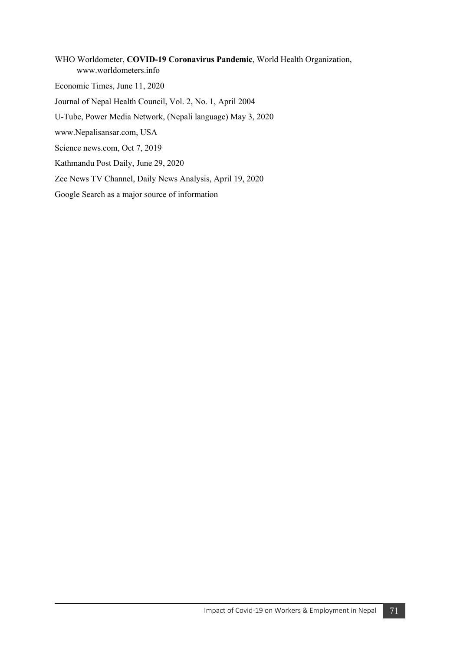WHO Worldometer, **COVID-19 Coronavirus Pandemic**, World Health Organization, www.worldometers.info Economic Times, June 11, 2020 Journal of Nepal Health Council, Vol. 2, No. 1, April 2004 U-Tube, Power Media Network, (Nepali language) May 3, 2020 www.Nepalisansar.com, USA Science news.com, Oct 7, 2019 Kathmandu Post Daily, June 29, 2020 Zee News TV Channel, Daily News Analysis, April 19, 2020 Google Search as a major source of information